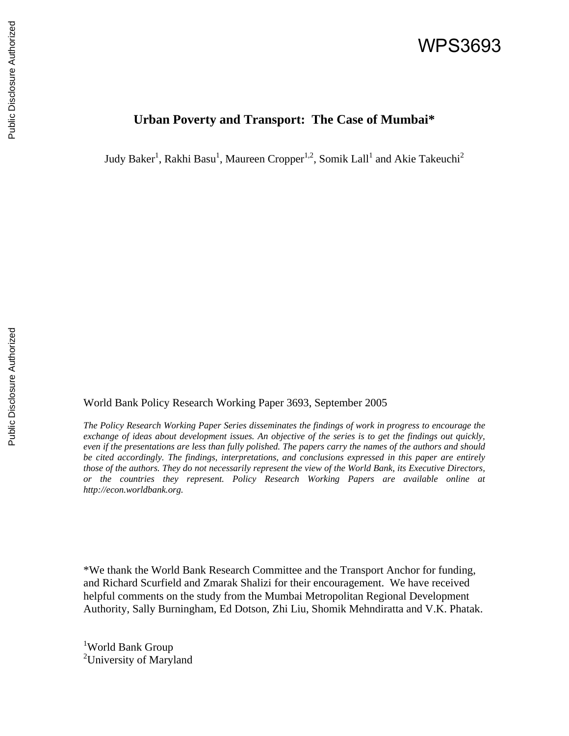# WPS3693

## **Urban Poverty and Transport: The Case of Mumbai\***

Judy Baker<sup>1</sup>, Rakhi Basu<sup>1</sup>, Maureen Cropper<sup>1,2</sup>, Somik Lall<sup>1</sup> and Akie Takeuchi<sup>2</sup>

World Bank Policy Research Working Paper 3693, September 2005

*The Policy Research Working Paper Series disseminates the findings of work in progress to encourage the exchange of ideas about development issues. An objective of the series is to get the findings out quickly, even if the presentations are less than fully polished. The papers carry the names of the authors and should be cited accordingly. The findings, interpretations, and conclusions expressed in this paper are entirely those of the authors. They do not necessarily represent the view of the World Bank, its Executive Directors, or the countries they represent. Policy Research Working Papers are available online at http://econ.worldbank.org.* 

\*We thank the World Bank Research Committee and the Transport Anchor for funding, and Richard Scurfield and Zmarak Shalizi for their encouragement. We have received helpful comments on the study from the Mumbai Metropolitan Regional Development Authority, Sally Burningham, Ed Dotson, Zhi Liu, Shomik Mehndiratta and V.K. Phatak.

<sup>1</sup>World Bank Group <sup>2</sup>University of Maryland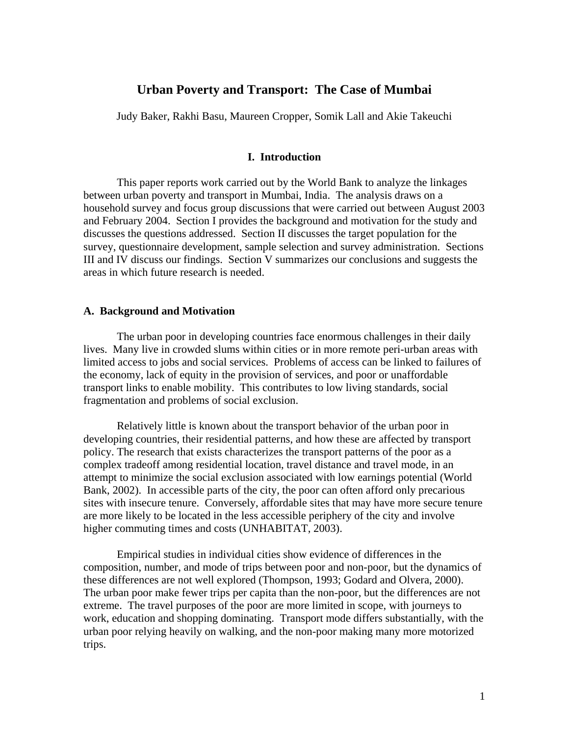## **Urban Poverty and Transport: The Case of Mumbai**

Judy Baker, Rakhi Basu, Maureen Cropper, Somik Lall and Akie Takeuchi

#### **I. Introduction**

This paper reports work carried out by the World Bank to analyze the linkages between urban poverty and transport in Mumbai, India. The analysis draws on a household survey and focus group discussions that were carried out between August 2003 and February 2004. Section I provides the background and motivation for the study and discusses the questions addressed. Section II discusses the target population for the survey, questionnaire development, sample selection and survey administration. Sections III and IV discuss our findings. Section V summarizes our conclusions and suggests the areas in which future research is needed.

### **A. Background and Motivation**

The urban poor in developing countries face enormous challenges in their daily lives. Many live in crowded slums within cities or in more remote peri-urban areas with limited access to jobs and social services. Problems of access can be linked to failures of the economy, lack of equity in the provision of services, and poor or unaffordable transport links to enable mobility. This contributes to low living standards, social fragmentation and problems of social exclusion.

Relatively little is known about the transport behavior of the urban poor in developing countries, their residential patterns, and how these are affected by transport policy. The research that exists characterizes the transport patterns of the poor as a complex tradeoff among residential location, travel distance and travel mode, in an attempt to minimize the social exclusion associated with low earnings potential (World Bank, 2002). In accessible parts of the city, the poor can often afford only precarious sites with insecure tenure. Conversely, affordable sites that may have more secure tenure are more likely to be located in the less accessible periphery of the city and involve higher commuting times and costs (UNHABITAT, 2003).

Empirical studies in individual cities show evidence of differences in the composition, number, and mode of trips between poor and non-poor, but the dynamics of these differences are not well explored (Thompson, 1993; Godard and Olvera, 2000). The urban poor make fewer trips per capita than the non-poor, but the differences are not extreme. The travel purposes of the poor are more limited in scope, with journeys to work, education and shopping dominating. Transport mode differs substantially, with the urban poor relying heavily on walking, and the non-poor making many more motorized trips.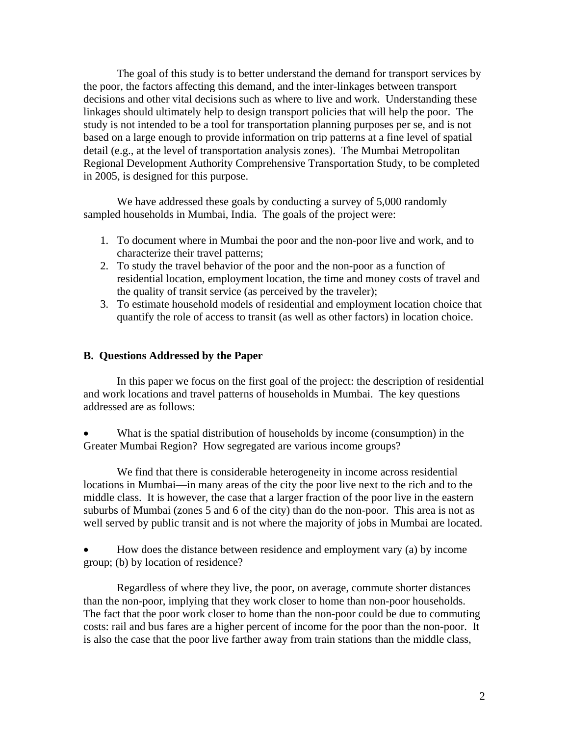The goal of this study is to better understand the demand for transport services by the poor, the factors affecting this demand, and the inter-linkages between transport decisions and other vital decisions such as where to live and work. Understanding these linkages should ultimately help to design transport policies that will help the poor. The study is not intended to be a tool for transportation planning purposes per se, and is not based on a large enough to provide information on trip patterns at a fine level of spatial detail (e.g., at the level of transportation analysis zones). The Mumbai Metropolitan Regional Development Authority Comprehensive Transportation Study, to be completed in 2005, is designed for this purpose.

We have addressed these goals by conducting a survey of 5,000 randomly sampled households in Mumbai, India. The goals of the project were:

- 1. To document where in Mumbai the poor and the non-poor live and work, and to characterize their travel patterns;
- 2. To study the travel behavior of the poor and the non-poor as a function of residential location, employment location, the time and money costs of travel and the quality of transit service (as perceived by the traveler);
- 3. To estimate household models of residential and employment location choice that quantify the role of access to transit (as well as other factors) in location choice.

## **B. Questions Addressed by the Paper**

In this paper we focus on the first goal of the project: the description of residential and work locations and travel patterns of households in Mumbai. The key questions addressed are as follows:

• What is the spatial distribution of households by income (consumption) in the Greater Mumbai Region? How segregated are various income groups?

We find that there is considerable heterogeneity in income across residential locations in Mumbai—in many areas of the city the poor live next to the rich and to the middle class. It is however, the case that a larger fraction of the poor live in the eastern suburbs of Mumbai (zones 5 and 6 of the city) than do the non-poor. This area is not as well served by public transit and is not where the majority of jobs in Mumbai are located.

• How does the distance between residence and employment vary (a) by income group; (b) by location of residence?

Regardless of where they live, the poor, on average, commute shorter distances than the non-poor, implying that they work closer to home than non-poor households. The fact that the poor work closer to home than the non-poor could be due to commuting costs: rail and bus fares are a higher percent of income for the poor than the non-poor. It is also the case that the poor live farther away from train stations than the middle class,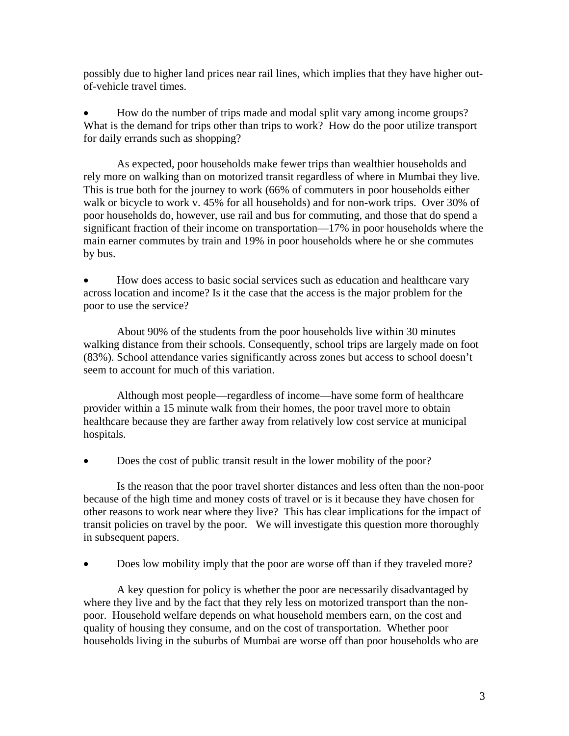possibly due to higher land prices near rail lines, which implies that they have higher outof-vehicle travel times.

• How do the number of trips made and modal split vary among income groups? What is the demand for trips other than trips to work? How do the poor utilize transport for daily errands such as shopping?

As expected, poor households make fewer trips than wealthier households and rely more on walking than on motorized transit regardless of where in Mumbai they live. This is true both for the journey to work (66% of commuters in poor households either walk or bicycle to work v. 45% for all households) and for non-work trips. Over 30% of poor households do, however, use rail and bus for commuting, and those that do spend a significant fraction of their income on transportation—17% in poor households where the main earner commutes by train and 19% in poor households where he or she commutes by bus.

• How does access to basic social services such as education and healthcare vary across location and income? Is it the case that the access is the major problem for the poor to use the service?

About 90% of the students from the poor households live within 30 minutes walking distance from their schools. Consequently, school trips are largely made on foot (83%). School attendance varies significantly across zones but access to school doesn't seem to account for much of this variation.

Although most people—regardless of income—have some form of healthcare provider within a 15 minute walk from their homes, the poor travel more to obtain healthcare because they are farther away from relatively low cost service at municipal hospitals.

• Does the cost of public transit result in the lower mobility of the poor?

Is the reason that the poor travel shorter distances and less often than the non-poor because of the high time and money costs of travel or is it because they have chosen for other reasons to work near where they live? This has clear implications for the impact of transit policies on travel by the poor. We will investigate this question more thoroughly in subsequent papers.

• Does low mobility imply that the poor are worse off than if they traveled more?

A key question for policy is whether the poor are necessarily disadvantaged by where they live and by the fact that they rely less on motorized transport than the nonpoor. Household welfare depends on what household members earn, on the cost and quality of housing they consume, and on the cost of transportation. Whether poor households living in the suburbs of Mumbai are worse off than poor households who are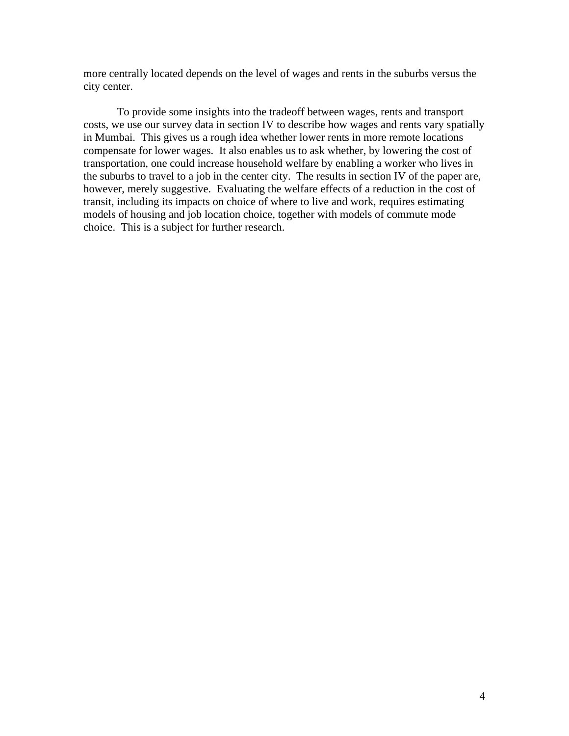more centrally located depends on the level of wages and rents in the suburbs versus the city center.

To provide some insights into the tradeoff between wages, rents and transport costs, we use our survey data in section IV to describe how wages and rents vary spatially in Mumbai. This gives us a rough idea whether lower rents in more remote locations compensate for lower wages. It also enables us to ask whether, by lowering the cost of transportation, one could increase household welfare by enabling a worker who lives in the suburbs to travel to a job in the center city. The results in section IV of the paper are, however, merely suggestive. Evaluating the welfare effects of a reduction in the cost of transit, including its impacts on choice of where to live and work, requires estimating models of housing and job location choice, together with models of commute mode choice. This is a subject for further research.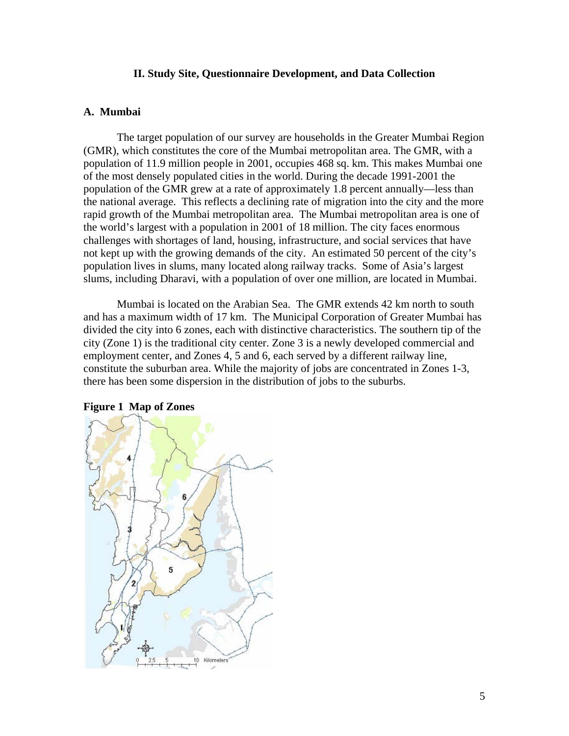## **II. Study Site, Questionnaire Development, and Data Collection**

## **A. Mumbai**

The target population of our survey are households in the Greater Mumbai Region (GMR), which constitutes the core of the Mumbai metropolitan area. The GMR, with a population of 11.9 million people in 2001, occupies 468 sq. km. This makes Mumbai one of the most densely populated cities in the world. During the decade 1991-2001 the population of the GMR grew at a rate of approximately 1.8 percent annually—less than the national average. This reflects a declining rate of migration into the city and the more rapid growth of the Mumbai metropolitan area. The Mumbai metropolitan area is one of the world's largest with a population in 2001 of 18 million. The city faces enormous challenges with shortages of land, housing, infrastructure, and social services that have not kept up with the growing demands of the city. An estimated 50 percent of the city's population lives in slums, many located along railway tracks. Some of Asia's largest slums, including Dharavi, with a population of over one million, are located in Mumbai.

Mumbai is located on the Arabian Sea. The GMR extends 42 km north to south and has a maximum width of 17 km. The Municipal Corporation of Greater Mumbai has divided the city into 6 zones, each with distinctive characteristics. The southern tip of the city (Zone 1) is the traditional city center. Zone 3 is a newly developed commercial and employment center, and Zones 4, 5 and 6, each served by a different railway line, constitute the suburban area. While the majority of jobs are concentrated in Zones 1-3, there has been some dispersion in the distribution of jobs to the suburbs.



#### **Figure 1 Map of Zones**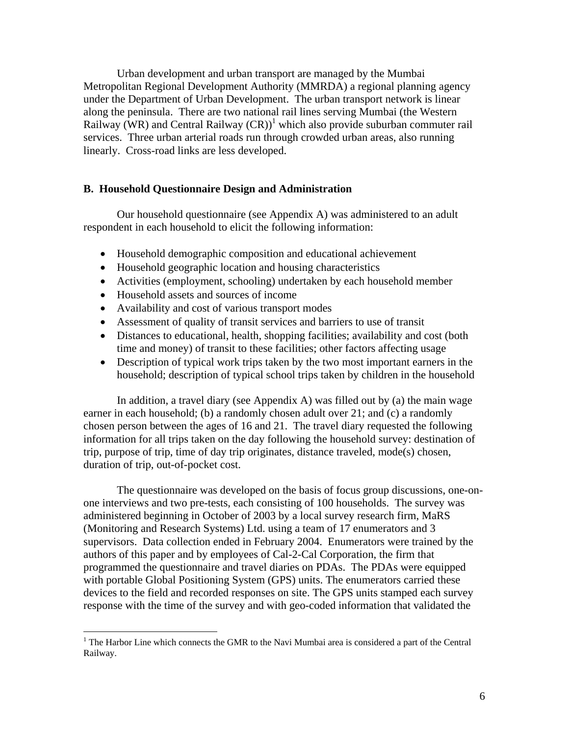Urban development and urban transport are managed by the Mumbai Metropolitan Regional Development Authority (MMRDA) a regional planning agency under the Department of Urban Development. The urban transport network is linear along the peninsula. There are two national rail lines serving Mumbai (the Western Railway (WR) and Central Railway  $(CR)^{1}$  which also provide suburban commuter rail services. Three urban arterial roads run through crowded urban areas, also running linearly. Cross-road links are less developed.

## **B. Household Questionnaire Design and Administration**

Our household questionnaire (see Appendix A) was administered to an adult respondent in each household to elicit the following information:

- Household demographic composition and educational achievement
- Household geographic location and housing characteristics
- Activities (employment, schooling) undertaken by each household member
- Household assets and sources of income

 $\overline{a}$ 

- Availability and cost of various transport modes
- Assessment of quality of transit services and barriers to use of transit
- Distances to educational, health, shopping facilities; availability and cost (both time and money) of transit to these facilities; other factors affecting usage
- Description of typical work trips taken by the two most important earners in the household; description of typical school trips taken by children in the household

In addition, a travel diary (see Appendix A) was filled out by (a) the main wage earner in each household; (b) a randomly chosen adult over 21; and (c) a randomly chosen person between the ages of 16 and 21. The travel diary requested the following information for all trips taken on the day following the household survey: destination of trip, purpose of trip, time of day trip originates, distance traveled, mode(s) chosen, duration of trip, out-of-pocket cost.

The questionnaire was developed on the basis of focus group discussions, one-onone interviews and two pre-tests, each consisting of 100 households. The survey was administered beginning in October of 2003 by a local survey research firm, MaRS (Monitoring and Research Systems) Ltd. using a team of 17 enumerators and 3 supervisors. Data collection ended in February 2004. Enumerators were trained by the authors of this paper and by employees of Cal-2-Cal Corporation, the firm that programmed the questionnaire and travel diaries on PDAs. The PDAs were equipped with portable Global Positioning System (GPS) units. The enumerators carried these devices to the field and recorded responses on site. The GPS units stamped each survey response with the time of the survey and with geo-coded information that validated the

<sup>&</sup>lt;sup>1</sup> The Harbor Line which connects the GMR to the Navi Mumbai area is considered a part of the Central Railway.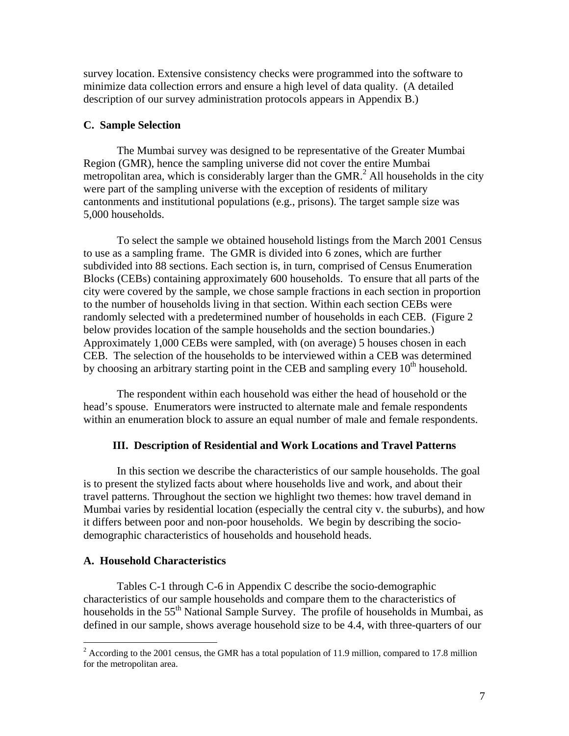survey location. Extensive consistency checks were programmed into the software to minimize data collection errors and ensure a high level of data quality. (A detailed description of our survey administration protocols appears in Appendix B.)

## **C. Sample Selection**

The Mumbai survey was designed to be representative of the Greater Mumbai Region (GMR), hence the sampling universe did not cover the entire Mumbai metropolitan area, which is considerably larger than the GMR. $<sup>2</sup>$  All households in the city</sup> were part of the sampling universe with the exception of residents of military cantonments and institutional populations (e.g., prisons). The target sample size was 5,000 households.

To select the sample we obtained household listings from the March 2001 Census to use as a sampling frame. The GMR is divided into 6 zones, which are further subdivided into 88 sections. Each section is, in turn, comprised of Census Enumeration Blocks (CEBs) containing approximately 600 households. To ensure that all parts of the city were covered by the sample, we chose sample fractions in each section in proportion to the number of households living in that section. Within each section CEBs were randomly selected with a predetermined number of households in each CEB. (Figure 2 below provides location of the sample households and the section boundaries.) Approximately 1,000 CEBs were sampled, with (on average) 5 houses chosen in each CEB. The selection of the households to be interviewed within a CEB was determined by choosing an arbitrary starting point in the CEB and sampling every  $10<sup>th</sup>$  household.

The respondent within each household was either the head of household or the head's spouse. Enumerators were instructed to alternate male and female respondents within an enumeration block to assure an equal number of male and female respondents.

## **III. Description of Residential and Work Locations and Travel Patterns**

In this section we describe the characteristics of our sample households. The goal is to present the stylized facts about where households live and work, and about their travel patterns. Throughout the section we highlight two themes: how travel demand in Mumbai varies by residential location (especially the central city v. the suburbs), and how it differs between poor and non-poor households. We begin by describing the sociodemographic characteristics of households and household heads.

#### **A. Household Characteristics**

Tables C-1 through C-6 in Appendix C describe the socio-demographic characteristics of our sample households and compare them to the characteristics of households in the 55<sup>th</sup> National Sample Survey. The profile of households in Mumbai, as defined in our sample, shows average household size to be 4.4, with three-quarters of our

<sup>&</sup>lt;sup>2</sup> According to the 2001 census, the GMR has a total population of 11.9 million, compared to 17.8 million for the metropolitan area.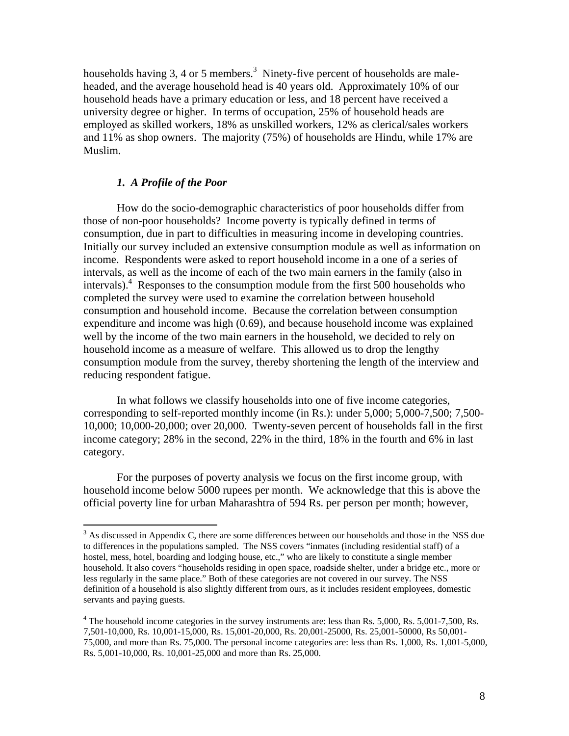households having 3, 4 or 5 members.<sup>3</sup> Ninety-five percent of households are maleheaded, and the average household head is 40 years old. Approximately 10% of our household heads have a primary education or less, and 18 percent have received a university degree or higher. In terms of occupation, 25% of household heads are employed as skilled workers, 18% as unskilled workers, 12% as clerical/sales workers and 11% as shop owners. The majority (75%) of households are Hindu, while 17% are Muslim.

## *1. A Profile of the Poor*

 $\overline{a}$ 

How do the socio-demographic characteristics of poor households differ from those of non-poor households? Income poverty is typically defined in terms of consumption, due in part to difficulties in measuring income in developing countries. Initially our survey included an extensive consumption module as well as information on income. Respondents were asked to report household income in a one of a series of intervals, as well as the income of each of the two main earners in the family (also in intervals).<sup>4</sup> Responses to the consumption module from the first 500 households who completed the survey were used to examine the correlation between household consumption and household income. Because the correlation between consumption expenditure and income was high (0.69), and because household income was explained well by the income of the two main earners in the household, we decided to rely on household income as a measure of welfare. This allowed us to drop the lengthy consumption module from the survey, thereby shortening the length of the interview and reducing respondent fatigue.

In what follows we classify households into one of five income categories, corresponding to self-reported monthly income (in Rs.): under 5,000; 5,000-7,500; 7,500- 10,000; 10,000-20,000; over 20,000. Twenty-seven percent of households fall in the first income category; 28% in the second, 22% in the third, 18% in the fourth and 6% in last category.

For the purposes of poverty analysis we focus on the first income group, with household income below 5000 rupees per month. We acknowledge that this is above the official poverty line for urban Maharashtra of 594 Rs. per person per month; however,

 $3$  As discussed in Appendix C, there are some differences between our households and those in the NSS due to differences in the populations sampled. The NSS covers "inmates (including residential staff) of a hostel, mess, hotel, boarding and lodging house, etc.," who are likely to constitute a single member household. It also covers "households residing in open space, roadside shelter, under a bridge etc., more or less regularly in the same place." Both of these categories are not covered in our survey. The NSS definition of a household is also slightly different from ours, as it includes resident employees, domestic servants and paying guests.

 $4$  The household income categories in the survey instruments are: less than Rs. 5,000, Rs. 5,001-7,500, Rs. 7,501-10,000, Rs. 10,001-15,000, Rs. 15,001-20,000, Rs. 20,001-25000, Rs. 25,001-50000, Rs 50,001- 75,000, and more than Rs. 75,000. The personal income categories are: less than Rs. 1,000, Rs. 1,001-5,000, Rs. 5,001-10,000, Rs. 10,001-25,000 and more than Rs. 25,000.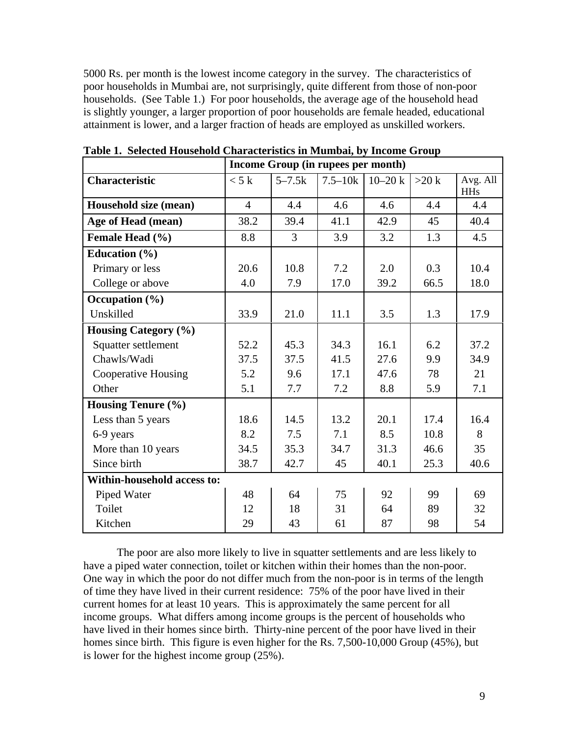5000 Rs. per month is the lowest income category in the survey. The characteristics of poor households in Mumbai are, not surprisingly, quite different from those of non-poor households. (See Table 1.) For poor households, the average age of the household head is slightly younger, a larger proportion of poor households are female headed, educational attainment is lower, and a larger fraction of heads are employed as unskilled workers.

|                                    | Income Group (in rupees per month) |                |             |            |         |                        |  |  |  |  |  |
|------------------------------------|------------------------------------|----------------|-------------|------------|---------|------------------------|--|--|--|--|--|
| <b>Characteristic</b>              | < 5k                               | $5 - 7.5k$     | $7.5 - 10k$ | $10 - 20k$ | $>20$ k | Avg. All<br><b>HHs</b> |  |  |  |  |  |
| Household size (mean)              | $\overline{4}$                     | 4.4            | 4.6         | 4.6        | 4.4     | 4.4                    |  |  |  |  |  |
| Age of Head (mean)                 | 38.2                               | 39.4           | 41.1        | 42.9       | 45      | 40.4                   |  |  |  |  |  |
| Female Head (%)                    | 8.8                                | $\overline{3}$ | 3.9         | 3.2        | 1.3     | 4.5                    |  |  |  |  |  |
| Education $(\% )$                  |                                    |                |             |            |         |                        |  |  |  |  |  |
| Primary or less                    | 20.6                               | 10.8           | 7.2         | 2.0        | 0.3     | 10.4                   |  |  |  |  |  |
| College or above                   | 4.0                                | 7.9            | 17.0        | 39.2       | 66.5    | 18.0                   |  |  |  |  |  |
| Occupation $(\% )$                 |                                    |                |             |            |         |                        |  |  |  |  |  |
| Unskilled                          | 33.9                               | 21.0           | 11.1        | 3.5        | 1.3     | 17.9                   |  |  |  |  |  |
| <b>Housing Category (%)</b>        |                                    |                |             |            |         |                        |  |  |  |  |  |
| Squatter settlement                | 52.2                               | 45.3           | 34.3        | 16.1       | 6.2     | 37.2                   |  |  |  |  |  |
| Chawls/Wadi                        | 37.5                               | 37.5           | 41.5        | 27.6       | 9.9     | 34.9                   |  |  |  |  |  |
| <b>Cooperative Housing</b>         | 5.2                                | 9.6            | 17.1        | 47.6       | 78      | 21                     |  |  |  |  |  |
| Other                              | 5.1                                | 7.7            | 7.2         | 8.8        | 5.9     | 7.1                    |  |  |  |  |  |
| <b>Housing Tenure (%)</b>          |                                    |                |             |            |         |                        |  |  |  |  |  |
| Less than 5 years                  | 18.6                               | 14.5           | 13.2        | 20.1       | 17.4    | 16.4                   |  |  |  |  |  |
| 6-9 years                          | 8.2                                | 7.5            | 7.1         | 8.5        | 10.8    | 8                      |  |  |  |  |  |
| More than 10 years                 | 34.5                               | 35.3           | 34.7        | 31.3       | 46.6    | 35                     |  |  |  |  |  |
| Since birth                        | 38.7                               | 42.7           | 45          | 40.1       | 25.3    | 40.6                   |  |  |  |  |  |
| <b>Within-household access to:</b> |                                    |                |             |            |         |                        |  |  |  |  |  |
| Piped Water                        | 48                                 | 64             | 75          | 92         | 99      | 69                     |  |  |  |  |  |
| Toilet                             | 12                                 | 18             | 31          | 64         | 89      | 32                     |  |  |  |  |  |
| Kitchen                            | 29                                 | 43             | 61          | 87         | 98      | 54                     |  |  |  |  |  |

**Table 1. Selected Household Characteristics in Mumbai, by Income Group** 

The poor are also more likely to live in squatter settlements and are less likely to have a piped water connection, toilet or kitchen within their homes than the non-poor. One way in which the poor do not differ much from the non-poor is in terms of the length of time they have lived in their current residence: 75% of the poor have lived in their current homes for at least 10 years. This is approximately the same percent for all income groups. What differs among income groups is the percent of households who have lived in their homes since birth. Thirty-nine percent of the poor have lived in their homes since birth. This figure is even higher for the Rs. 7,500-10,000 Group (45%), but is lower for the highest income group (25%).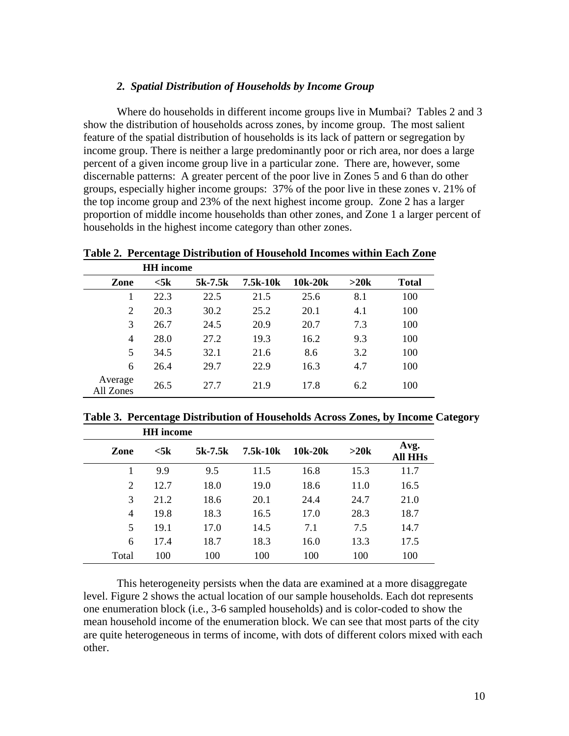## *2. Spatial Distribution of Households by Income Group*

Where do households in different income groups live in Mumbai? Tables 2 and 3 show the distribution of households across zones, by income group. The most salient feature of the spatial distribution of households is its lack of pattern or segregation by income group. There is neither a large predominantly poor or rich area, nor does a large percent of a given income group live in a particular zone. There are, however, some discernable patterns: A greater percent of the poor live in Zones 5 and 6 than do other groups, especially higher income groups: 37% of the poor live in these zones v. 21% of the top income group and 23% of the next highest income group. Zone 2 has a larger proportion of middle income households than other zones, and Zone 1 a larger percent of households in the highest income category than other zones.

**Table 2. Percentage Distribution of Household Incomes within Each Zone** 

|                      | <b>HH</b> income   |         |          |         |      |              |
|----------------------|--------------------|---------|----------|---------|------|--------------|
| Zone                 | $<$ 5 $\mathrm{k}$ | 5k-7.5k | 7.5k-10k | 10k-20k | >20k | <b>Total</b> |
|                      | 22.3               | 22.5    | 21.5     | 25.6    | 8.1  | 100          |
| $\overline{2}$       | 20.3               | 30.2    | 25.2     | 20.1    | 4.1  | 100          |
| 3                    | 26.7               | 24.5    | 20.9     | 20.7    | 7.3  | 100          |
| 4                    | 28.0               | 27.2    | 19.3     | 16.2    | 9.3  | 100          |
| 5                    | 34.5               | 32.1    | 21.6     | 8.6     | 3.2  | 100          |
| 6                    | 26.4               | 29.7    | 22.9     | 16.3    | 4.7  | 100          |
| Average<br>All Zones | 26.5               | 27.7    | 21.9     | 17.8    | 6.2  | 100          |

**Table 3. Percentage Distribution of Households Across Zones, by Income Category HH income** 

|       | пп шсоше  |           |          |         |      |                        |
|-------|-----------|-----------|----------|---------|------|------------------------|
| Zone  | $<$ 5 $k$ | $5k-7.5k$ | 7.5k-10k | 10k-20k | >20k | Avg.<br><b>All HHs</b> |
|       | 9.9       | 9.5       | 11.5     | 16.8    | 15.3 | 11.7                   |
| 2     | 12.7      | 18.0      | 19.0     | 18.6    | 11.0 | 16.5                   |
| 3     | 21.2      | 18.6      | 20.1     | 24.4    | 24.7 | 21.0                   |
| 4     | 19.8      | 18.3      | 16.5     | 17.0    | 28.3 | 18.7                   |
| 5     | 19.1      | 17.0      | 14.5     | 7.1     | 7.5  | 14.7                   |
| 6     | 17.4      | 18.7      | 18.3     | 16.0    | 13.3 | 17.5                   |
| Total | 100       | 100       | 100      | 100     | 100  | 100                    |

This heterogeneity persists when the data are examined at a more disaggregate level. Figure 2 shows the actual location of our sample households. Each dot represents one enumeration block (i.e., 3-6 sampled households) and is color-coded to show the mean household income of the enumeration block. We can see that most parts of the city are quite heterogeneous in terms of income, with dots of different colors mixed with each other.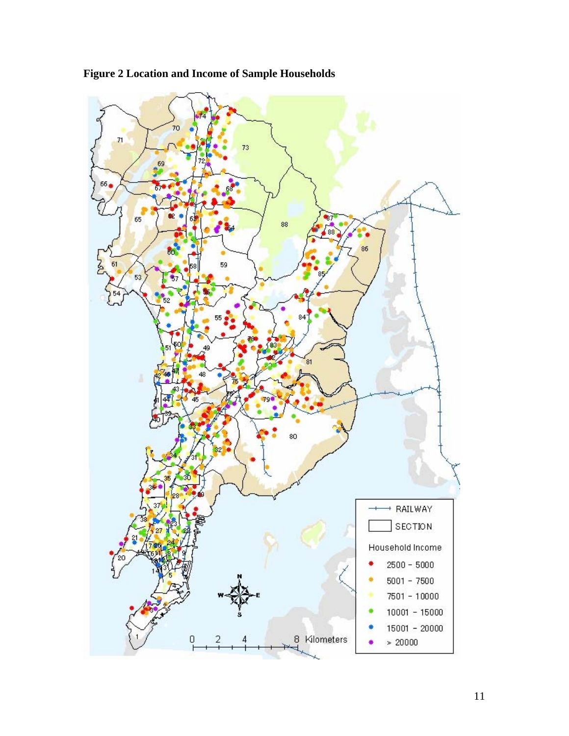

**Figure 2 Location and Income of Sample Households**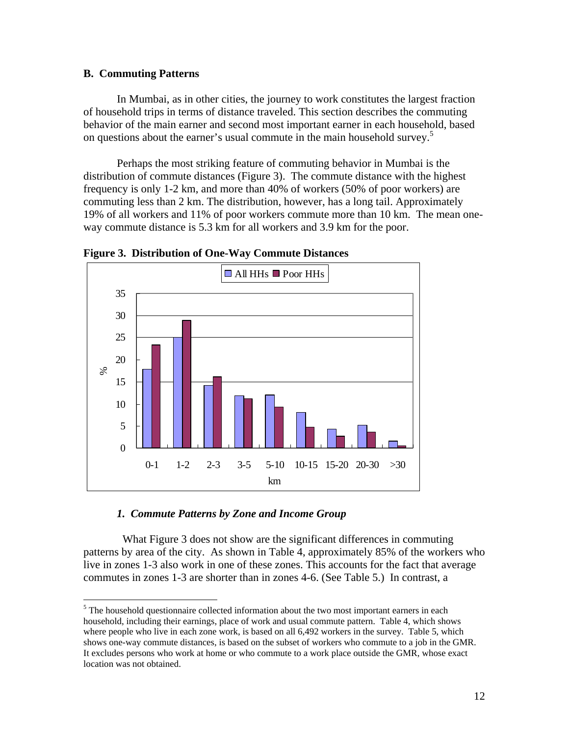## **B. Commuting Patterns**

 $\overline{a}$ 

In Mumbai, as in other cities, the journey to work constitutes the largest fraction of household trips in terms of distance traveled. This section describes the commuting behavior of the main earner and second most important earner in each household, based on questions about the earner's usual commute in the main household survey.<sup>5</sup>

Perhaps the most striking feature of commuting behavior in Mumbai is the distribution of commute distances (Figure 3). The commute distance with the highest frequency is only 1-2 km, and more than 40% of workers (50% of poor workers) are commuting less than 2 km. The distribution, however, has a long tail. Approximately 19% of all workers and 11% of poor workers commute more than 10 km. The mean oneway commute distance is 5.3 km for all workers and 3.9 km for the poor.



**Figure 3. Distribution of One-Way Commute Distances** 

## *1. Commute Patterns by Zone and Income Group*

What Figure 3 does not show are the significant differences in commuting patterns by area of the city. As shown in Table 4, approximately 85% of the workers who live in zones 1-3 also work in one of these zones. This accounts for the fact that average commutes in zones 1-3 are shorter than in zones 4-6. (See Table 5.) In contrast, a

<sup>&</sup>lt;sup>5</sup> The household questionnaire collected information about the two most important earners in each household, including their earnings, place of work and usual commute pattern. Table 4, which shows where people who live in each zone work, is based on all  $6,492$  workers in the survey. Table 5, which shows one-way commute distances, is based on the subset of workers who commute to a job in the GMR. It excludes persons who work at home or who commute to a work place outside the GMR, whose exact location was not obtained.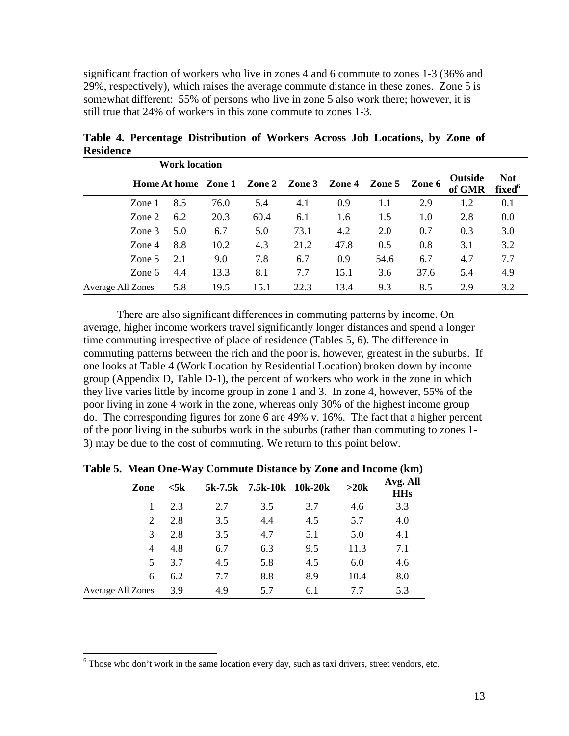significant fraction of workers who live in zones 4 and 6 commute to zones 1-3 (36% and 29%, respectively), which raises the average commute distance in these zones. Zone 5 is somewhat different: 55% of persons who live in zone 5 also work there; however, it is still true that 24% of workers in this zone commute to zones 1-3.

|                   | <b>Work location</b> |      |      |      |      |                                    |      |                          |                                  |
|-------------------|----------------------|------|------|------|------|------------------------------------|------|--------------------------|----------------------------------|
|                   | Home At home Zone 1  |      |      |      |      | Zone 2 Zone 3 Zone 4 Zone 5 Zone 6 |      | <b>Outside</b><br>of GMR | <b>Not</b><br>fixed <sup>6</sup> |
| Zone 1            | 8.5                  | 76.0 | 5.4  | 4.1  | 0.9  | 1.1                                | 2.9  | 1.2                      | 0.1                              |
| Zone 2            | 6.2                  | 20.3 | 60.4 | 6.1  | 1.6  | 1.5                                | 1.0  | 2.8                      | 0.0                              |
| Zone $3$          | 5.0                  | 6.7  | 5.0  | 73.1 | 4.2  | 2.0                                | 0.7  | 0.3                      | 3.0                              |
| Zone 4            | 8.8                  | 10.2 | 4.3  | 21.2 | 47.8 | 0.5                                | 0.8  | 3.1                      | 3.2                              |
| Zone 5            | 2.1                  | 9.0  | 7.8  | 6.7  | 0.9  | 54.6                               | 6.7  | 4.7                      | 7.7                              |
| Zone 6            | 4.4                  | 13.3 | 8.1  | 7.7  | 15.1 | 3.6                                | 37.6 | 5.4                      | 4.9                              |
| Average All Zones | 5.8                  | 19.5 | 15.1 | 22.3 | 13.4 | 9.3                                | 8.5  | 2.9                      | 3.2                              |

**Table 4. Percentage Distribution of Workers Across Job Locations, by Zone of Residence** 

There are also significant differences in commuting patterns by income. On average, higher income workers travel significantly longer distances and spend a longer time commuting irrespective of place of residence (Tables 5, 6). The difference in commuting patterns between the rich and the poor is, however, greatest in the suburbs. If one looks at Table 4 (Work Location by Residential Location) broken down by income group (Appendix D, Table D-1), the percent of workers who work in the zone in which they live varies little by income group in zone 1 and 3. In zone 4, however, 55% of the poor living in zone 4 work in the zone, whereas only 30% of the highest income group do. The corresponding figures for zone 6 are 49% v. 16%. The fact that a higher percent of the poor living in the suburbs work in the suburbs (rather than commuting to zones 1- 3) may be due to the cost of commuting. We return to this point below.

| Zone              | $<$ 5 $\bf{k}$ | 5k-7.5k | 7.5k-10k 10k-20k |     | >20k | Avg. All<br><b>HHs</b> |
|-------------------|----------------|---------|------------------|-----|------|------------------------|
|                   | 2.3            | 2.7     | 3.5              | 3.7 | 4.6  | 3.3                    |
| 2                 | 2.8            | 3.5     | 4.4              | 4.5 | 5.7  | 4.0                    |
| 3                 | 2.8            | 3.5     | 4.7              | 5.1 | 5.0  | 4.1                    |
| 4                 | 4.8            | 6.7     | 6.3              | 9.5 | 11.3 | 7.1                    |
| 5                 | 3.7            | 4.5     | 5.8              | 4.5 | 6.0  | 4.6                    |
| 6                 | 6.2            | 7.7     | 8.8              | 8.9 | 10.4 | 8.0                    |
| Average All Zones | 3.9            | 4.9     | 5.7              | 6.1 | 7.7  | 5.3                    |

**Table 5. Mean One-Way Commute Distance by Zone and Income (km)** 

 $\overline{a}$ 

 $6$  Those who don't work in the same location every day, such as taxi drivers, street vendors, etc.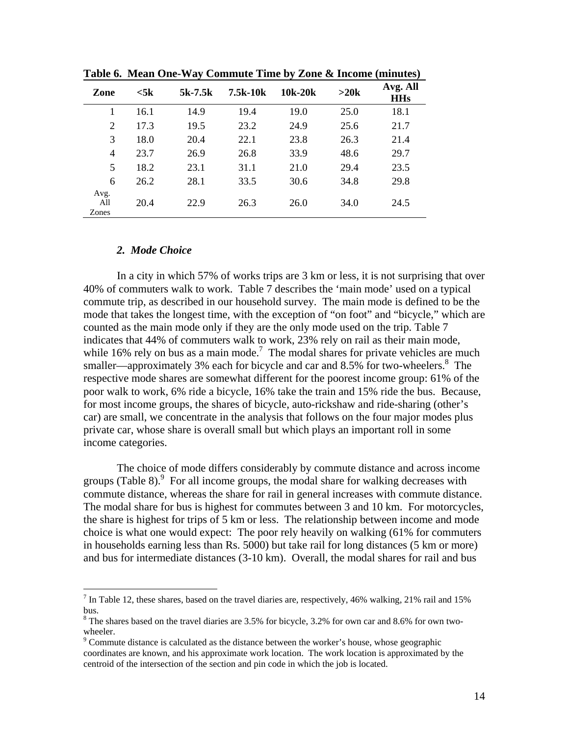|                |           | $\cdot$ |          | $\cdot$ |      | $\overline{\phantom{a}}$<br>$\overline{\phantom{a}}$ |
|----------------|-----------|---------|----------|---------|------|------------------------------------------------------|
| Zone           | $<$ 5 $k$ | 5k-7.5k | 7.5k-10k | 10k-20k | >20k | Avg. All<br><b>HHs</b>                               |
| 1              | 16.1      | 14.9    | 19.4     | 19.0    | 25.0 | 18.1                                                 |
| $\overline{2}$ | 17.3      | 19.5    | 23.2     | 24.9    | 25.6 | 21.7                                                 |
| 3              | 18.0      | 20.4    | 22.1     | 23.8    | 26.3 | 21.4                                                 |
| $\overline{4}$ | 23.7      | 26.9    | 26.8     | 33.9    | 48.6 | 29.7                                                 |
| 5              | 18.2      | 23.1    | 31.1     | 21.0    | 29.4 | 23.5                                                 |
| 6              | 26.2      | 28.1    | 33.5     | 30.6    | 34.8 | 29.8                                                 |
| Avg.           |           |         |          |         |      |                                                      |
| All            | 20.4      | 22.9    | 26.3     | 26.0    | 34.0 | 24.5                                                 |
| Zones          |           |         |          |         |      |                                                      |

**Table 6. Mean One-Way Commute Time by Zone & Income (minutes)** 

#### *2. Mode Choice*

 $\overline{a}$ 

In a city in which 57% of works trips are 3 km or less, it is not surprising that over 40% of commuters walk to work. Table 7 describes the 'main mode' used on a typical commute trip, as described in our household survey. The main mode is defined to be the mode that takes the longest time, with the exception of "on foot" and "bicycle," which are counted as the main mode only if they are the only mode used on the trip. Table 7 indicates that 44% of commuters walk to work, 23% rely on rail as their main mode, while 16% rely on bus as a main mode.<sup>7</sup> The modal shares for private vehicles are much smaller—approximately 3% each for bicycle and car and 8.5% for two-wheelers. $8$  The respective mode shares are somewhat different for the poorest income group: 61% of the poor walk to work, 6% ride a bicycle, 16% take the train and 15% ride the bus. Because, for most income groups, the shares of bicycle, auto-rickshaw and ride-sharing (other's car) are small, we concentrate in the analysis that follows on the four major modes plus private car, whose share is overall small but which plays an important roll in some income categories.

The choice of mode differs considerably by commute distance and across income groups (Table 8). $9$  For all income groups, the modal share for walking decreases with commute distance, whereas the share for rail in general increases with commute distance. The modal share for bus is highest for commutes between 3 and 10 km. For motorcycles, the share is highest for trips of 5 km or less. The relationship between income and mode choice is what one would expect: The poor rely heavily on walking (61% for commuters in households earning less than Rs. 5000) but take rail for long distances (5 km or more) and bus for intermediate distances (3-10 km). Overall, the modal shares for rail and bus

<sup>&</sup>lt;sup>7</sup> In Table 12, these shares, based on the travel diaries are, respectively, 46% walking, 21% rail and 15% bus.

 $8$  The shares based on the travel diaries are 3.5% for bicycle, 3.2% for own car and 8.6% for own twowheeler.

 $9^9$  Commute distance is calculated as the distance between the worker's house, whose geographic coordinates are known, and his approximate work location. The work location is approximated by the centroid of the intersection of the section and pin code in which the job is located.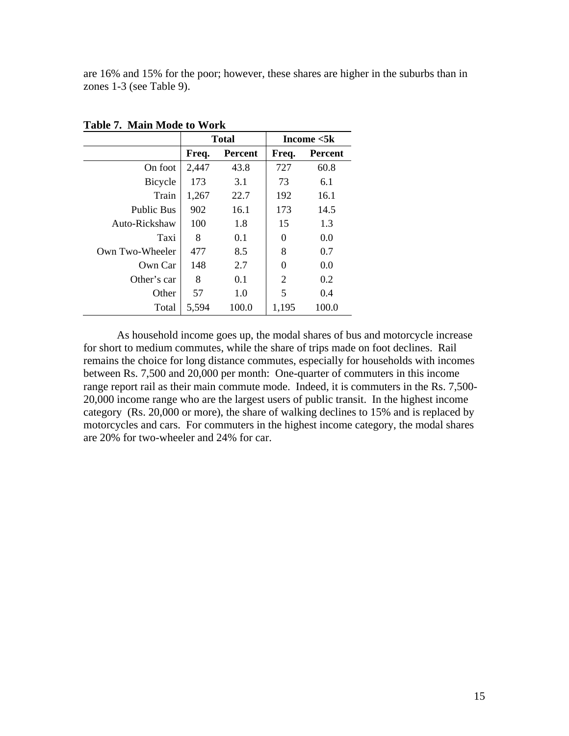are 16% and 15% for the poor; however, these shares are higher in the suburbs than in zones 1-3 (see Table 9).

|                   |       | <b>Total</b>   |                | Income $<$ 5 $k$ |
|-------------------|-------|----------------|----------------|------------------|
|                   | Freq. | <b>Percent</b> | Freq.          | <b>Percent</b>   |
| On foot           | 2,447 | 43.8           | 727            | 60.8             |
| Bicycle           | 173   | 3.1            | 73             | 6.1              |
| Train             | 1,267 | 22.7           | 192            | 16.1             |
| <b>Public Bus</b> | 902   | 16.1           | 173            | 14.5             |
| Auto-Rickshaw     | 100   | 1.8            | 15             | 1.3              |
| Taxi              | 8     | 0.1            | 0              | 0.0              |
| Own Two-Wheeler   | 477   | 8.5            | 8              | 0.7              |
| Own Car           | 148   | 2.7            | 0              | 0.0              |
| Other's car       | 8     | 0.1            | $\overline{2}$ | 0.2              |
| Other             | 57    | 1.0            | 5              | 0.4              |
| Total             | 5,594 | 100.0          | 1,195          | 100.0            |

**Table 7. Main Mode to Work** 

As household income goes up, the modal shares of bus and motorcycle increase for short to medium commutes, while the share of trips made on foot declines. Rail remains the choice for long distance commutes, especially for households with incomes between Rs. 7,500 and 20,000 per month: One-quarter of commuters in this income range report rail as their main commute mode. Indeed, it is commuters in the Rs. 7,500- 20,000 income range who are the largest users of public transit. In the highest income category (Rs. 20,000 or more), the share of walking declines to 15% and is replaced by motorcycles and cars. For commuters in the highest income category, the modal shares are 20% for two-wheeler and 24% for car.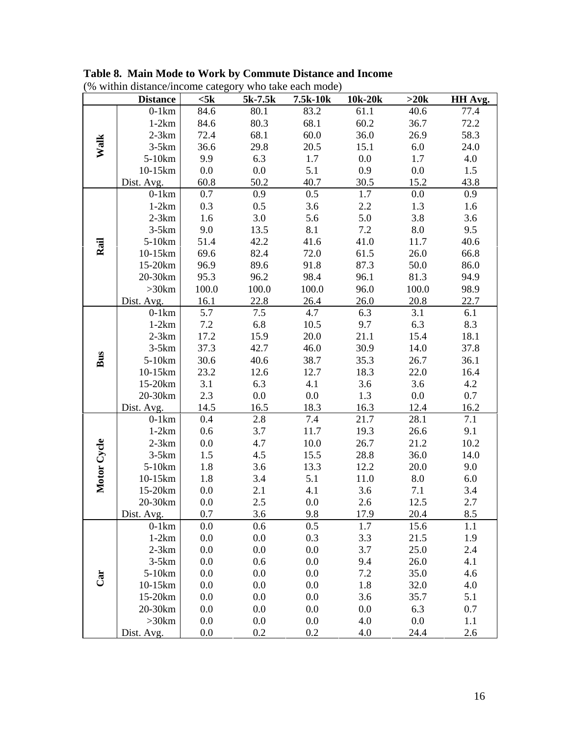| (% within distance/income category who take each mode) |                 |           |         |          |         |       |         |  |  |
|--------------------------------------------------------|-----------------|-----------|---------|----------|---------|-------|---------|--|--|
|                                                        | <b>Distance</b> | $<$ 5 $k$ | 5k-7.5k | 7.5k-10k | 10k-20k | >20k  | HH Avg. |  |  |
|                                                        | $0-1km$         | 84.6      | 80.1    | 83.2     | 61.1    | 40.6  | 77.4    |  |  |
|                                                        | $1-2km$         | 84.6      | 80.3    | 68.1     | 60.2    | 36.7  | 72.2    |  |  |
|                                                        | $2-3km$         | 72.4      | 68.1    | 60.0     | 36.0    | 26.9  | 58.3    |  |  |
| Walk                                                   | $3-5km$         | 36.6      | 29.8    | 20.5     | 15.1    | 6.0   | 24.0    |  |  |
|                                                        | 5-10km          | 9.9       | 6.3     | 1.7      | 0.0     | 1.7   | 4.0     |  |  |
|                                                        | 10-15km         | 0.0       | 0.0     | 5.1      | 0.9     | 0.0   | 1.5     |  |  |
|                                                        | Dist. Avg.      | 60.8      | 50.2    | 40.7     | 30.5    | 15.2  | 43.8    |  |  |
|                                                        | $0-1km$         | 0.7       | 0.9     | 0.5      | 1.7     | 0.0   | 0.9     |  |  |
|                                                        | $1-2km$         | 0.3       | 0.5     | 3.6      | 2.2     | 1.3   | 1.6     |  |  |
|                                                        | $2-3km$         | 1.6       | 3.0     | 5.6      | 5.0     | 3.8   | 3.6     |  |  |
|                                                        | $3-5km$         | 9.0       | 13.5    | 8.1      | 7.2     | 8.0   | 9.5     |  |  |
| Rail                                                   | 5-10km          | 51.4      | 42.2    | 41.6     | 41.0    | 11.7  | 40.6    |  |  |
|                                                        | 10-15km         | 69.6      | 82.4    | 72.0     | 61.5    | 26.0  | 66.8    |  |  |
|                                                        | 15-20km         | 96.9      | 89.6    | 91.8     | 87.3    | 50.0  | 86.0    |  |  |
|                                                        | 20-30km         | 95.3      | 96.2    | 98.4     | 96.1    | 81.3  | 94.9    |  |  |
|                                                        | >30km           | 100.0     | 100.0   | 100.0    | 96.0    | 100.0 | 98.9    |  |  |
|                                                        | Dist. Avg.      | 16.1      | 22.8    | 26.4     | 26.0    | 20.8  | 22.7    |  |  |
|                                                        | $0-1km$         | 5.7       | 7.5     | 4.7      | 6.3     | 3.1   | 6.1     |  |  |
|                                                        | $1-2km$         | 7.2       | 6.8     | 10.5     | 9.7     | 6.3   | 8.3     |  |  |
|                                                        | $2-3km$         | 17.2      | 15.9    | 20.0     | 21.1    | 15.4  | 18.1    |  |  |
|                                                        | $3-5km$         | 37.3      | 42.7    | 46.0     | 30.9    | 14.0  | 37.8    |  |  |
| Bus                                                    | 5-10km          | 30.6      | 40.6    | 38.7     | 35.3    | 26.7  | 36.1    |  |  |
|                                                        | 10-15km         | 23.2      | 12.6    | 12.7     | 18.3    | 22.0  | 16.4    |  |  |
|                                                        | 15-20km         | 3.1       | 6.3     | 4.1      | 3.6     | 3.6   | 4.2     |  |  |
|                                                        | 20-30km         | 2.3       | 0.0     | 0.0      | 1.3     | 0.0   | 0.7     |  |  |
|                                                        | Dist. Avg.      | 14.5      | 16.5    | 18.3     | 16.3    | 12.4  | 16.2    |  |  |
|                                                        | $0-1km$         | 0.4       | 2.8     | 7.4      | 21.7    | 28.1  | 7.1     |  |  |
|                                                        | $1-2km$         | 0.6       | 3.7     | 11.7     | 19.3    | 26.6  | 9.1     |  |  |
|                                                        | $2-3km$         | 0.0       | 4.7     | 10.0     | 26.7    | 21.2  | 10.2    |  |  |
|                                                        | $3-5km$         | 1.5       | 4.5     | 15.5     | 28.8    | 36.0  | 14.0    |  |  |
| Motor Cycle                                            | 5-10km          | 1.8       | 3.6     | 13.3     | 12.2    | 20.0  | 9.0     |  |  |
|                                                        | 10-15km         | 1.8       | 3.4     | 5.1      | 11.0    | 8.0   | 6.0     |  |  |
|                                                        | 15-20km         | 0.0       | 2.1     | 4.1      | 3.6     | 7.1   | 3.4     |  |  |
|                                                        | 20-30km         | 0.0       | 2.5     | 0.0      | 2.6     | 12.5  | 2.7     |  |  |
|                                                        | Dist. Avg.      | 0.7       | 3.6     | 9.8      | 17.9    | 20.4  | 8.5     |  |  |
|                                                        | $0-1km$         | 0.0       | 0.6     | 0.5      | 1.7     | 15.6  | 1.1     |  |  |
|                                                        | $1-2km$         | 0.0       | 0.0     | 0.3      | 3.3     | 21.5  | 1.9     |  |  |
|                                                        | $2-3km$         | 0.0       | 0.0     | 0.0      | 3.7     | 25.0  | 2.4     |  |  |
|                                                        | $3-5km$         | 0.0       | 0.6     | 0.0      | 9.4     | 26.0  | 4.1     |  |  |
| <b>Gar</b>                                             | 5-10km          | 0.0       | 0.0     | 0.0      | 7.2     | 35.0  | 4.6     |  |  |
|                                                        | 10-15km         | 0.0       | 0.0     | 0.0      | 1.8     | 32.0  | 4.0     |  |  |
|                                                        | 15-20km         | 0.0       | 0.0     | 0.0      | 3.6     | 35.7  | 5.1     |  |  |
|                                                        | 20-30km         | 0.0       | 0.0     | 0.0      | 0.0     | 6.3   | 0.7     |  |  |
|                                                        | >30km           | 0.0       | 0.0     | 0.0      | 4.0     | 0.0   | 1.1     |  |  |
|                                                        | Dist. Avg.      | 0.0       | 0.2     | 0.2      | 4.0     | 24.4  | 2.6     |  |  |

**Table 8. Main Mode to Work by Commute Distance and Income**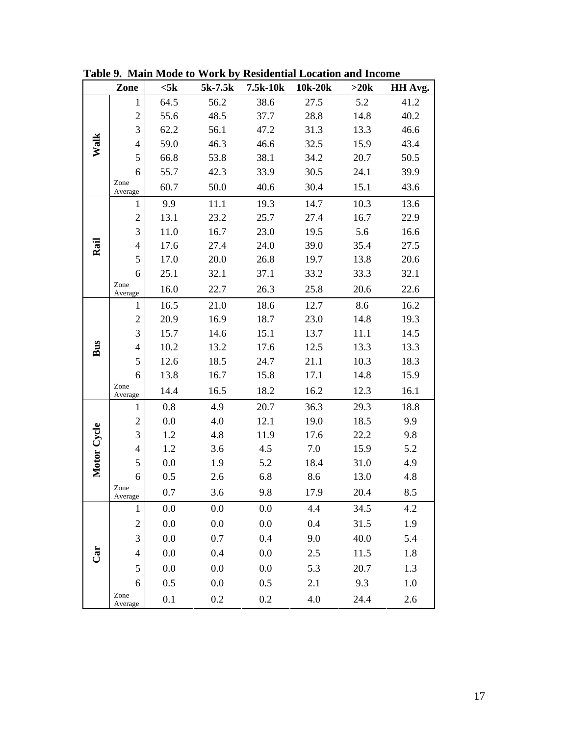|             | Zone             | $<$ 5 $k$ | $5k-7.5k$ | 7.5k-10k | 10k-20k | >20k | HH Avg. |
|-------------|------------------|-----------|-----------|----------|---------|------|---------|
|             | 1                | 64.5      | 56.2      | 38.6     | 27.5    | 5.2  | 41.2    |
|             | $\overline{2}$   | 55.6      | 48.5      | 37.7     | 28.8    | 14.8 | 40.2    |
|             | 3                | 62.2      | 56.1      | 47.2     | 31.3    | 13.3 | 46.6    |
| Walk        | $\overline{4}$   | 59.0      | 46.3      | 46.6     | 32.5    | 15.9 | 43.4    |
|             | 5                | 66.8      | 53.8      | 38.1     | 34.2    | 20.7 | 50.5    |
|             | 6                | 55.7      | 42.3      | 33.9     | 30.5    | 24.1 | 39.9    |
|             | Zone<br>Average  | 60.7      | 50.0      | 40.6     | 30.4    | 15.1 | 43.6    |
|             | 1                | 9.9       | 11.1      | 19.3     | 14.7    | 10.3 | 13.6    |
|             | $\mathbf 2$      | 13.1      | 23.2      | 25.7     | 27.4    | 16.7 | 22.9    |
|             | 3                | 11.0      | 16.7      | 23.0     | 19.5    | 5.6  | 16.6    |
| Rail        | $\overline{4}$   | 17.6      | 27.4      | 24.0     | 39.0    | 35.4 | 27.5    |
|             | 5                | 17.0      | 20.0      | 26.8     | 19.7    | 13.8 | 20.6    |
|             | 6                | 25.1      | 32.1      | 37.1     | 33.2    | 33.3 | 32.1    |
|             | Zone<br>Average  | 16.0      | 22.7      | 26.3     | 25.8    | 20.6 | 22.6    |
|             | 1                | 16.5      | 21.0      | 18.6     | 12.7    | 8.6  | 16.2    |
|             | $\overline{2}$   | 20.9      | 16.9      | 18.7     | 23.0    | 14.8 | 19.3    |
|             | 3                | 15.7      | 14.6      | 15.1     | 13.7    | 11.1 | 14.5    |
| Bus         | $\overline{4}$   | 10.2      | 13.2      | 17.6     | 12.5    | 13.3 | 13.3    |
|             | 5                | 12.6      | 18.5      | 24.7     | 21.1    | 10.3 | 18.3    |
|             | 6                | 13.8      | 16.7      | 15.8     | 17.1    | 14.8 | 15.9    |
|             | Zone<br>Average  | 14.4      | 16.5      | 18.2     | 16.2    | 12.3 | 16.1    |
|             | 1                | 0.8       | 4.9       | 20.7     | 36.3    | 29.3 | 18.8    |
|             | $\overline{c}$   | 0.0       | 4.0       | 12.1     | 19.0    | 18.5 | 9.9     |
| Motor Cycle | 3                | 1.2       | 4.8       | 11.9     | 17.6    | 22.2 | 9.8     |
|             | $\overline{4}$   | 1.2       | 3.6       | 4.5      | 7.0     | 15.9 | 5.2     |
|             | 5                | 0.0       | 1.9       | 5.2      | 18.4    | 31.0 | 4.9     |
|             | 6                | 0.5       | 2.6       | 6.8      | 8.6     | 13.0 | 4.8     |
|             | Zone<br>Average  | 0.7       | 3.6       | 9.8      | 17.9    | 20.4 | 8.5     |
|             | $\mathbf{1}$     | 0.0       | 0.0       | 0.0      | 4.4     | 34.5 | 4.2     |
|             | $\boldsymbol{2}$ | 0.0       | 0.0       | 0.0      | 0.4     | 31.5 | 1.9     |
|             | $\overline{3}$   | 0.0       | 0.7       | 0.4      | 9.0     | 40.0 | 5.4     |
| Car         | $\overline{4}$   | 0.0       | 0.4       | 0.0      | $2.5$   | 11.5 | 1.8     |
|             | 5                | 0.0       | 0.0       | 0.0      | 5.3     | 20.7 | 1.3     |
|             | 6                | 0.5       | 0.0       | 0.5      | 2.1     | 9.3  | 1.0     |
|             | Zone<br>Average  | 0.1       | 0.2       | 0.2      | 4.0     | 24.4 | 2.6     |

**Table 9. Main Mode to Work by Residential Location and Income**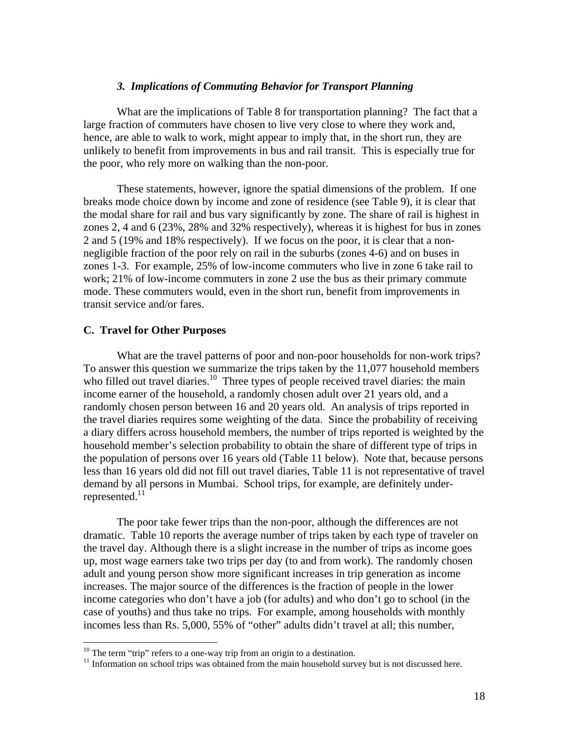## *3. Implications of Commuting Behavior for Transport Planning*

What are the implications of Table 8 for transportation planning? The fact that a large fraction of commuters have chosen to live very close to where they work and, hence, are able to walk to work, might appear to imply that, in the short run, they are unlikely to benefit from improvements in bus and rail transit. This is especially true for the poor, who rely more on walking than the non-poor.

These statements, however, ignore the spatial dimensions of the problem. If one breaks mode choice down by income and zone of residence (see Table 9), it is clear that the modal share for rail and bus vary significantly by zone. The share of rail is highest in zones 2, 4 and 6 (23%, 28% and 32% respectively), whereas it is highest for bus in zones 2 and 5 (19% and 18% respectively). If we focus on the poor, it is clear that a nonnegligible fraction of the poor rely on rail in the suburbs (zones 4-6) and on buses in zones 1-3. For example, 25% of low-income commuters who live in zone 6 take rail to work; 21% of low-income commuters in zone 2 use the bus as their primary commute mode. These commuters would, even in the short run, benefit from improvements in transit service and/or fares.

#### **C. Travel for Other Purposes**

 $\overline{a}$ 

What are the travel patterns of poor and non-poor households for non-work trips? To answer this question we summarize the trips taken by the 11,077 household members who filled out travel diaries.<sup>10</sup> Three types of people received travel diaries: the main income earner of the household, a randomly chosen adult over 21 years old, and a randomly chosen person between 16 and 20 years old. An analysis of trips reported in the travel diaries requires some weighting of the data. Since the probability of receiving a diary differs across household members, the number of trips reported is weighted by the household member's selection probability to obtain the share of different type of trips in the population of persons over 16 years old (Table 11 below). Note that, because persons less than 16 years old did not fill out travel diaries, Table 11 is not representative of travel demand by all persons in Mumbai. School trips, for example, are definitely underrepresented. $^{11}$ 

The poor take fewer trips than the non-poor, although the differences are not dramatic. Table 10 reports the average number of trips taken by each type of traveler on the travel day. Although there is a slight increase in the number of trips as income goes up, most wage earners take two trips per day (to and from work). The randomly chosen adult and young person show more significant increases in trip generation as income increases. The major source of the differences is the fraction of people in the lower income categories who don't have a job (for adults) and who don't go to school (in the case of youths) and thus take no trips. For example, among households with monthly incomes less than Rs. 5,000, 55% of "other" adults didn't travel at all; this number,

 $10$  The term "trip" refers to a one-way trip from an origin to a destination.

 $11$  Information on school trips was obtained from the main household survey but is not discussed here.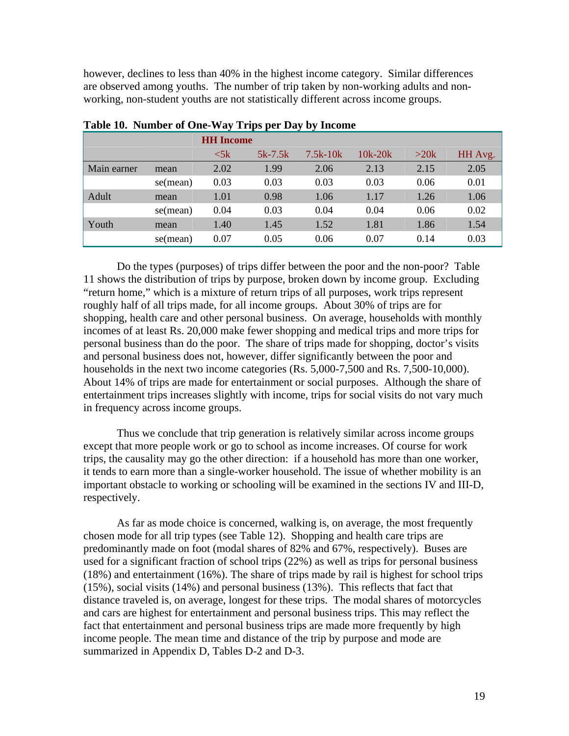however, declines to less than 40% in the highest income category. Similar differences are observed among youths. The number of trip taken by non-working adults and nonworking, non-student youths are not statistically different across income groups.

|             |          | <b>HH</b> Income |           |            |           |      |         |  |  |  |  |
|-------------|----------|------------------|-----------|------------|-----------|------|---------|--|--|--|--|
|             |          | $<$ 5 $k$        | $5k-7.5k$ | $7.5k-10k$ | $10k-20k$ | >20k | HH Avg. |  |  |  |  |
| Main earner | mean     | 2.02             | 1.99      | 2.06       | 2.13      | 2.15 | 2.05    |  |  |  |  |
|             | se(mean) | 0.03             | 0.03      | 0.03       | 0.03      | 0.06 | 0.01    |  |  |  |  |
| Adult       | mean     | 1.01             | 0.98      | 1.06       | 1.17      | 1.26 | 1.06    |  |  |  |  |
|             | se(mean) | 0.04             | 0.03      | 0.04       | 0.04      | 0.06 | 0.02    |  |  |  |  |
| Youth       | mean     | 1.40             | 1.45      | 1.52       | 1.81      | 1.86 | 1.54    |  |  |  |  |
|             | se(mean) | 0.07             | 0.05      | 0.06       | 0.07      | 0.14 | 0.03    |  |  |  |  |

## **Table 10. Number of One-Way Trips per Day by Income**

Do the types (purposes) of trips differ between the poor and the non-poor? Table 11 shows the distribution of trips by purpose, broken down by income group. Excluding "return home," which is a mixture of return trips of all purposes, work trips represent roughly half of all trips made, for all income groups. About 30% of trips are for shopping, health care and other personal business. On average, households with monthly incomes of at least Rs. 20,000 make fewer shopping and medical trips and more trips for personal business than do the poor. The share of trips made for shopping, doctor's visits and personal business does not, however, differ significantly between the poor and households in the next two income categories (Rs. 5,000-7,500 and Rs. 7,500-10,000). About 14% of trips are made for entertainment or social purposes. Although the share of entertainment trips increases slightly with income, trips for social visits do not vary much in frequency across income groups.

Thus we conclude that trip generation is relatively similar across income groups except that more people work or go to school as income increases. Of course for work trips, the causality may go the other direction: if a household has more than one worker, it tends to earn more than a single-worker household. The issue of whether mobility is an important obstacle to working or schooling will be examined in the sections IV and III-D, respectively.

As far as mode choice is concerned, walking is, on average, the most frequently chosen mode for all trip types (see Table 12). Shopping and health care trips are predominantly made on foot (modal shares of 82% and 67%, respectively). Buses are used for a significant fraction of school trips (22%) as well as trips for personal business (18%) and entertainment (16%). The share of trips made by rail is highest for school trips (15%), social visits (14%) and personal business (13%). This reflects that fact that distance traveled is, on average, longest for these trips. The modal shares of motorcycles and cars are highest for entertainment and personal business trips. This may reflect the fact that entertainment and personal business trips are made more frequently by high income people. The mean time and distance of the trip by purpose and mode are summarized in Appendix D, Tables D-2 and D-3.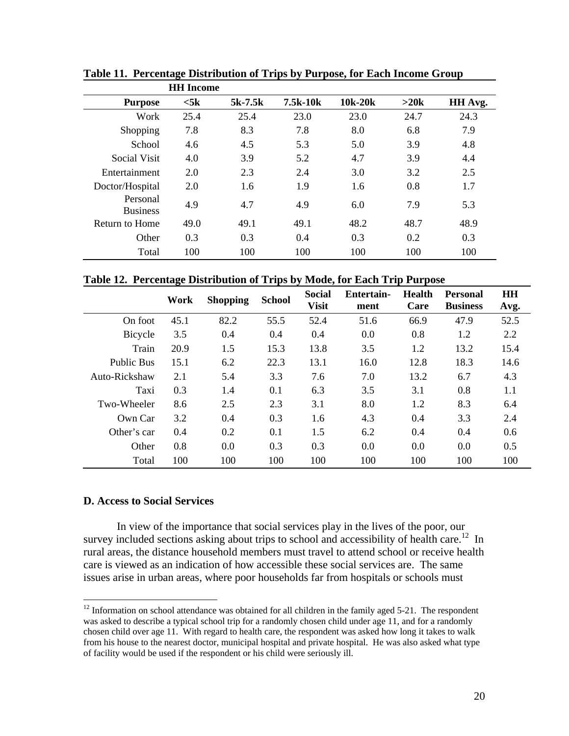|                             | <b>HH</b> Income |           |          |         |      |         |
|-----------------------------|------------------|-----------|----------|---------|------|---------|
| <b>Purpose</b>              | $<$ 5 $\bf{k}$   | $5k-7.5k$ | 7.5k-10k | 10k-20k | >20k | HH Avg. |
| Work                        | 25.4             | 25.4      | 23.0     | 23.0    | 24.7 | 24.3    |
| Shopping                    | 7.8              | 8.3       | 7.8      | 8.0     | 6.8  | 7.9     |
| School                      | 4.6              | 4.5       | 5.3      | 5.0     | 3.9  | 4.8     |
| Social Visit                | 4.0              | 3.9       | 5.2      | 4.7     | 3.9  | 4.4     |
| Entertainment               | 2.0              | 2.3       | 2.4      | 3.0     | 3.2  | 2.5     |
| Doctor/Hospital             | 2.0              | 1.6       | 1.9      | 1.6     | 0.8  | 1.7     |
| Personal<br><b>Business</b> | 4.9              | 4.7       | 4.9      | 6.0     | 7.9  | 5.3     |
| Return to Home              | 49.0             | 49.1      | 49.1     | 48.2    | 48.7 | 48.9    |
| Other                       | 0.3              | 0.3       | 0.4      | 0.3     | 0.2  | 0.3     |
| Total                       | 100              | 100       | 100      | 100     | 100  | 100     |

**Table 11. Percentage Distribution of Trips by Purpose, for Each Income Group** 

**Table 12. Percentage Distribution of Trips by Mode, for Each Trip Purpose** 

|                   | Work | <b>Shopping</b> | <b>School</b> | <b>Social</b><br><b>Visit</b> | Entertain-<br>ment | <b>Health</b><br>Care | <b>Personal</b><br><b>Business</b> | <b>HH</b><br>Avg. |
|-------------------|------|-----------------|---------------|-------------------------------|--------------------|-----------------------|------------------------------------|-------------------|
| On foot           | 45.1 | 82.2            | 55.5          | 52.4                          | 51.6               | 66.9                  | 47.9                               | 52.5              |
| Bicycle           | 3.5  | 0.4             | 0.4           | 0.4                           | 0.0                | 0.8                   | 1.2                                | 2.2               |
| Train             | 20.9 | 1.5             | 15.3          | 13.8                          | 3.5                | 1.2                   | 13.2                               | 15.4              |
| <b>Public Bus</b> | 15.1 | 6.2             | 22.3          | 13.1                          | 16.0               | 12.8                  | 18.3                               | 14.6              |
| Auto-Rickshaw     | 2.1  | 5.4             | 3.3           | 7.6                           | 7.0                | 13.2                  | 6.7                                | 4.3               |
| Taxi              | 0.3  | 1.4             | 0.1           | 6.3                           | 3.5                | 3.1                   | 0.8                                | 1.1               |
| Two-Wheeler       | 8.6  | 2.5             | 2.3           | 3.1                           | 8.0                | 1.2                   | 8.3                                | 6.4               |
| Own Car           | 3.2  | 0.4             | 0.3           | 1.6                           | 4.3                | 0.4                   | 3.3                                | 2.4               |
| Other's car       | 0.4  | 0.2             | 0.1           | 1.5                           | 6.2                | 0.4                   | 0.4                                | 0.6               |
| Other             | 0.8  | 0.0             | 0.3           | 0.3                           | 0.0                | 0.0                   | 0.0                                | 0.5               |
| Total             | 100  | 100             | 100           | 100                           | 100                | 100                   | 100                                | 100               |

## **D. Access to Social Services**

 $\overline{a}$ 

In view of the importance that social services play in the lives of the poor, our survey included sections asking about trips to school and accessibility of health care.<sup>12</sup> In rural areas, the distance household members must travel to attend school or receive health care is viewed as an indication of how accessible these social services are. The same issues arise in urban areas, where poor households far from hospitals or schools must

 $12$  Information on school attendance was obtained for all children in the family aged 5-21. The respondent was asked to describe a typical school trip for a randomly chosen child under age 11, and for a randomly chosen child over age 11. With regard to health care, the respondent was asked how long it takes to walk from his house to the nearest doctor, municipal hospital and private hospital. He was also asked what type of facility would be used if the respondent or his child were seriously ill.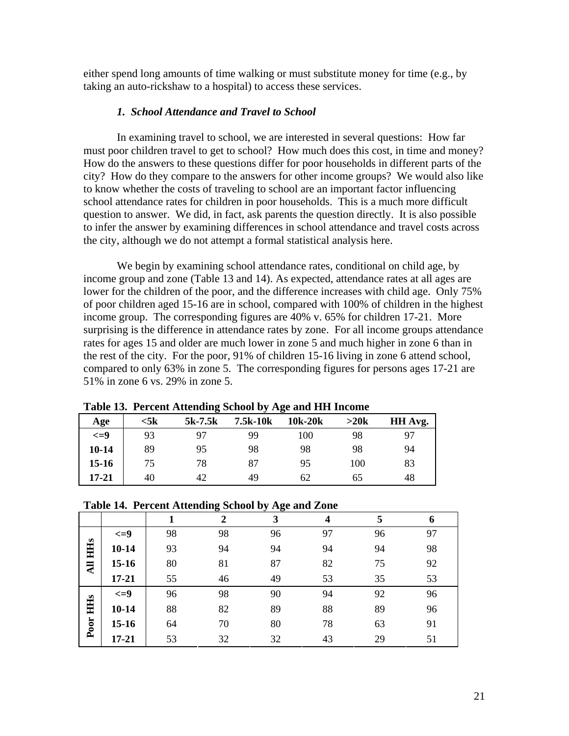either spend long amounts of time walking or must substitute money for time (e.g., by taking an auto-rickshaw to a hospital) to access these services.

## *1. School Attendance and Travel to School*

In examining travel to school, we are interested in several questions: How far must poor children travel to get to school? How much does this cost, in time and money? How do the answers to these questions differ for poor households in different parts of the city? How do they compare to the answers for other income groups? We would also like to know whether the costs of traveling to school are an important factor influencing school attendance rates for children in poor households. This is a much more difficult question to answer. We did, in fact, ask parents the question directly. It is also possible to infer the answer by examining differences in school attendance and travel costs across the city, although we do not attempt a formal statistical analysis here.

We begin by examining school attendance rates, conditional on child age, by income group and zone (Table 13 and 14). As expected, attendance rates at all ages are lower for the children of the poor, and the difference increases with child age. Only 75% of poor children aged 15-16 are in school, compared with 100% of children in the highest income group. The corresponding figures are 40% v. 65% for children 17-21. More surprising is the difference in attendance rates by zone. For all income groups attendance rates for ages 15 and older are much lower in zone 5 and much higher in zone 6 than in the rest of the city. For the poor, 91% of children 15-16 living in zone 6 attend school, compared to only 63% in zone 5. The corresponding figures for persons ages 17-21 are 51% in zone 6 vs. 29% in zone 5.

| Age       | <5k | ີ<br>$5k-7.5k$ | 7.5k-10k | ້<br>10k-20k | >20k | HH Avg. |
|-----------|-----|----------------|----------|--------------|------|---------|
| $\leq$ =9 | 93  | 97             | 99       | 100          | 98   | 97      |
| $10 - 14$ | 89  | 95             | 98       | 98           | 98   | 94      |
| $15 - 16$ | 75  | 78             | 87       | 95           | 100  | 83      |
| $17 - 21$ | 40  | 42             | 49       | 62           | 65   | 48      |

**Table 13. Percent Attending School by Age and HH Income** 

| Table 14. Percent Attending School by Age and Zone |  |  |  |  |  |  |  |
|----------------------------------------------------|--|--|--|--|--|--|--|
|----------------------------------------------------|--|--|--|--|--|--|--|

|                 |           | л  | -9<br>$\mathbf 2$ | --ə-<br>3 | 4  | 5  | $\mathbf b$ |
|-----------------|-----------|----|-------------------|-----------|----|----|-------------|
|                 | $\leq$ =9 | 98 | 98                | 96        | 97 | 96 | 97          |
| HHS             | $10 - 14$ | 93 | 94                | 94        | 94 | 94 | 98          |
| $\overline{AB}$ | $15-16$   | 80 | 81                | 87        | 82 | 75 | 92          |
|                 | $17 - 21$ | 55 | 46                | 49        | 53 | 35 | 53          |
|                 | $\leq$ =9 | 96 | 98                | 90        | 94 | 92 | 96          |
| HHS             | $10 - 14$ | 88 | 82                | 89        | 88 | 89 | 96          |
| Poor            | $15-16$   | 64 | 70                | 80        | 78 | 63 | 91          |
|                 | $17 - 21$ | 53 | 32                | 32        | 43 | 29 | 51          |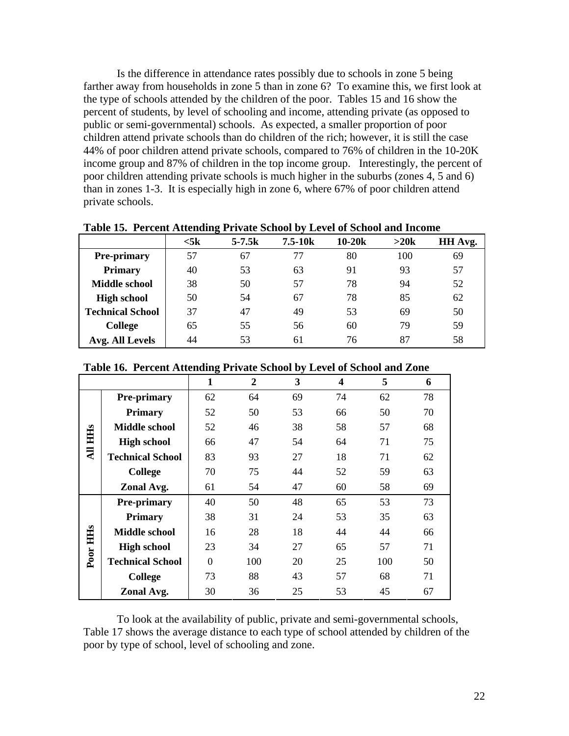Is the difference in attendance rates possibly due to schools in zone 5 being farther away from households in zone 5 than in zone 6? To examine this, we first look at the type of schools attended by the children of the poor. Tables 15 and 16 show the percent of students, by level of schooling and income, attending private (as opposed to public or semi-governmental) schools. As expected, a smaller proportion of poor children attend private schools than do children of the rich; however, it is still the case 44% of poor children attend private schools, compared to 76% of children in the 10-20K income group and 87% of children in the top income group. Interestingly, the percent of poor children attending private schools is much higher in the suburbs (zones 4, 5 and 6) than in zones 1-3. It is especially high in zone 6, where 67% of poor children attend private schools.

|                         | $<$ 5 $\bf k$ | $5 - 7.5k$ | $7.5 - 10k$ | $10-20k$ | >20k | HH Avg. |
|-------------------------|---------------|------------|-------------|----------|------|---------|
| <b>Pre-primary</b>      | 57            | 67         | 77          | 80       | 100  | 69      |
| <b>Primary</b>          | 40            | 53         | 63          | 91       | 93   | 57      |
| <b>Middle school</b>    | 38            | 50         | 57          | 78       | 94   | 52      |
| <b>High school</b>      | 50            | 54         | 67          | 78       | 85   | 62      |
| <b>Technical School</b> | 37            | 47         | 49          | 53       | 69   | 50      |
| <b>College</b>          | 65            | 55         | 56          | 60       | 79   | 59      |
| Avg. All Levels         | 44            | 53         | 61          | 76       | 87   | 58      |

**Table 15. Percent Attending Private School by Level of School and Income** 

|  | Table 16. Percent Attending Private School by Level of School and Zone |
|--|------------------------------------------------------------------------|
|  |                                                                        |

|                |                         | 1              | $\mathbf{2}$ | 3  | 4  | 5   | 6  |
|----------------|-------------------------|----------------|--------------|----|----|-----|----|
|                | <b>Pre-primary</b>      | 62             | 64           | 69 | 74 | 62  | 78 |
|                | <b>Primary</b>          | 52             | 50           | 53 | 66 | 50  | 70 |
|                | <b>Middle school</b>    | 52             | 46           | 38 | 58 | 57  | 68 |
| <b>All HHs</b> | <b>High school</b>      | 66             | 47           | 54 | 64 | 71  | 75 |
|                | <b>Technical School</b> | 83             | 93           | 27 | 18 | 71  | 62 |
|                | <b>College</b>          | 70             | 75           | 44 | 52 | 59  | 63 |
|                | Zonal Avg.              | 61             | 54           | 47 | 60 | 58  | 69 |
|                | <b>Pre-primary</b>      | 40             | 50           | 48 | 65 | 53  | 73 |
|                | <b>Primary</b>          | 38             | 31           | 24 | 53 | 35  | 63 |
|                | <b>Middle school</b>    | 16             | 28           | 18 | 44 | 44  | 66 |
| Poor HHs       | <b>High school</b>      | 23             | 34           | 27 | 65 | 57  | 71 |
|                | <b>Technical School</b> | $\overline{0}$ | 100          | 20 | 25 | 100 | 50 |
|                | <b>College</b>          | 73             | 88           | 43 | 57 | 68  | 71 |
|                | Zonal Avg.              | 30             | 36           | 25 | 53 | 45  | 67 |

To look at the availability of public, private and semi-governmental schools, Table 17 shows the average distance to each type of school attended by children of the poor by type of school, level of schooling and zone.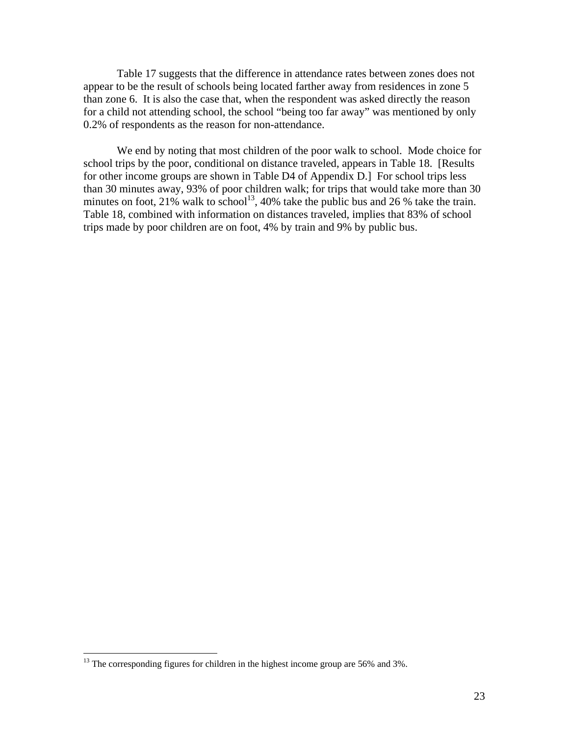Table 17 suggests that the difference in attendance rates between zones does not appear to be the result of schools being located farther away from residences in zone 5 than zone 6. It is also the case that, when the respondent was asked directly the reason for a child not attending school, the school "being too far away" was mentioned by only 0.2% of respondents as the reason for non-attendance.

We end by noting that most children of the poor walk to school. Mode choice for school trips by the poor, conditional on distance traveled, appears in Table 18. [Results for other income groups are shown in Table D4 of Appendix D.] For school trips less than 30 minutes away, 93% of poor children walk; for trips that would take more than 30 minutes on foot, 21% walk to school<sup>13</sup>, 40% take the public bus and 26 % take the train. Table 18, combined with information on distances traveled, implies that 83% of school trips made by poor children are on foot, 4% by train and 9% by public bus.

 $\overline{a}$ 

 $13$  The corresponding figures for children in the highest income group are 56% and 3%.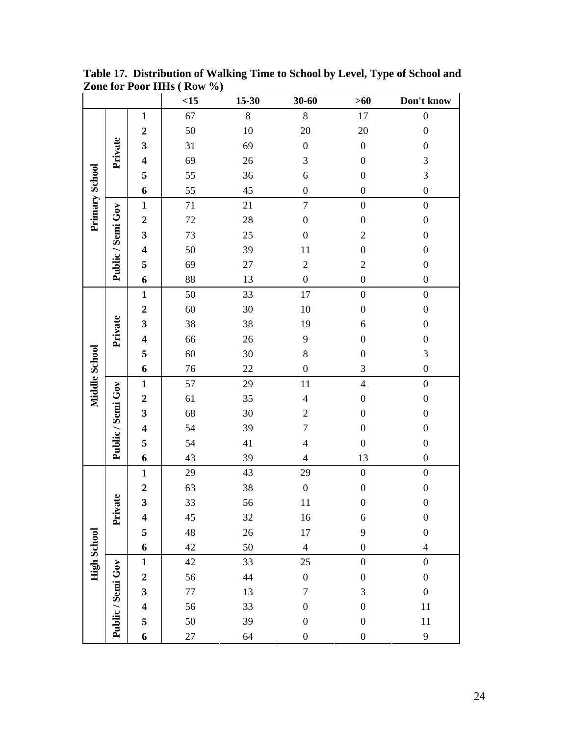|                       |                   |                         | <15     | 15-30   | $30 - 60$                | $>60$            | Don't know       |
|-----------------------|-------------------|-------------------------|---------|---------|--------------------------|------------------|------------------|
|                       |                   | $\mathbf{1}$            | 67      | $\,8\,$ | 8                        | $17\,$           | $\boldsymbol{0}$ |
|                       |                   | $\boldsymbol{2}$        | 50      | 10      | 20                       | 20               | $\boldsymbol{0}$ |
|                       | Private           | $\mathbf{3}$            | 31      | 69      | $\boldsymbol{0}$         | $\boldsymbol{0}$ | $\boldsymbol{0}$ |
|                       |                   | $\overline{\mathbf{4}}$ | 69      | 26      | 3                        | $\boldsymbol{0}$ | 3                |
|                       |                   | 5                       | 55      | 36      | 6                        | $\boldsymbol{0}$ | 3                |
|                       |                   | 6                       | 55      | 45      | $\boldsymbol{0}$         | $\boldsymbol{0}$ | $\boldsymbol{0}$ |
| <b>Primary School</b> |                   | $\mathbf{1}$            | $71\,$  | 21      | $\boldsymbol{7}$         | $\boldsymbol{0}$ | $\boldsymbol{0}$ |
|                       |                   | $\boldsymbol{2}$        | 72      | $28\,$  | $\boldsymbol{0}$         | $\boldsymbol{0}$ | $\boldsymbol{0}$ |
|                       |                   | $\mathbf{3}$            | 73      | $25\,$  | $\boldsymbol{0}$         | $\overline{c}$   | $\boldsymbol{0}$ |
|                       |                   | $\overline{\mathbf{4}}$ | 50      | 39      | 11                       | $\boldsymbol{0}$ | $\boldsymbol{0}$ |
|                       | Public / Semi Gov | 5                       | 69      | $27\,$  | $\overline{c}$           | $\overline{c}$   | $\boldsymbol{0}$ |
|                       |                   | 6                       | 88      | 13      | $\boldsymbol{0}$         | $\boldsymbol{0}$ | $\boldsymbol{0}$ |
|                       |                   | $\mathbf{1}$            | 50      | 33      | $17\,$                   | $\boldsymbol{0}$ | $\boldsymbol{0}$ |
|                       |                   | $\boldsymbol{2}$        | 60      | 30      | 10                       | $\boldsymbol{0}$ | $\boldsymbol{0}$ |
|                       |                   | 3                       | 38      | 38      | 19                       | $\boldsymbol{6}$ | $\boldsymbol{0}$ |
|                       | Private           | $\overline{\mathbf{4}}$ | 66      | $26\,$  | 9                        | $\boldsymbol{0}$ | $\boldsymbol{0}$ |
|                       |                   | 5                       | 60      | 30      | 8                        | $\boldsymbol{0}$ | 3                |
|                       |                   | 6                       | 76      | 22      | $\boldsymbol{0}$         | 3                | $\boldsymbol{0}$ |
| Middle School         |                   | $\mathbf{1}$            | 57      | 29      | 11                       | $\overline{4}$   | $\boldsymbol{0}$ |
|                       | Public / Semi Gov | $\boldsymbol{2}$        | 61      | 35      | $\overline{\mathcal{L}}$ | $\boldsymbol{0}$ | $\boldsymbol{0}$ |
|                       |                   | $\mathbf{3}$            | 68      | 30      | $\overline{c}$           | $\boldsymbol{0}$ | $\boldsymbol{0}$ |
|                       |                   | $\overline{\mathbf{4}}$ | 54      | 39      | $\overline{7}$           | $\boldsymbol{0}$ | $\boldsymbol{0}$ |
|                       |                   | 5                       | 54      | 41      | $\overline{\mathcal{L}}$ | $\boldsymbol{0}$ | $\boldsymbol{0}$ |
|                       |                   | 6                       | 43      | 39      | $\overline{4}$           | 13               | $\boldsymbol{0}$ |
|                       |                   | $\mathbf{1}$            | 29      | 43      | 29                       | $\boldsymbol{0}$ | $\boldsymbol{0}$ |
|                       |                   | $\boldsymbol{2}$        | 63      | 38      | $\boldsymbol{0}$         | $\boldsymbol{0}$ | $\boldsymbol{0}$ |
|                       | vate              | 3                       | 33      | 56      | 11                       | $\boldsymbol{0}$ | $\boldsymbol{0}$ |
|                       | Èń                | $\overline{\mathbf{4}}$ | 45      | 32      | $16$                     | $\boldsymbol{6}$ | $\boldsymbol{0}$ |
|                       |                   | 5                       | 48      | 26      | $17\,$                   | 9                | $\boldsymbol{0}$ |
| <b>High School</b>    |                   | 6                       | 42      | 50      | $\overline{4}$           | $\boldsymbol{0}$ | $\overline{4}$   |
|                       |                   | $\mathbf{1}$            | 42      | 33      | $25\,$                   | $\boldsymbol{0}$ | $\boldsymbol{0}$ |
|                       | Public / Semi Gov | $\boldsymbol{2}$        | 56      | 44      | $\boldsymbol{0}$         | $\boldsymbol{0}$ | $\boldsymbol{0}$ |
|                       |                   | 3                       | $77 \,$ | 13      | $\overline{7}$           | $\mathfrak{Z}$   | $\boldsymbol{0}$ |
|                       |                   | $\overline{\mathbf{4}}$ | 56      | 33      | $\boldsymbol{0}$         | $\boldsymbol{0}$ | 11               |
|                       |                   | 5                       | 50      | 39      | $\boldsymbol{0}$         | $\boldsymbol{0}$ | 11               |
|                       |                   | 6                       | $27\,$  | 64      | $\boldsymbol{0}$         | $\boldsymbol{0}$ | $\mathbf{9}$     |

**Table 17. Distribution of Walking Time to School by Level, Type of School and Zone for Poor HHs ( Row %)**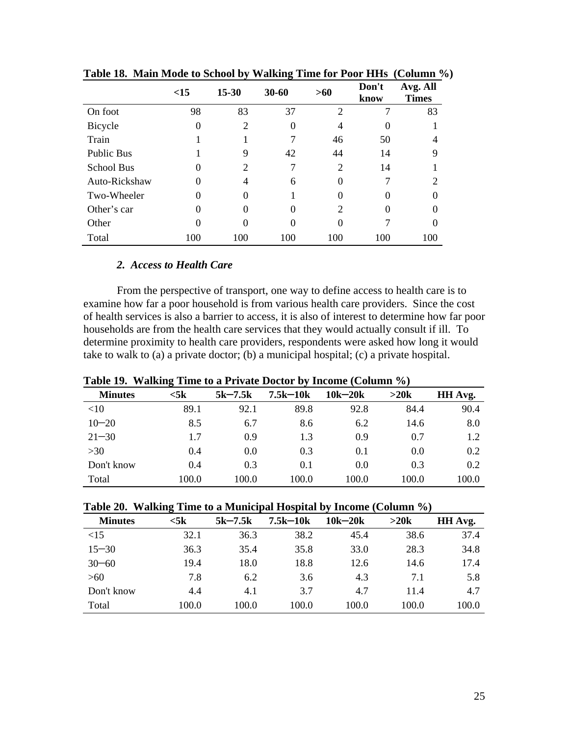|                   | <15      | $15 - 30$ | $30 - 60$ | >60                         | Don't<br>know | Avg. All<br><b>Times</b> |
|-------------------|----------|-----------|-----------|-----------------------------|---------------|--------------------------|
| On foot           | 98       | 83        | 37        | $\overline{2}$              | 7             | 83                       |
| Bicycle           | $\Omega$ | 2         | $\theta$  | $\overline{4}$              |               |                          |
| Train             |          |           |           | 46                          | 50            |                          |
| <b>Public Bus</b> |          | 9         | 42        | 44                          | 14            | 9                        |
| <b>School Bus</b> | $\Omega$ | 2         |           | $\overline{2}$              | 14            |                          |
| Auto-Rickshaw     | 0        | 4         | 6         | $\Omega$                    |               | $\overline{c}$           |
| Two-Wheeler       | 0        | 0         |           | 0                           | $\Omega$      |                          |
| Other's car       | 0        | 0         | 0         | $\mathcal{D}_{\mathcal{L}}$ | $\Omega$      |                          |
| Other             |          | 0         | $\Omega$  | 0                           |               |                          |
| Total             | 100      | 100       | 100       | 100                         | 100           | 100                      |

**Table 18. Main Mode to School by Walking Time for Poor HHs (Column %)** 

## *2. Access to Health Care*

From the perspective of transport, one way to define access to health care is to examine how far a poor household is from various health care providers. Since the cost of health services is also a barrier to access, it is also of interest to determine how far poor households are from the health care services that they would actually consult if ill. To determine proximity to health care providers, respondents were asked how long it would take to walk to (a) a private doctor; (b) a municipal hospital; (c) a private hospital.

|                | <b>Table 17. Walking Thile to a FITAGE DOCTOR BY HICOHIE (CORDINII)</b> 70) |             |              |             |       |               |  |  |  |  |
|----------------|-----------------------------------------------------------------------------|-------------|--------------|-------------|-------|---------------|--|--|--|--|
| <b>Minutes</b> | $<$ 5 $\bf{k}$                                                              | $5k - 7.5k$ | $7.5k - 10k$ | $10k - 20k$ | >20k  | HH Avg.       |  |  |  |  |
| $<$ 10         | 89.1                                                                        | 92.1        | 89.8         | 92.8        | 84.4  | 90.4          |  |  |  |  |
| $10 - 20$      | 8.5                                                                         | 6.7         | 8.6          | 6.2         | 14.6  | 8.0           |  |  |  |  |
| $21 - 30$      | 1.7                                                                         | 0.9         | 1.3          | 0.9         | 0.7   | 1.2           |  |  |  |  |
| >30            | 0.4                                                                         | 0.0         | 0.3          | 0.1         | 0.0   | $0.2^{\circ}$ |  |  |  |  |
| Don't know     | 0.4                                                                         | 0.3         | 0.1          | 0.0         | 0.3   | 0.2           |  |  |  |  |
| Total          | 100.0                                                                       | 100.0       | 100.0        | 100.0       | 100.0 | 100.0         |  |  |  |  |

**Table 19. Walking Time to a Private Doctor by Income (Column %)** 

|  |  |  | Table 20. Walking Time to a Municipal Hospital by Income (Column %) |
|--|--|--|---------------------------------------------------------------------|
|  |  |  |                                                                     |

| <b>Minutes</b> | −<br>$<$ 5 $\bf{k}$ | $5k-7.5k$ | $7.5k - 10k$ | $10k - 20k$ | >20k  | HH Avg. |
|----------------|---------------------|-----------|--------------|-------------|-------|---------|
| <15            | 32.1                | 36.3      | 38.2         | 45.4        | 38.6  | 37.4    |
| $15 - 30$      | 36.3                | 35.4      | 35.8         | 33.0        | 28.3  | 34.8    |
| $30 - 60$      | 19.4                | 18.0      | 18.8         | 12.6        | 14.6  | 17.4    |
| >60            | 7.8                 | 6.2       | 3.6          | 4.3         | 7.1   | 5.8     |
| Don't know     | 4.4                 | 4.1       | 3.7          | 4.7         | 11.4  | 4.7     |
| Total          | 100.0               | 100.0     | 100.0        | 100.0       | 100.0 | 100.0   |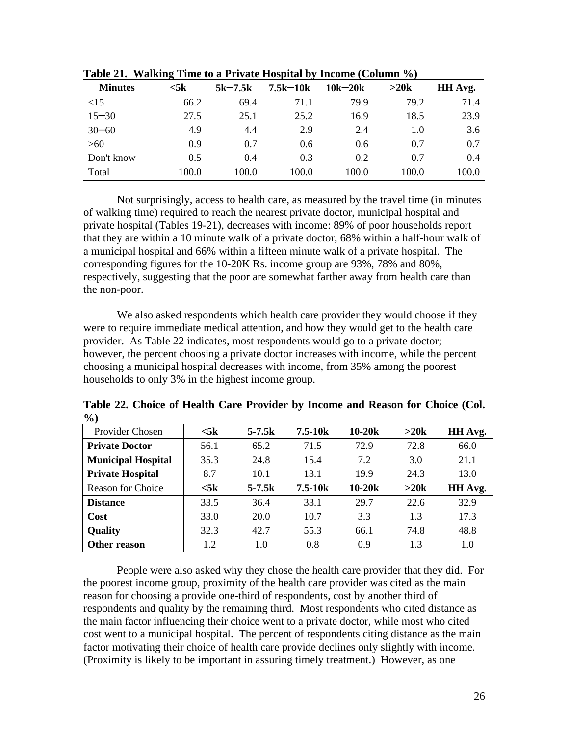|                | ີ         |           |              |             |       |         |
|----------------|-----------|-----------|--------------|-------------|-------|---------|
| <b>Minutes</b> | $<$ 5 $k$ | $5k-7.5k$ | $7.5k - 10k$ | $10k - 20k$ | >20k  | HH Avg. |
| <15            | 66.2      | 69.4      | 71.1         | 79.9        | 79.2  | 71.4    |
| $15 - 30$      | 27.5      | 25.1      | 25.2         | 16.9        | 18.5  | 23.9    |
| $30 - 60$      | 4.9       | 4.4       | 2.9          | 2.4         | 1.0   | 3.6     |
| >60            | 0.9       | 0.7       | 0.6          | 0.6         | 0.7   | 0.7     |
| Don't know     | 0.5       | 0.4       | 0.3          | 0.2         | 0.7   | 0.4     |
| Total          | 100.0     | 100.0     | 100.0        | 100.0       | 100.0 | 100.0   |

**Table 21. Walking Time to a Private Hospital by Income (Column %)** 

Not surprisingly, access to health care, as measured by the travel time (in minutes of walking time) required to reach the nearest private doctor, municipal hospital and private hospital (Tables 19-21), decreases with income: 89% of poor households report that they are within a 10 minute walk of a private doctor, 68% within a half-hour walk of a municipal hospital and 66% within a fifteen minute walk of a private hospital. The corresponding figures for the 10-20K Rs. income group are 93%, 78% and 80%, respectively, suggesting that the poor are somewhat farther away from health care than the non-poor.

We also asked respondents which health care provider they would choose if they were to require immediate medical attention, and how they would get to the health care provider. As Table 22 indicates, most respondents would go to a private doctor; however, the percent choosing a private doctor increases with income, while the percent choosing a municipal hospital decreases with income, from 35% among the poorest households to only 3% in the highest income group.

| $\prime\,$ v $\prime\,$   |                |            |             |          |      |         |
|---------------------------|----------------|------------|-------------|----------|------|---------|
| Provider Chosen           | $<$ 5 $k$      | $5 - 7.5k$ | $7.5 - 10k$ | $10-20k$ | >20k | HH Avg. |
| <b>Private Doctor</b>     | 56.1           | 65.2       | 71.5        | 72.9     | 72.8 | 66.0    |
| <b>Municipal Hospital</b> | 35.3           | 24.8       | 15.4        | 7.2      | 3.0  | 21.1    |
| <b>Private Hospital</b>   | 8.7            | 10.1       | 13.1        | 19.9     | 24.3 | 13.0    |
| <b>Reason for Choice</b>  | $<$ 5 $\bf{k}$ | $5 - 7.5k$ | $7.5 - 10k$ | $10-20k$ | >20k | HH Avg. |
| <b>Distance</b>           | 33.5           | 36.4       | 33.1        | 29.7     | 22.6 | 32.9    |
| Cost                      | 33.0           | 20.0       | 10.7        | 3.3      | 1.3  | 17.3    |
| <b>Quality</b>            | 32.3           | 42.7       | 55.3        | 66.1     | 74.8 | 48.8    |
| Other reason              | 1.2            | 1.0        | 0.8         | 0.9      | 1.3  | 1.0     |

**Table 22. Choice of Health Care Provider by Income and Reason for Choice (Col.**   $\mathbf{O}(\mathbf{A})$ 

People were also asked why they chose the health care provider that they did. For the poorest income group, proximity of the health care provider was cited as the main reason for choosing a provide one-third of respondents, cost by another third of respondents and quality by the remaining third. Most respondents who cited distance as the main factor influencing their choice went to a private doctor, while most who cited cost went to a municipal hospital. The percent of respondents citing distance as the main factor motivating their choice of health care provide declines only slightly with income. (Proximity is likely to be important in assuring timely treatment.) However, as one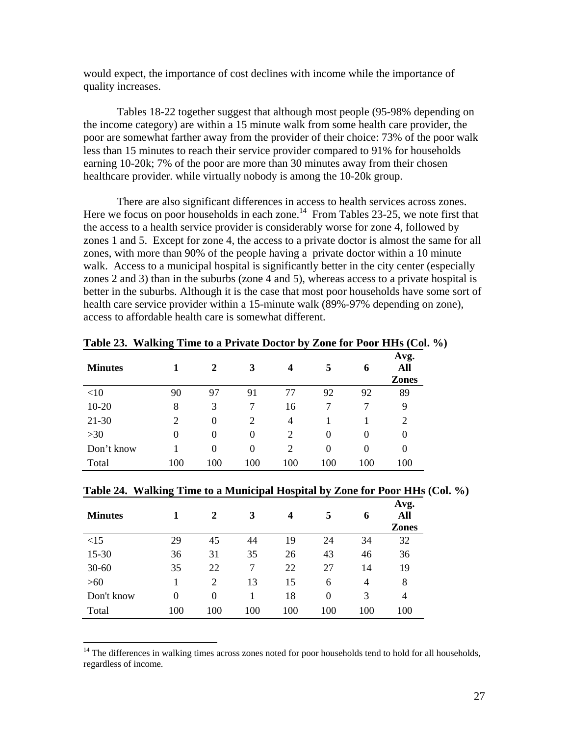would expect, the importance of cost declines with income while the importance of quality increases.

Tables 18-22 together suggest that although most people (95-98% depending on the income category) are within a 15 minute walk from some health care provider, the poor are somewhat farther away from the provider of their choice: 73% of the poor walk less than 15 minutes to reach their service provider compared to 91% for households earning 10-20k; 7% of the poor are more than 30 minutes away from their chosen healthcare provider. while virtually nobody is among the 10-20k group.

There are also significant differences in access to health services across zones. Here we focus on poor households in each zone.<sup>14</sup> From Tables 23-25, we note first that the access to a health service provider is considerably worse for zone 4, followed by zones 1 and 5. Except for zone 4, the access to a private doctor is almost the same for all zones, with more than 90% of the people having a private doctor within a 10 minute walk. Access to a municipal hospital is significantly better in the city center (especially zones 2 and 3) than in the suburbs (zone 4 and 5), whereas access to a private hospital is better in the suburbs. Although it is the case that most poor households have some sort of health care service provider within a 15-minute walk (89%-97% depending on zone), access to affordable health care is somewhat different.

| <b>Minutes</b> |     | 2   | 3                | $\boldsymbol{4}$ | 5        | 6   | Avg.<br>All<br><b>Zones</b> |
|----------------|-----|-----|------------------|------------------|----------|-----|-----------------------------|
| $<$ 10         | 90  | 97  | 91               | 77               | 92       | 92  | 89                          |
| $10 - 20$      | 8   | 3   | 7                | 16               |          |     | 9                           |
| $21 - 30$      | 2   | 0   | $\overline{2}$   | 4                |          |     | 2                           |
| $>30$          | 0   | 0   | $\boldsymbol{0}$ | 2                | $\theta$ | 0   | 0                           |
| Don't know     |     | 0   | $\boldsymbol{0}$ | 2                | $\theta$ | 0   | 0                           |
| Total          | 100 | 100 | 100              | 100              | 100      | 100 | 100                         |

**Table 23. Walking Time to a Private Doctor by Zone for Poor HHs (Col. %)**

|  |  | Table 24. Walking Time to a Municipal Hospital by Zone for Poor HHs (Col. %) |  |  |
|--|--|------------------------------------------------------------------------------|--|--|
|  |  |                                                                              |  |  |

| <b>Minutes</b> |                  | 2   | 3   | 4   | 5        | 6              | Avg.<br>All<br><b>Zones</b> |
|----------------|------------------|-----|-----|-----|----------|----------------|-----------------------------|
| <15            | 29               | 45  | 44  | 19  | 24       | 34             | 32                          |
| $15 - 30$      | 36               | 31  | 35  | 26  | 43       | 46             | 36                          |
| $30 - 60$      | 35               | 22  | 7   | 22  | 27       | 14             | 19                          |
| $>60$          | 1                | 2   | 13  | 15  | 6        | $\overline{4}$ | 8                           |
| Don't know     | $\boldsymbol{0}$ | 0   |     | 18  | $\theta$ | 3              | 4                           |
| Total          | 100              | 100 | 100 | 100 | 100      | 100            | 100                         |

 $\overline{a}$ 

<sup>14</sup> The differences in walking times across zones noted for poor households tend to hold for all households, regardless of income.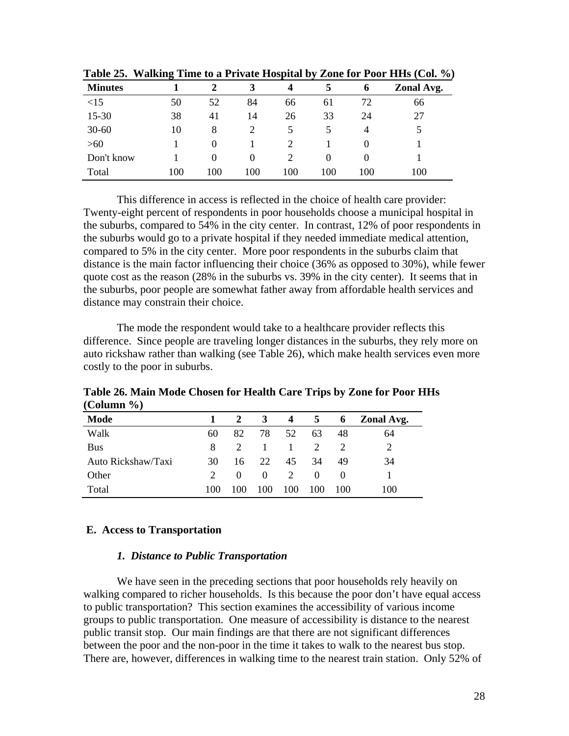| <b>Minutes</b> | ъ   | 2        | 3   | 4   | 5        | $\mathbf 6$ | Zonal Avg. |
|----------------|-----|----------|-----|-----|----------|-------------|------------|
| <15            | 50  | 52       | 84  | 66  | 61       | 72          | 66         |
| 15-30          | 38  | 41       | 14  | 26  | 33       | 24          | 27         |
| $30 - 60$      | 10  | 8        |     | 5   |          |             | 5          |
| $>60$          |     | $\theta$ |     |     |          |             |            |
| Don't know     |     | $\theta$ | 0   |     | $\Omega$ |             |            |
| Total          | 100 | 100      | 100 | 100 | 100      | 100         | 100        |

**Table 25. Walking Time to a Private Hospital by Zone for Poor HHs (Col. %)**

This difference in access is reflected in the choice of health care provider: Twenty-eight percent of respondents in poor households choose a municipal hospital in the suburbs, compared to 54% in the city center. In contrast, 12% of poor respondents in the suburbs would go to a private hospital if they needed immediate medical attention, compared to 5% in the city center. More poor respondents in the suburbs claim that distance is the main factor influencing their choice (36% as opposed to 30%), while fewer quote cost as the reason (28% in the suburbs vs. 39% in the city center). It seems that in the suburbs, poor people are somewhat father away from affordable health services and distance may constrain their choice.

The mode the respondent would take to a healthcare provider reflects this difference. Since people are traveling longer distances in the suburbs, they rely more on auto rickshaw rather than walking (see Table 26), which make health services even more costly to the poor in suburbs.

**Table 26. Main Mode Chosen for Health Care Trips by Zone for Poor HHs (Column %)**

| Mode               | $\mathbf{1}$ |             | $\mathbf{3}$ |                 | 4 5           | 6        | Zonal Avg. |
|--------------------|--------------|-------------|--------------|-----------------|---------------|----------|------------|
| Walk               | 60           | 82          | 78           | 52              | 63            | 48       | 64         |
| Bus                | 8            | $2^{\circ}$ | $\sim$ 1     | $\sim$ 1 $\sim$ | $\mathcal{L}$ |          |            |
| Auto Rickshaw/Taxi | 30           | 16          | 22           | 45              | 34            | 49       | 34         |
| Other              | $2^{\circ}$  | $\theta$    | $\theta$     | 2               | $\Omega$      | $\theta$ |            |
| Total              | 100          | 100         | 100          | 100             | 100           | 100      | 100        |

#### **E. Access to Transportation**

## *1. Distance to Public Transportation*

We have seen in the preceding sections that poor households rely heavily on walking compared to richer households. Is this because the poor don't have equal access to public transportation? This section examines the accessibility of various income groups to public transportation. One measure of accessibility is distance to the nearest public transit stop. Our main findings are that there are not significant differences between the poor and the non-poor in the time it takes to walk to the nearest bus stop. There are, however, differences in walking time to the nearest train station. Only 52% of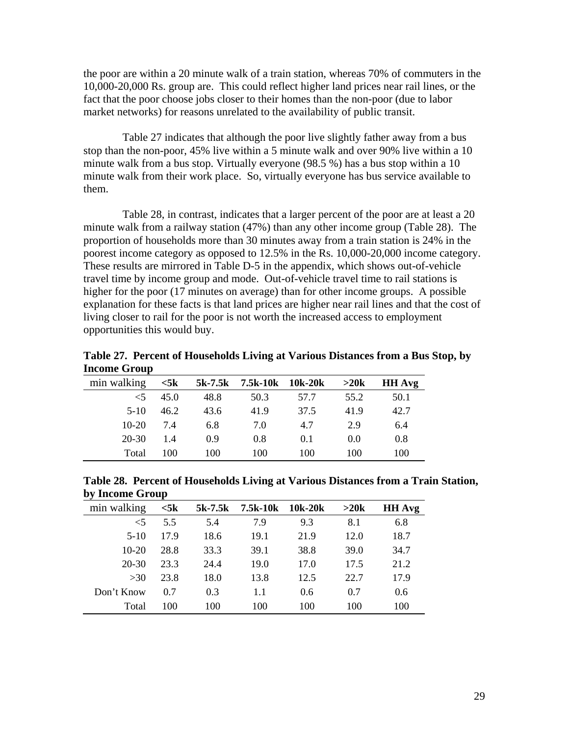the poor are within a 20 minute walk of a train station, whereas 70% of commuters in the 10,000-20,000 Rs. group are. This could reflect higher land prices near rail lines, or the fact that the poor choose jobs closer to their homes than the non-poor (due to labor market networks) for reasons unrelated to the availability of public transit.

Table 27 indicates that although the poor live slightly father away from a bus stop than the non-poor, 45% live within a 5 minute walk and over 90% live within a 10 minute walk from a bus stop. Virtually everyone (98.5 %) has a bus stop within a 10 minute walk from their work place. So, virtually everyone has bus service available to them.

Table 28, in contrast, indicates that a larger percent of the poor are at least a 20 minute walk from a railway station (47%) than any other income group (Table 28). The proportion of households more than 30 minutes away from a train station is 24% in the poorest income category as opposed to 12.5% in the Rs. 10,000-20,000 income category. These results are mirrored in Table D-5 in the appendix, which shows out-of-vehicle travel time by income group and mode. Out-of-vehicle travel time to rail stations is higher for the poor (17 minutes on average) than for other income groups. A possible explanation for these facts is that land prices are higher near rail lines and that the cost of living closer to rail for the poor is not worth the increased access to employment opportunities this would buy.

**Table 27. Percent of Households Living at Various Distances from a Bus Stop, by Income Group** 

| min walking | $<$ 5 $k$ | 5k-7.5k | 7.5k-10k | 10k-20k | >20k | <b>HH</b> Avg |
|-------------|-----------|---------|----------|---------|------|---------------|
| $\leq$ 5    | 45.0      | 48.8    | 50.3     | 57.7    | 55.2 | 50.1          |
| $5-10$      | 46.2      | 43.6    | 41.9     | 37.5    | 41.9 | 42.7          |
| $10-20$     | 74        | 6.8     | 7.0      | 4.7     | 2.9  | 6.4           |
| $20 - 30$   | 1.4       | 0.9     | 0.8      | 0.1     | 0.0  | 0.8           |
| Total       | 100       | 100     | 100      | 100     | 100  | 100           |

**Table 28. Percent of Households Living at Various Distances from a Train Station, by Income Group** 

| ~ J         |                |         |          |               |      |               |
|-------------|----------------|---------|----------|---------------|------|---------------|
| min walking | $<$ 5 $\bf{k}$ | 5k-7.5k | 7.5k-10k | 10k-20k       | >20k | <b>HH Avg</b> |
| $\leq 5$    | 5.5            | 5.4     | 7.9      | 9.3           | 8.1  | 6.8           |
| $5-10$      | 17.9           | 18.6    | 19.1     | 21.9          | 12.0 | 18.7          |
| $10-20$     | 28.8           | 33.3    | 39.1     | 38.8          | 39.0 | 34.7          |
| $20 - 30$   | 23.3           | 24.4    | 19.0     | 17.0          | 17.5 | 21.2          |
| >30         | 23.8           | 18.0    | 13.8     | 12.5          | 22.7 | 17.9          |
| Don't Know  | 0.7            | 0.3     | 1.1      | $0.6^{\circ}$ | 0.7  | 0.6           |
| Total       | 100            | 100     | 100      | 100           | 100  | 100           |
|             |                |         |          |               |      |               |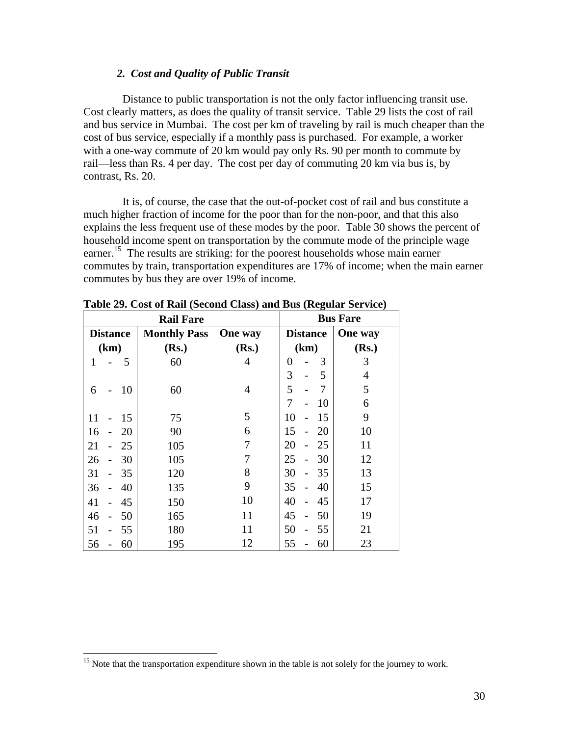## *2. Cost and Quality of Public Transit*

Distance to public transportation is not the only factor influencing transit use. Cost clearly matters, as does the quality of transit service. Table 29 lists the cost of rail and bus service in Mumbai. The cost per km of traveling by rail is much cheaper than the cost of bus service, especially if a monthly pass is purchased. For example, a worker with a one-way commute of 20 km would pay only Rs. 90 per month to commute by rail—less than Rs. 4 per day. The cost per day of commuting 20 km via bus is, by contrast, Rs. 20.

It is, of course, the case that the out-of-pocket cost of rail and bus constitute a much higher fraction of income for the poor than for the non-poor, and that this also explains the less frequent use of these modes by the poor. Table 30 shows the percent of household income spent on transportation by the commute mode of the principle wage earner.<sup>15</sup> The results are striking: for the poorest households whose main earner commutes by train, transportation expenditures are 17% of income; when the main earner commutes by bus they are over 19% of income.

|              |                          |                 | <b>Rail Fare</b>    |                | ᇰ               | <b>Bus Fare</b> |
|--------------|--------------------------|-----------------|---------------------|----------------|-----------------|-----------------|
|              |                          | <b>Distance</b> | <b>Monthly Pass</b> | <b>One</b> way | <b>Distance</b> | One way         |
|              | (km)                     |                 | (Rs.)               | (Rs.)          | (km)            | (Rs.)           |
| $\mathbf{1}$ |                          | 5               | 60                  | 4              | 3<br>0          | 3               |
|              |                          |                 |                     |                | 3<br>5          | $\overline{4}$  |
| 6            |                          | 10              | 60                  | $\overline{4}$ | 5<br>7          | 5               |
|              |                          |                 |                     |                | 7<br>10         | 6               |
| 11           |                          | 15              | 75                  | 5              | 10<br>15        | 9               |
| 16           |                          | 20              | 90                  | 6              | 15<br>20        | 10              |
| 21           |                          | 25              | 105                 | 7              | 20<br>25        | 11              |
| 26           |                          | 30              | 105                 | 7              | 25<br>30        | 12              |
| 31           |                          | 35              | 120                 | 8              | 30<br>35        | 13              |
| 36           |                          | 40              | 135                 | 9              | 35<br>40        | 15              |
| 41           |                          | 45              | 150                 | 10             | 40<br>45        | 17              |
| 46           | $\overline{\phantom{0}}$ | 50              | 165                 | 11             | 45<br>50        | 19              |
| 51           |                          | 55              | 180                 | 11             | 50<br>55        | 21              |
| 56           |                          | 60              | 195                 | 12             | 55<br>60        | 23              |

**Table 29. Cost of Rail (Second Class) and Bus (Regular Service)** 

 $\overline{a}$ 

<sup>&</sup>lt;sup>15</sup> Note that the transportation expenditure shown in the table is not solely for the journey to work.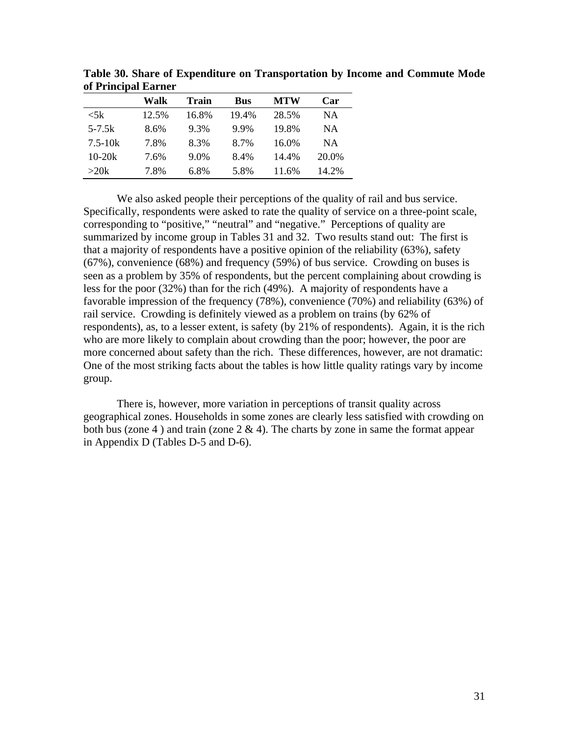|                      | Walk  | <b>Train</b> | <b>Bus</b> | <b>MTW</b> | Car       |
|----------------------|-------|--------------|------------|------------|-----------|
| $\langle 5k \rangle$ | 12.5% | 16.8%        | 19.4%      | 28.5%      | NA        |
| $5 - 7.5k$           | 8.6%  | 9.3%         | 9.9%       | 19.8%      | NΑ        |
| $7.5 - 10k$          | 7.8%  | 8.3%         | 8.7%       | 16.0%      | <b>NA</b> |
| $10-20k$             | 7.6%  | 9.0%         | 8.4%       | 14.4%      | 20.0%     |
| >20k                 | 7.8%  | 6.8%         | 5.8%       | 11.6%      | 14.2%     |

**Table 30. Share of Expenditure on Transportation by Income and Commute Mode of Principal Earner** 

We also asked people their perceptions of the quality of rail and bus service. Specifically, respondents were asked to rate the quality of service on a three-point scale, corresponding to "positive," "neutral" and "negative." Perceptions of quality are summarized by income group in Tables 31 and 32. Two results stand out: The first is that a majority of respondents have a positive opinion of the reliability (63%), safety (67%), convenience (68%) and frequency (59%) of bus service. Crowding on buses is seen as a problem by 35% of respondents, but the percent complaining about crowding is less for the poor (32%) than for the rich (49%). A majority of respondents have a favorable impression of the frequency (78%), convenience (70%) and reliability (63%) of rail service. Crowding is definitely viewed as a problem on trains (by 62% of respondents), as, to a lesser extent, is safety (by 21% of respondents). Again, it is the rich who are more likely to complain about crowding than the poor; however, the poor are more concerned about safety than the rich. These differences, however, are not dramatic: One of the most striking facts about the tables is how little quality ratings vary by income group.

There is, however, more variation in perceptions of transit quality across geographical zones. Households in some zones are clearly less satisfied with crowding on both bus (zone 4) and train (zone  $2 \& 4$ ). The charts by zone in same the format appear in Appendix D (Tables D-5 and D-6).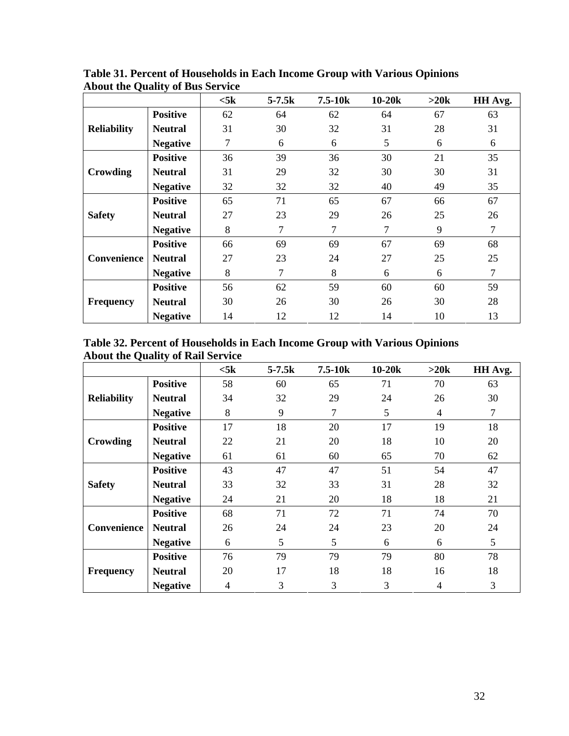|                    |                 | $<$ 5 $k$ | $5 - 7.5k$ | $7.5 - 10k$ | $10-20k$ | $>20k$ | HH Avg.        |
|--------------------|-----------------|-----------|------------|-------------|----------|--------|----------------|
|                    | <b>Positive</b> | 62        | 64         | 62          | 64       | 67     | 63             |
| <b>Reliability</b> | <b>Neutral</b>  | 31        | 30         | 32          | 31       | 28     | 31             |
|                    | <b>Negative</b> | 7         | 6          | 6           | 5        | 6      | 6              |
|                    | <b>Positive</b> | 36        | 39         | 36          | 30       | 21     | 35             |
| <b>Crowding</b>    | <b>Neutral</b>  | 31        | 29         | 32          | 30       | 30     | 31             |
|                    | <b>Negative</b> | 32        | 32         | 32          | 40       | 49     | 35             |
|                    | <b>Positive</b> | 65        | 71         | 65          | 67       | 66     | 67             |
| <b>Safety</b>      | <b>Neutral</b>  | 27        | 23         | 29          | 26       | 25     | 26             |
|                    | <b>Negative</b> | 8         | 7          | 7           | 7        | 9      | $\overline{7}$ |
|                    | <b>Positive</b> | 66        | 69         | 69          | 67       | 69     | 68             |
| Convenience        | <b>Neutral</b>  | 27        | 23         | 24          | 27       | 25     | 25             |
|                    | <b>Negative</b> | 8         | 7          | 8           | 6        | 6      | $\overline{7}$ |
|                    | <b>Positive</b> | 56        | 62         | 59          | 60       | 60     | 59             |
| <b>Frequency</b>   | <b>Neutral</b>  | 30        | 26         | 30          | 26       | 30     | 28             |
|                    | <b>Negative</b> | 14        | 12         | 12          | 14       | 10     | 13             |

**Table 31. Percent of Households in Each Income Group with Various Opinions About the Quality of Bus Service** 

**Table 32. Percent of Households in Each Income Group with Various Opinions About the Quality of Rail Service** 

|                    |                 | $<$ 5 $k$ | $5 - 7.5k$ | $7.5 - 10k$    | $10-20k$ | >20k           | HH Avg. |
|--------------------|-----------------|-----------|------------|----------------|----------|----------------|---------|
|                    | <b>Positive</b> | 58        | 60         | 65             | 71       | 70             | 63      |
| <b>Reliability</b> | <b>Neutral</b>  | 34        | 32         | 29             | 24       | 26             | 30      |
|                    | <b>Negative</b> | 8         | 9          | 7              | 5        | $\overline{4}$ | 7       |
|                    | <b>Positive</b> | 17        | 18         | 20             | 17       | 19             | 18      |
| Crowding           | <b>Neutral</b>  | 22        | 21         | 20             | 18       | 10             | 20      |
|                    | <b>Negative</b> | 61        | 61         | 60             | 65       | 70             | 62      |
|                    | <b>Positive</b> | 43        | 47         | 47             | 51       | 54             | 47      |
| <b>Safety</b>      | <b>Neutral</b>  | 33        | 32         | 33             | 31       | 28             | 32      |
|                    | <b>Negative</b> | 24        | 21         | 20             | 18       | 18             | 21      |
|                    | <b>Positive</b> | 68        | 71         | 72             | 71       | 74             | 70      |
| <b>Convenience</b> | <b>Neutral</b>  | 26        | 24         | 24             | 23       | 20             | 24      |
|                    | <b>Negative</b> | 6         | 5          | 5              | 6        | 6              | 5       |
|                    | <b>Positive</b> | 76        | 79         | 79             | 79       | 80             | 78      |
| <b>Frequency</b>   | <b>Neutral</b>  | 20        | 17         | 18             | 18       | 16             | 18      |
|                    | <b>Negative</b> | 4         | 3          | $\overline{3}$ | 3        | 4              | 3       |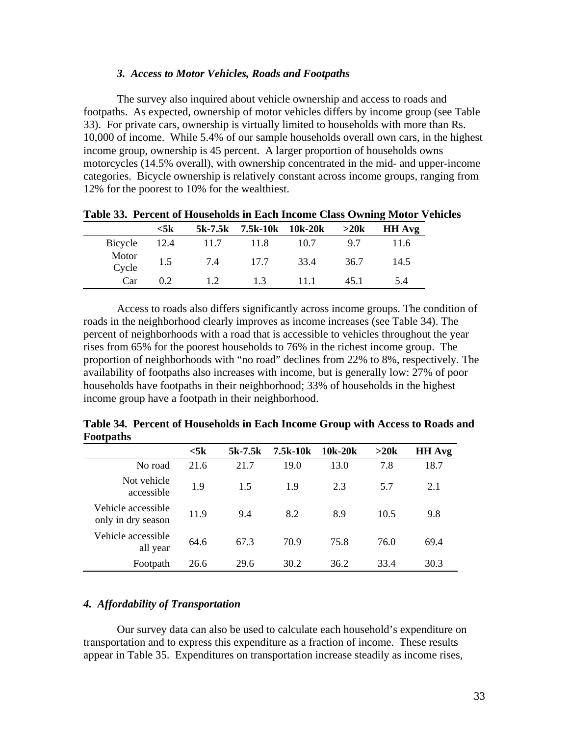#### *3. Access to Motor Vehicles, Roads and Footpaths*

The survey also inquired about vehicle ownership and access to roads and footpaths. As expected, ownership of motor vehicles differs by income group (see Table 33). For private cars, ownership is virtually limited to households with more than Rs. 10,000 of income. While 5.4% of our sample households overall own cars, in the highest income group, ownership is 45 percent. A larger proportion of households owns motorcycles (14.5% overall), with ownership concentrated in the mid- and upper-income categories. Bicycle ownership is relatively constant across income groups, ranging from 12% for the poorest to 10% for the wealthiest.

|                | $<$ 5 $\bf k$ |      | $5k-7.5k$ 7.5k-10k 10k-20k >20k |        |      | <b>HH Avg</b> |
|----------------|---------------|------|---------------------------------|--------|------|---------------|
| Bicycle 12.4   |               | 11.7 | - 11.8                          | 10.7   | 9.7  | 11.6          |
| Motor<br>Cycle | 1.5           | 7.4  | 17.7                            | 33.4   | 36.7 | 14.5          |
| Car            | 0.2           | 1.2  | 1.3                             | - 11 1 | 45.1 | 5.4           |

**Table 33. Percent of Households in Each Income Class Owning Motor Vehicles** 

Access to roads also differs significantly across income groups. The condition of roads in the neighborhood clearly improves as income increases (see Table 34). The percent of neighborhoods with a road that is accessible to vehicles throughout the year rises from 65% for the poorest households to 76% in the richest income group. The proportion of neighborhoods with "no road" declines from 22% to 8%, respectively. The availability of footpaths also increases with income, but is generally low: 27% of poor households have footpaths in their neighborhood; 33% of households in the highest income group have a footpath in their neighborhood.

| Footpaths                                |           |           |          |         |      |               |
|------------------------------------------|-----------|-----------|----------|---------|------|---------------|
|                                          | $<$ 5 $k$ | $5k-7.5k$ | 7.5k-10k | 10k-20k | >20k | <b>HH</b> Avg |
| No road                                  | 21.6      | 21.7      | 19.0     | 13.0    | 7.8  | 18.7          |
| Not vehicle<br>accessible                | 1.9       | 1.5       | 1.9      | 2.3     | 5.7  | 2.1           |
| Vehicle accessible<br>only in dry season | 11.9      | 9.4       | 8.2      | 8.9     | 10.5 | 9.8           |
| Vehicle accessible<br>all year           | 64.6      | 67.3      | 70.9     | 75.8    | 76.0 | 69.4          |
| Footpath                                 | 26.6      | 29.6      | 30.2     | 36.2    | 33.4 | 30.3          |

**Table 34. Percent of Households in Each Income Group with Access to Roads and** 

#### *4. Affordability of Transportation*

Our survey data can also be used to calculate each household's expenditure on transportation and to express this expenditure as a fraction of income. These results appear in Table 35. Expenditures on transportation increase steadily as income rises,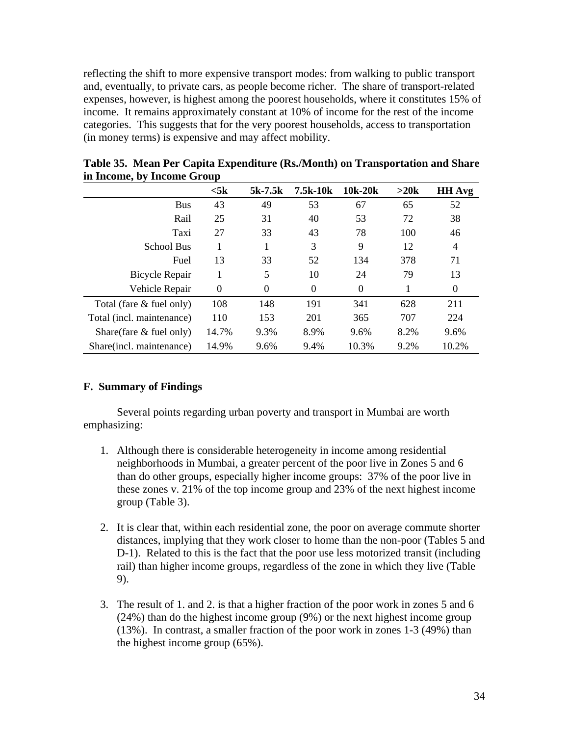reflecting the shift to more expensive transport modes: from walking to public transport and, eventually, to private cars, as people become richer. The share of transport-related expenses, however, is highest among the poorest households, where it constitutes 15% of income. It remains approximately constant at 10% of income for the rest of the income categories. This suggests that for the very poorest households, access to transportation (in money terms) is expensive and may affect mobility.

|                             | $<$ 5 $k$ | $5k-7.5k$        | 7.5k-10k | 10k-20k  | >20k | <b>HH Avg</b>    |  |  |
|-----------------------------|-----------|------------------|----------|----------|------|------------------|--|--|
| <b>Bus</b>                  | 43        | 49               | 53       | 67       | 65   | 52               |  |  |
| Rail                        | 25        | 31               | 40       | 53       | 72   | 38               |  |  |
| Taxi                        | 27        | 33               | 43       | 78       | 100  | 46               |  |  |
| School Bus                  |           |                  | 3        | 9        | 12   | 4                |  |  |
| Fuel                        | 13        | 33               | 52       | 134      | 378  | 71               |  |  |
| <b>Bicycle Repair</b>       |           | 5                | 10       | 24       | 79   | 13               |  |  |
| Vehicle Repair              | $\theta$  | $\boldsymbol{0}$ | $\theta$ | $\Omega$ |      | $\boldsymbol{0}$ |  |  |
| Total (fare $\&$ fuel only) | 108       | 148              | 191      | 341      | 628  | 211              |  |  |
| Total (incl. maintenance)   | 110       | 153              | 201      | 365      | 707  | 224              |  |  |
| Share(fare $\&$ fuel only)  | 14.7%     | 9.3%             | 8.9%     | 9.6%     | 8.2% | 9.6%             |  |  |
| Share(incl. maintenance)    | 14.9%     | 9.6%             | 9.4%     | 10.3%    | 9.2% | 10.2%            |  |  |

**Table 35. Mean Per Capita Expenditure (Rs./Month) on Transportation and Share in Income, by Income Group** 

## **F. Summary of Findings**

Several points regarding urban poverty and transport in Mumbai are worth emphasizing:

- 1. Although there is considerable heterogeneity in income among residential neighborhoods in Mumbai, a greater percent of the poor live in Zones 5 and 6 than do other groups, especially higher income groups: 37% of the poor live in these zones v. 21% of the top income group and 23% of the next highest income group (Table 3).
- 2. It is clear that, within each residential zone, the poor on average commute shorter distances, implying that they work closer to home than the non-poor (Tables 5 and D-1). Related to this is the fact that the poor use less motorized transit (including rail) than higher income groups, regardless of the zone in which they live (Table 9).
- 3. The result of 1. and 2. is that a higher fraction of the poor work in zones 5 and 6 (24%) than do the highest income group (9%) or the next highest income group (13%). In contrast, a smaller fraction of the poor work in zones 1-3 (49%) than the highest income group (65%).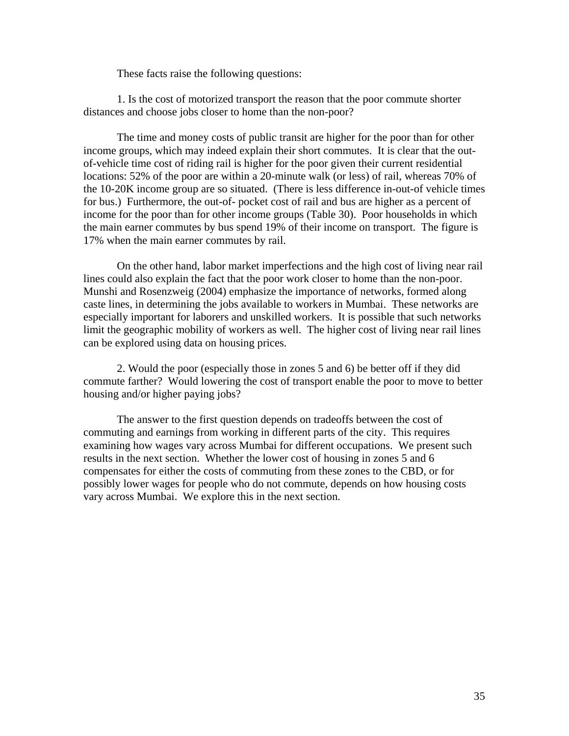These facts raise the following questions:

1. Is the cost of motorized transport the reason that the poor commute shorter distances and choose jobs closer to home than the non-poor?

The time and money costs of public transit are higher for the poor than for other income groups, which may indeed explain their short commutes. It is clear that the outof-vehicle time cost of riding rail is higher for the poor given their current residential locations: 52% of the poor are within a 20-minute walk (or less) of rail, whereas 70% of the 10-20K income group are so situated. (There is less difference in-out-of vehicle times for bus.) Furthermore, the out-of- pocket cost of rail and bus are higher as a percent of income for the poor than for other income groups (Table 30). Poor households in which the main earner commutes by bus spend 19% of their income on transport. The figure is 17% when the main earner commutes by rail.

On the other hand, labor market imperfections and the high cost of living near rail lines could also explain the fact that the poor work closer to home than the non-poor. Munshi and Rosenzweig (2004) emphasize the importance of networks, formed along caste lines, in determining the jobs available to workers in Mumbai. These networks are especially important for laborers and unskilled workers. It is possible that such networks limit the geographic mobility of workers as well. The higher cost of living near rail lines can be explored using data on housing prices.

2. Would the poor (especially those in zones 5 and 6) be better off if they did commute farther? Would lowering the cost of transport enable the poor to move to better housing and/or higher paying jobs?

The answer to the first question depends on tradeoffs between the cost of commuting and earnings from working in different parts of the city. This requires examining how wages vary across Mumbai for different occupations. We present such results in the next section. Whether the lower cost of housing in zones 5 and 6 compensates for either the costs of commuting from these zones to the CBD, or for possibly lower wages for people who do not commute, depends on how housing costs vary across Mumbai. We explore this in the next section.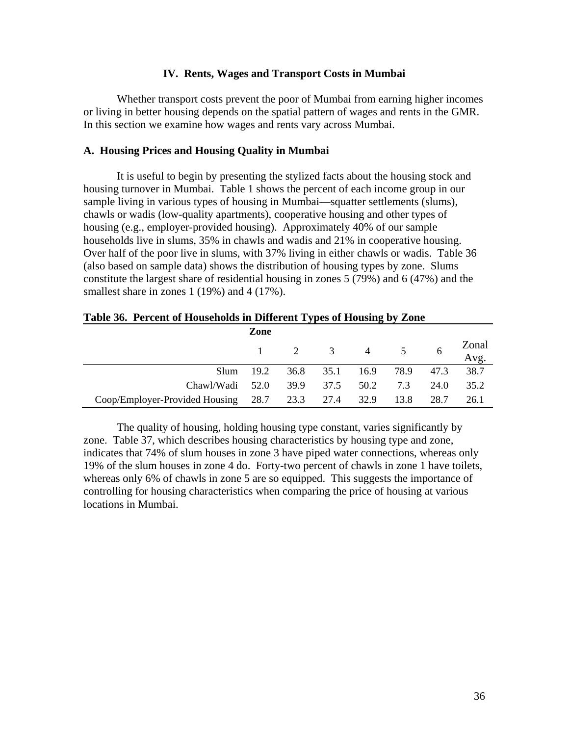# **IV. Rents, Wages and Transport Costs in Mumbai**

Whether transport costs prevent the poor of Mumbai from earning higher incomes or living in better housing depends on the spatial pattern of wages and rents in the GMR. In this section we examine how wages and rents vary across Mumbai.

# **A. Housing Prices and Housing Quality in Mumbai**

It is useful to begin by presenting the stylized facts about the housing stock and housing turnover in Mumbai. Table 1 shows the percent of each income group in our sample living in various types of housing in Mumbai—squatter settlements (slums), chawls or wadis (low-quality apartments), cooperative housing and other types of housing (e.g., employer-provided housing). Approximately 40% of our sample households live in slums, 35% in chawls and wadis and 21% in cooperative housing. Over half of the poor live in slums, with 37% living in either chawls or wadis. Table 36 (also based on sample data) shows the distribution of housing types by zone. Slums constitute the largest share of residential housing in zones 5 (79%) and 6 (47%) and the smallest share in zones 1 (19%) and 4 (17%).

| Table 36. Percent of Households in Different Types of Housing by Zone |  |
|-----------------------------------------------------------------------|--|
|                                                                       |  |

|                                                    | Zone          |  |                                         |      |      |               |
|----------------------------------------------------|---------------|--|-----------------------------------------|------|------|---------------|
|                                                    |               |  | $1 \qquad 2 \qquad 3 \qquad 4 \qquad 5$ |      |      | Zonal<br>Avg. |
|                                                    | $Slum = 19.2$ |  | 36.8 35.1 16.9 78.9 47.3                |      |      | 38.7          |
| Chawl/Wadi 52.0 39.9 37.5 50.2 7.3                 |               |  |                                         |      | 24.0 | 35.2          |
| Coop/Employer-Provided Housing 28.7 23.3 27.4 32.9 |               |  |                                         | 13.8 | 28.7 | 26.1          |

The quality of housing, holding housing type constant, varies significantly by zone. Table 37, which describes housing characteristics by housing type and zone, indicates that 74% of slum houses in zone 3 have piped water connections, whereas only 19% of the slum houses in zone 4 do. Forty-two percent of chawls in zone 1 have toilets, whereas only 6% of chawls in zone 5 are so equipped. This suggests the importance of controlling for housing characteristics when comparing the price of housing at various locations in Mumbai.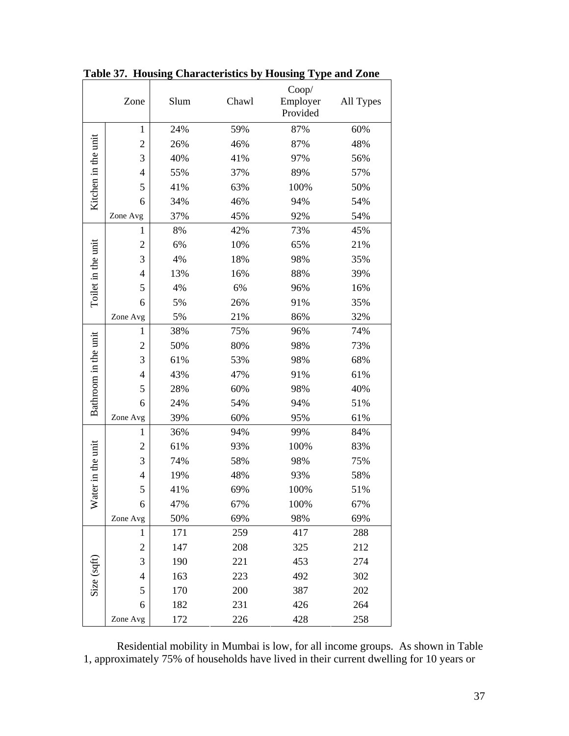|                      | Zone           | Slum | Chawl      | Coop/<br>Employer<br>Provided | All Types |  |
|----------------------|----------------|------|------------|-------------------------------|-----------|--|
|                      | $\mathbf{1}$   | 24%  | 59%        | 87%                           | 60%       |  |
|                      | $\overline{c}$ | 26%  | 46%        | 87%                           | 48%       |  |
|                      | 3              | 40%  | 41%        | 97%                           | 56%       |  |
|                      | 4              | 55%  | 37%        | 89%                           | 57%       |  |
| Kitchen in the unit  | 5              | 41%  | 63%        | 100%                          | 50%       |  |
|                      | 6              | 34%  | 46%        | 94%                           | 54%       |  |
|                      | Zone Avg       | 37%  | 45%        | 92%                           | 54%       |  |
|                      | $\mathbf{1}$   | 8%   | 42%        | 73%                           | 45%       |  |
|                      | $\overline{c}$ | 6%   | 10%        | 65%                           | 21%       |  |
|                      | 3              | 4%   | 18%        | 98%                           | 35%       |  |
|                      | 4              | 13%  | 16%        | 88%                           | 39%       |  |
| Toilet in the unit   | 5              | 4%   | 6%         | 96%                           | 16%       |  |
|                      | 6              | 5%   | 26%        | 91%                           | 35%       |  |
|                      | Zone Avg       | 5%   | 21%        | 86%                           | 32%       |  |
|                      | 1              | 38%  | 75%        | 96%                           | 74%       |  |
|                      | $\overline{c}$ | 50%  | 80%        | 98%                           | 73%       |  |
|                      | 3              | 61%  | 53%        | 98%                           | 68%       |  |
| Bathroom in the unit | $\overline{4}$ | 43%  | 47%        | 91%                           | 61%       |  |
|                      | 5              | 28%  | 60%        | 98%                           | 40%       |  |
|                      | 6              | 24%  | 54%        | 94%                           | 51%       |  |
|                      | Zone Avg       | 39%  | 60%        | 95%                           | 61%       |  |
|                      | 1              | 36%  | 94%        | 99%                           | 84%       |  |
|                      | $\overline{c}$ | 61%  | 93%        | 100%                          | 83%       |  |
| ater in the unit     | 3              | 74%  | 58%        | 98%                           | 75%       |  |
|                      | $\overline{4}$ | 19%  | 48%<br>93% |                               | 58%       |  |
|                      | 5              | 41%  | 69%        | 100%                          | 51%       |  |
| ጆ                    | 6              | 47%  | 67%        | 100%                          | 67%       |  |
|                      | Zone Avg       | 50%  | 69%        | 98%                           | 69%       |  |
|                      | 1              | 171  | 259        | 417                           | 288       |  |
|                      | $\overline{c}$ | 147  | 208        | 325                           | 212       |  |
|                      | 3              | 190  | 221        | 453                           | 274       |  |
| Size (sqft)          | 4              | 163  | 223        | 492                           | 302       |  |
|                      | 5              | 170  | 200        | 387                           | 202       |  |
|                      | 6              | 182  | 231        | 426                           | 264       |  |
|                      | Zone Avg       | 172  | 226        | 428                           | 258       |  |

**Table 37. Housing Characteristics by Housing Type and Zone** 

Residential mobility in Mumbai is low, for all income groups. As shown in Table 1, approximately 75% of households have lived in their current dwelling for 10 years or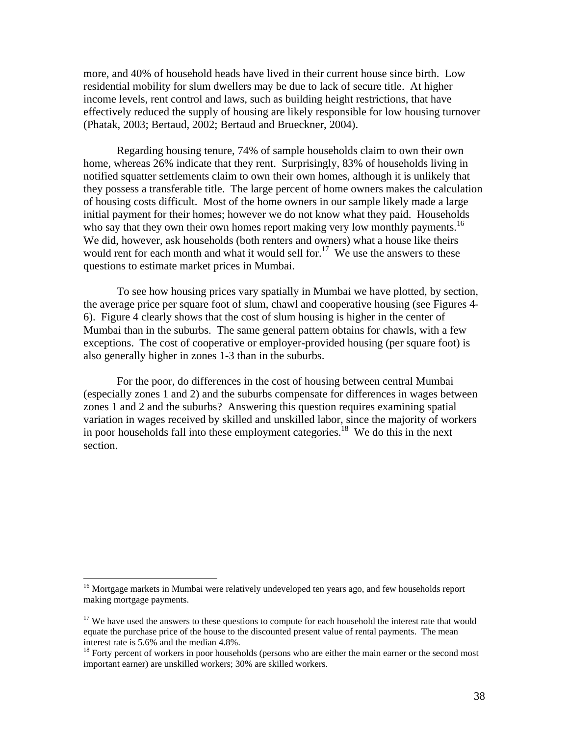more, and 40% of household heads have lived in their current house since birth. Low residential mobility for slum dwellers may be due to lack of secure title. At higher income levels, rent control and laws, such as building height restrictions, that have effectively reduced the supply of housing are likely responsible for low housing turnover (Phatak, 2003; Bertaud, 2002; Bertaud and Brueckner, 2004).

Regarding housing tenure, 74% of sample households claim to own their own home, whereas 26% indicate that they rent. Surprisingly, 83% of households living in notified squatter settlements claim to own their own homes, although it is unlikely that they possess a transferable title. The large percent of home owners makes the calculation of housing costs difficult. Most of the home owners in our sample likely made a large initial payment for their homes; however we do not know what they paid. Households who say that they own their own homes report making very low monthly payments.<sup>16</sup> We did, however, ask households (both renters and owners) what a house like theirs would rent for each month and what it would sell for.<sup>17</sup> We use the answers to these questions to estimate market prices in Mumbai.

To see how housing prices vary spatially in Mumbai we have plotted, by section, the average price per square foot of slum, chawl and cooperative housing (see Figures 4- 6). Figure 4 clearly shows that the cost of slum housing is higher in the center of Mumbai than in the suburbs. The same general pattern obtains for chawls, with a few exceptions. The cost of cooperative or employer-provided housing (per square foot) is also generally higher in zones 1-3 than in the suburbs.

For the poor, do differences in the cost of housing between central Mumbai (especially zones 1 and 2) and the suburbs compensate for differences in wages between zones 1 and 2 and the suburbs? Answering this question requires examining spatial variation in wages received by skilled and unskilled labor, since the majority of workers in poor households fall into these employment categories.18 We do this in the next section.

 $\overline{a}$ 

<sup>&</sup>lt;sup>16</sup> Mortgage markets in Mumbai were relatively undeveloped ten years ago, and few households report making mortgage payments.

<sup>&</sup>lt;sup>17</sup> We have used the answers to these questions to compute for each household the interest rate that would equate the purchase price of the house to the discounted present value of rental payments. The mean interest rate is 5.6% and the median 4.8%.

 $18$  Forty percent of workers in poor households (persons who are either the main earner or the second most important earner) are unskilled workers; 30% are skilled workers.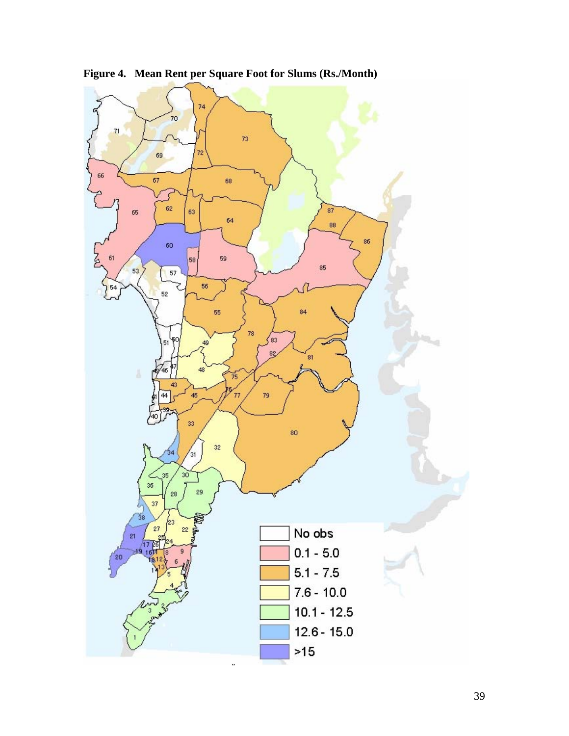

**Figure 4. Mean Rent per Square Foot for Slums (Rs./Month)**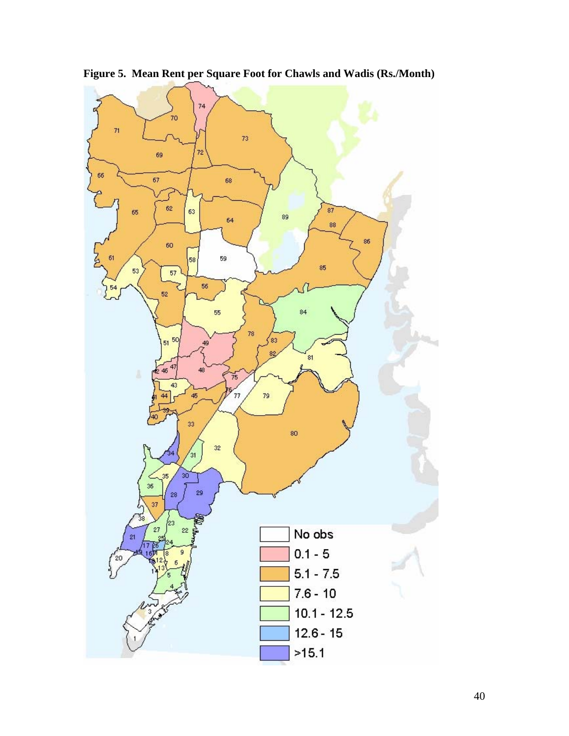

**Figure 5. Mean Rent per Square Foot for Chawls and Wadis (Rs./Month)**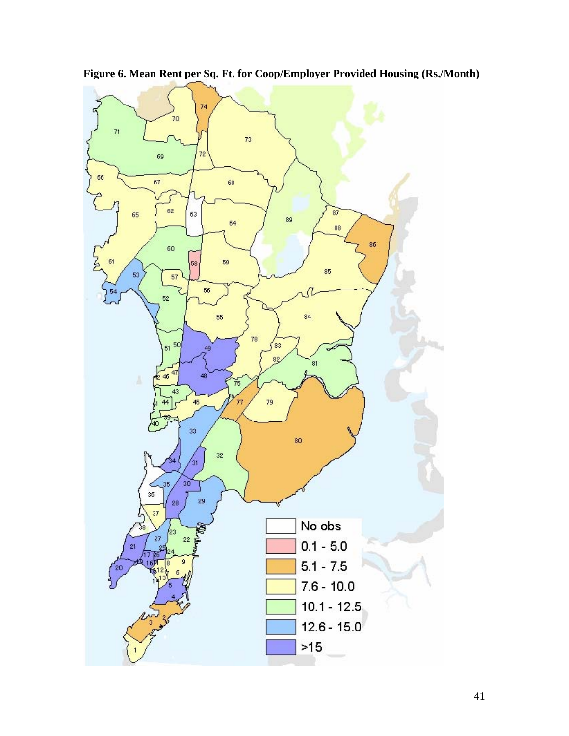

**Figure 6. Mean Rent per Sq. Ft. for Coop/Employer Provided Housing (Rs./Month)**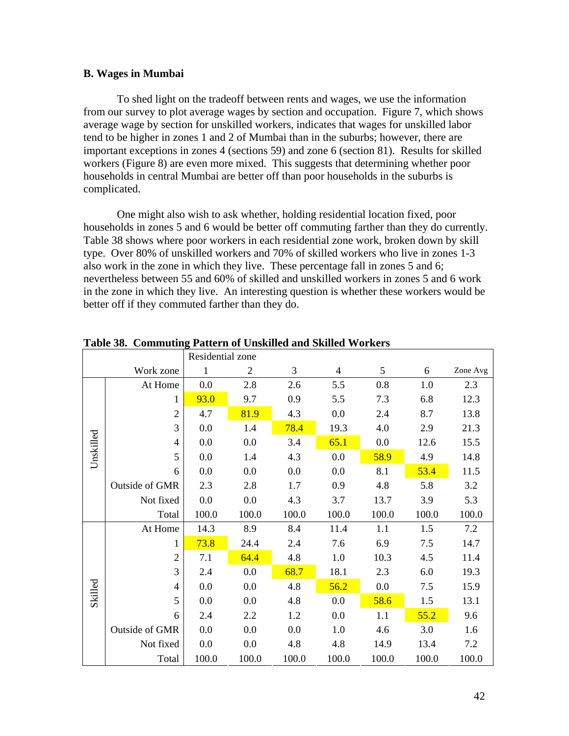# **B. Wages in Mumbai**

To shed light on the tradeoff between rents and wages, we use the information from our survey to plot average wages by section and occupation. Figure 7, which shows average wage by section for unskilled workers, indicates that wages for unskilled labor tend to be higher in zones 1 and 2 of Mumbai than in the suburbs; however, there are important exceptions in zones 4 (sections 59) and zone 6 (section 81). Results for skilled workers (Figure 8) are even more mixed. This suggests that determining whether poor households in central Mumbai are better off than poor households in the suburbs is complicated.

One might also wish to ask whether, holding residential location fixed, poor households in zones 5 and 6 would be better off commuting farther than they do currently. Table 38 shows where poor workers in each residential zone work, broken down by skill type. Over 80% of unskilled workers and 70% of skilled workers who live in zones 1-3 also work in the zone in which they live. These percentage fall in zones 5 and 6; nevertheless between 55 and 60% of skilled and unskilled workers in zones 5 and 6 work in the zone in which they live. An interesting question is whether these workers would be better off if they commuted farther than they do.

|           |                       | Residential zone |                |       |                |       |       |          |
|-----------|-----------------------|------------------|----------------|-------|----------------|-------|-------|----------|
| Work zone |                       | 1                | $\overline{2}$ | 3     | $\overline{4}$ | 5     | 6     | Zone Avg |
|           | At Home               | 0.0              | 2.8            | 2.6   | 5.5            | 0.8   | 1.0   | 2.3      |
|           | 1                     | 93.0             | 9.7            | 0.9   | 5.5            | 7.3   | 6.8   | 12.3     |
|           | 2                     | 4.7              | 81.9           | 4.3   | 0.0            | 2.4   | 8.7   | 13.8     |
|           | 3                     | 0.0              | 1.4            | 78.4  | 19.3           | 4.0   | 2.9   | 21.3     |
| Unskilled | 4                     | 0.0              | 0.0            | 3.4   | 65.1           | 0.0   | 12.6  | 15.5     |
|           | 5                     | 0.0              | 1.4            | 4.3   | 0.0            | 58.9  | 4.9   | 14.8     |
|           | 6                     | 0.0              | 0.0            | 0.0   | 0.0            | 8.1   | 53.4  | 11.5     |
|           | Outside of GMR        | 2.3              | 2.8            | 1.7   | 0.9            | 4.8   | 5.8   | 3.2      |
|           | Not fixed             | 0.0              | 0.0            | 4.3   | 3.7            | 13.7  | 3.9   | 5.3      |
|           | Total                 | 100.0            | 100.0          | 100.0 | 100.0          | 100.0 | 100.0 | 100.0    |
|           | At Home               | 14.3             | 8.9            | 8.4   | 11.4           | 1.1   | 1.5   | 7.2      |
| Skilled   | 1                     | 73.8             | 24.4           | 2.4   | 7.6            | 6.9   | 7.5   | 14.7     |
|           | 2                     | 7.1              | 64.4           | 4.8   | 1.0            | 10.3  | 4.5   | 11.4     |
|           | 3                     | 2.4              | 0.0            | 68.7  | 18.1           | 2.3   | 6.0   | 19.3     |
|           | 4                     | 0.0              | 0.0            | 4.8   | 56.2           | 0.0   | 7.5   | 15.9     |
|           | 5                     | 0.0              | 0.0            | 4.8   | 0.0            | 58.6  | 1.5   | 13.1     |
|           | 6                     | 2.4              | 2.2            | 1.2   | 0.0            | 1.1   | 55.2  | 9.6      |
|           | <b>Outside of GMR</b> | 0.0              | 0.0            | 0.0   | 1.0            | 4.6   | 3.0   | 1.6      |
|           | Not fixed             | 0.0              | 0.0            | 4.8   | 4.8            | 14.9  | 13.4  | 7.2      |
|           | Total                 | 100.0            | 100.0          | 100.0 | 100.0          | 100.0 | 100.0 | 100.0    |

**Table 38. Commuting Pattern of Unskilled and Skilled Workers**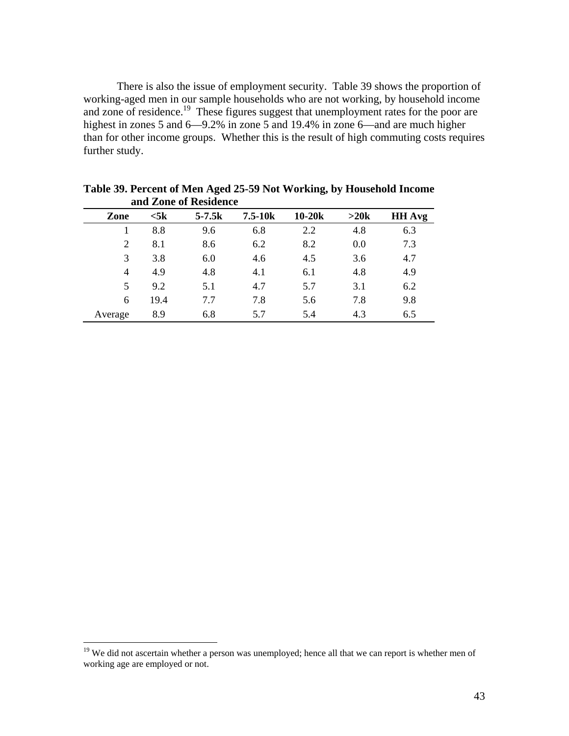There is also the issue of employment security. Table 39 shows the proportion of working-aged men in our sample households who are not working, by household income and zone of residence.<sup>19</sup> These figures suggest that unemployment rates for the poor are highest in zones 5 and 6—9.2% in zone 5 and 19.4% in zone 6—and are much higher than for other income groups. Whether this is the result of high commuting costs requires further study.

|                |                | ana <i>L</i> one of Residence |             |          |      |               |
|----------------|----------------|-------------------------------|-------------|----------|------|---------------|
| Zone           | $<$ 5 $\bf{k}$ | $5 - 7.5k$                    | $7.5 - 10k$ | $10-20k$ | >20k | <b>HH</b> Avg |
|                | 8.8            | 9.6                           | 6.8         | 2.2      | 4.8  | 6.3           |
| 2              | 8.1            | 8.6                           | 6.2         | 8.2      | 0.0  | 7.3           |
| 3              | 3.8            | 6.0                           | 4.6         | 4.5      | 3.6  | 4.7           |
| $\overline{4}$ | 4.9            | 4.8                           | 4.1         | 6.1      | 4.8  | 4.9           |
| 5              | 9.2            | 5.1                           | 4.7         | 5.7      | 3.1  | 6.2           |
| 6              | 19.4           | 7.7                           | 7.8         | 5.6      | 7.8  | 9.8           |
| Average        | 8.9            | 6.8                           | 5.7         | 5.4      | 4.3  | 6.5           |

**Table 39. Percent of Men Aged 25-59 Not Working, by Household Income and Zone of Residence** 

 $\overline{a}$ 

<sup>&</sup>lt;sup>19</sup> We did not ascertain whether a person was unemployed; hence all that we can report is whether men of working age are employed or not.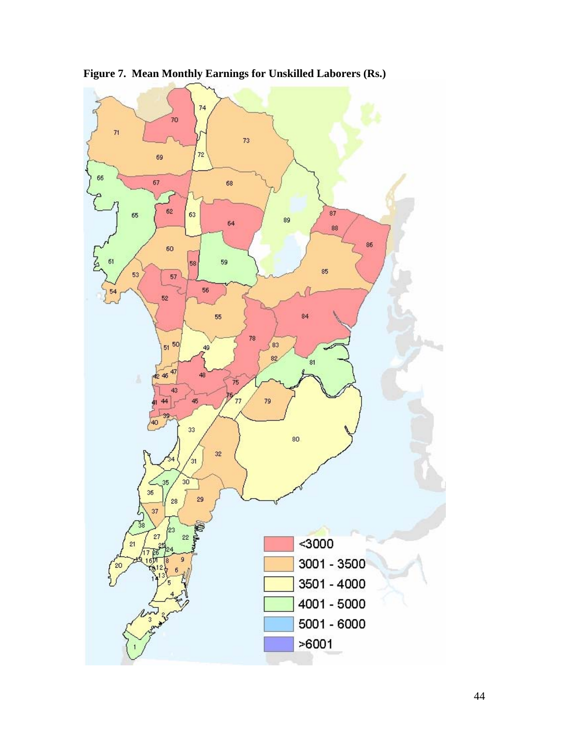

**Figure 7. Mean Monthly Earnings for Unskilled Laborers (Rs.)**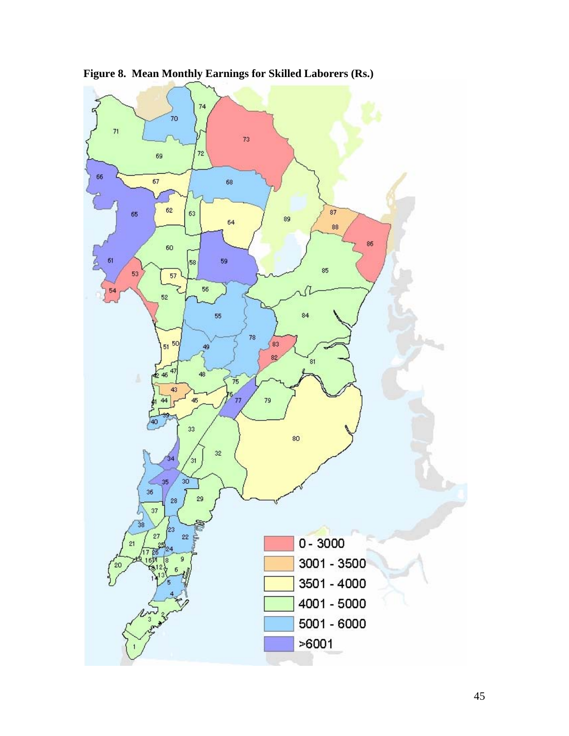

**Figure 8. Mean Monthly Earnings for Skilled Laborers (Rs.)**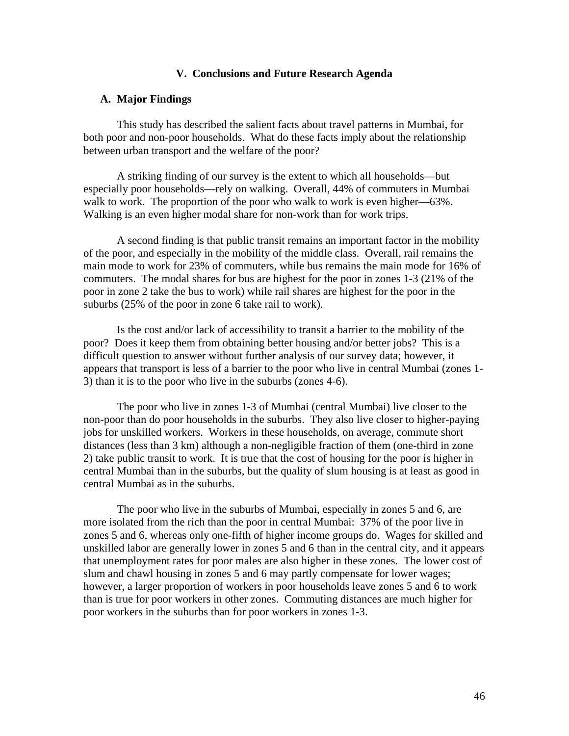# **V. Conclusions and Future Research Agenda**

# **A. Major Findings**

This study has described the salient facts about travel patterns in Mumbai, for both poor and non-poor households. What do these facts imply about the relationship between urban transport and the welfare of the poor?

A striking finding of our survey is the extent to which all households—but especially poor households—rely on walking. Overall, 44% of commuters in Mumbai walk to work. The proportion of the poor who walk to work is even higher—63%. Walking is an even higher modal share for non-work than for work trips.

A second finding is that public transit remains an important factor in the mobility of the poor, and especially in the mobility of the middle class. Overall, rail remains the main mode to work for 23% of commuters, while bus remains the main mode for 16% of commuters. The modal shares for bus are highest for the poor in zones 1-3 (21% of the poor in zone 2 take the bus to work) while rail shares are highest for the poor in the suburbs (25% of the poor in zone 6 take rail to work).

Is the cost and/or lack of accessibility to transit a barrier to the mobility of the poor? Does it keep them from obtaining better housing and/or better jobs? This is a difficult question to answer without further analysis of our survey data; however, it appears that transport is less of a barrier to the poor who live in central Mumbai (zones 1- 3) than it is to the poor who live in the suburbs (zones 4-6).

The poor who live in zones 1-3 of Mumbai (central Mumbai) live closer to the non-poor than do poor households in the suburbs. They also live closer to higher-paying jobs for unskilled workers. Workers in these households, on average, commute short distances (less than 3 km) although a non-negligible fraction of them (one-third in zone 2) take public transit to work. It is true that the cost of housing for the poor is higher in central Mumbai than in the suburbs, but the quality of slum housing is at least as good in central Mumbai as in the suburbs.

The poor who live in the suburbs of Mumbai, especially in zones 5 and 6, are more isolated from the rich than the poor in central Mumbai: 37% of the poor live in zones 5 and 6, whereas only one-fifth of higher income groups do. Wages for skilled and unskilled labor are generally lower in zones 5 and 6 than in the central city, and it appears that unemployment rates for poor males are also higher in these zones. The lower cost of slum and chawl housing in zones 5 and 6 may partly compensate for lower wages; however, a larger proportion of workers in poor households leave zones 5 and 6 to work than is true for poor workers in other zones. Commuting distances are much higher for poor workers in the suburbs than for poor workers in zones 1-3.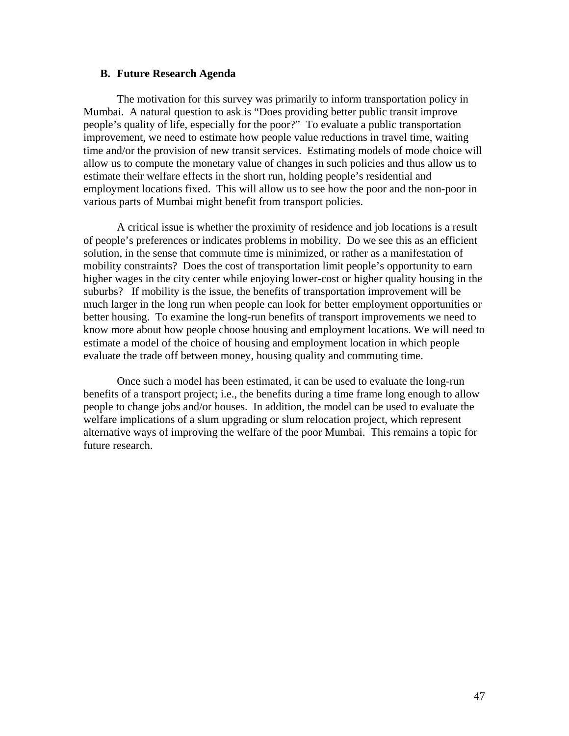# **B. Future Research Agenda**

The motivation for this survey was primarily to inform transportation policy in Mumbai. A natural question to ask is "Does providing better public transit improve people's quality of life, especially for the poor?" To evaluate a public transportation improvement, we need to estimate how people value reductions in travel time, waiting time and/or the provision of new transit services. Estimating models of mode choice will allow us to compute the monetary value of changes in such policies and thus allow us to estimate their welfare effects in the short run, holding people's residential and employment locations fixed. This will allow us to see how the poor and the non-poor in various parts of Mumbai might benefit from transport policies.

A critical issue is whether the proximity of residence and job locations is a result of people's preferences or indicates problems in mobility. Do we see this as an efficient solution, in the sense that commute time is minimized, or rather as a manifestation of mobility constraints? Does the cost of transportation limit people's opportunity to earn higher wages in the city center while enjoying lower-cost or higher quality housing in the suburbs? If mobility is the issue, the benefits of transportation improvement will be much larger in the long run when people can look for better employment opportunities or better housing. To examine the long-run benefits of transport improvements we need to know more about how people choose housing and employment locations. We will need to estimate a model of the choice of housing and employment location in which people evaluate the trade off between money, housing quality and commuting time.

Once such a model has been estimated, it can be used to evaluate the long-run benefits of a transport project; i.e., the benefits during a time frame long enough to allow people to change jobs and/or houses. In addition, the model can be used to evaluate the welfare implications of a slum upgrading or slum relocation project, which represent alternative ways of improving the welfare of the poor Mumbai. This remains a topic for future research.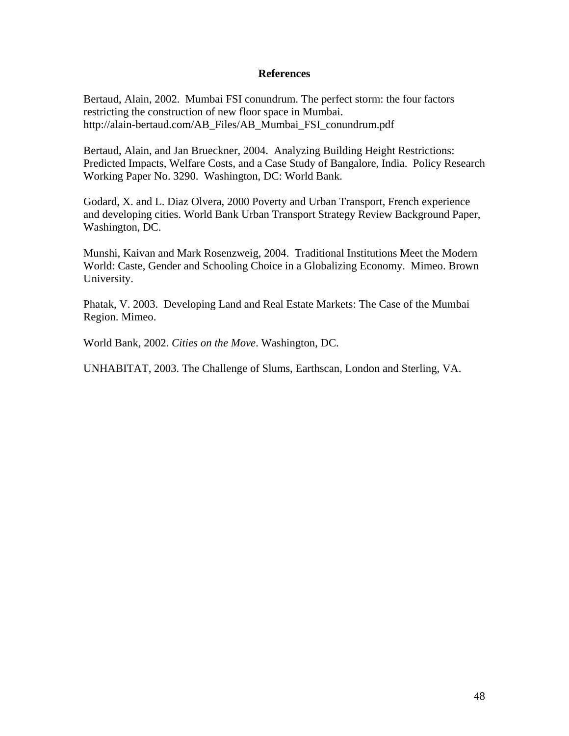# **References**

Bertaud, Alain, 2002. Mumbai FSI conundrum. The perfect storm: the four factors restricting the construction of new floor space in Mumbai. http://alain-bertaud.com/AB\_Files/AB\_Mumbai\_FSI\_conundrum.pdf

Bertaud, Alain, and Jan Brueckner, 2004. Analyzing Building Height Restrictions: Predicted Impacts, Welfare Costs, and a Case Study of Bangalore, India. Policy Research Working Paper No. 3290. Washington, DC: World Bank.

Godard, X. and L. Diaz Olvera, 2000 Poverty and Urban Transport, French experience and developing cities. World Bank Urban Transport Strategy Review Background Paper, Washington, DC.

Munshi, Kaivan and Mark Rosenzweig, 2004. Traditional Institutions Meet the Modern World: Caste, Gender and Schooling Choice in a Globalizing Economy. Mimeo. Brown University.

Phatak, V. 2003. Developing Land and Real Estate Markets: The Case of the Mumbai Region. Mimeo.

World Bank, 2002. *Cities on the Move*. Washington, DC.

UNHABITAT, 2003. The Challenge of Slums, Earthscan, London and Sterling, VA.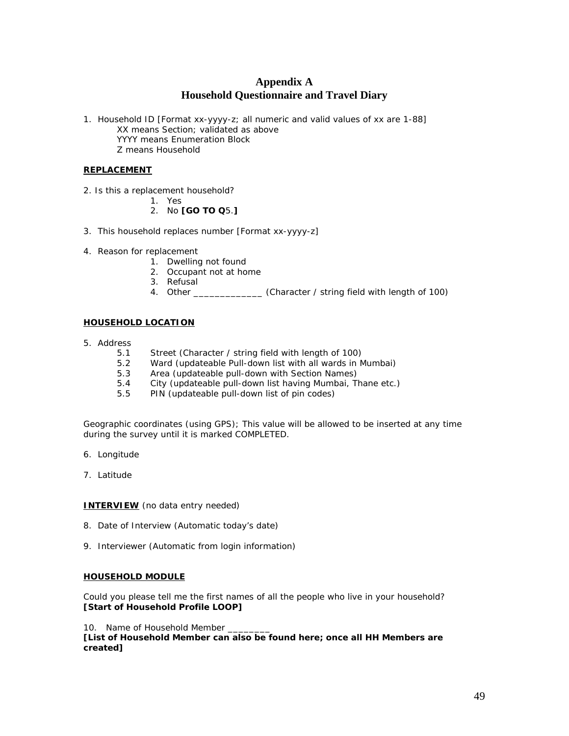# **Appendix A Household Questionnaire and Travel Diary**

1. Household ID [Format xx-yyyy-z; all numeric and valid values of xx are 1-88] XX means Section; validated as above YYYY means Enumeration Block Z means Household

### **REPLACEMENT**

- 2. Is this a replacement household?
	- 1. Yes
	- 2. No **[GO TO Q**5.**]**
- 3. This household replaces number [Format xx-yyyy-z]
- 4. Reason for replacement
	- 1. Dwelling not found
	- 2. Occupant not at home
	- 3. Refusal
	- 4. Other \_\_\_\_\_\_\_\_\_\_\_\_\_\_\_ (Character / string field with length of 100)

### **HOUSEHOLD LOCATION**

- 5. Address
	- 5.1 Street (Character / string field with length of 100)
	- 5.2 Ward (updateable Pull-down list with all wards in Mumbai)
	- 5.3 Area (updateable pull-down with Section Names)
	- 5.4 City (updateable pull-down list having Mumbai, Thane etc.)
	- 5.5 PIN (updateable pull-down list of pin codes)

Geographic coordinates (using GPS); This value will be allowed to be inserted at any time during the survey until it is marked COMPLETED.

- 6. Longitude
- 7. Latitude

**INTERVIEW** (*no data entry needed*)

- 8. Date of Interview (Automatic today's date)
- 9. Interviewer (Automatic from login information)

#### **HOUSEHOLD MODULE**

Could you please tell me the first names of all the people who live in your household? **[Start of Household Profile LOOP]** 

#### 10. Name of Household Member

**[List of Household Member can also be found here; once all HH Members are created]**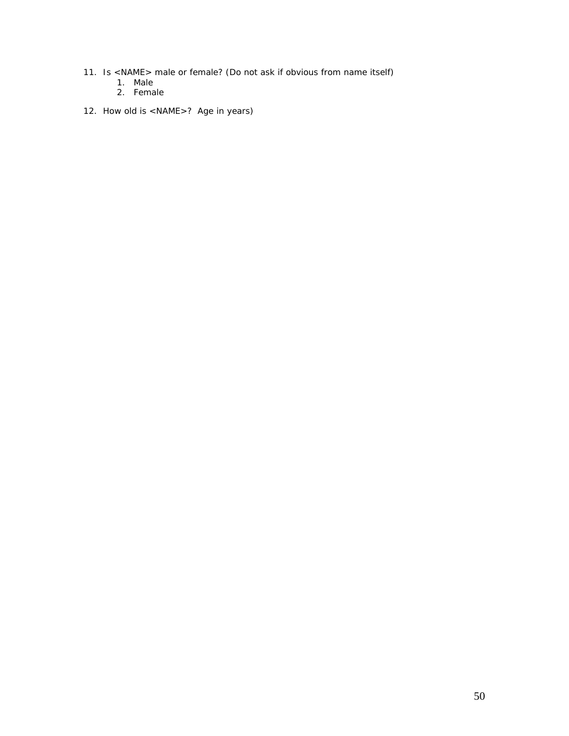- 11. Is <NAME> male or female? (Do not ask if obvious from name itself)
	- 1. Male
	- 2. Female
- 12. How old is <NAME>? Age in years)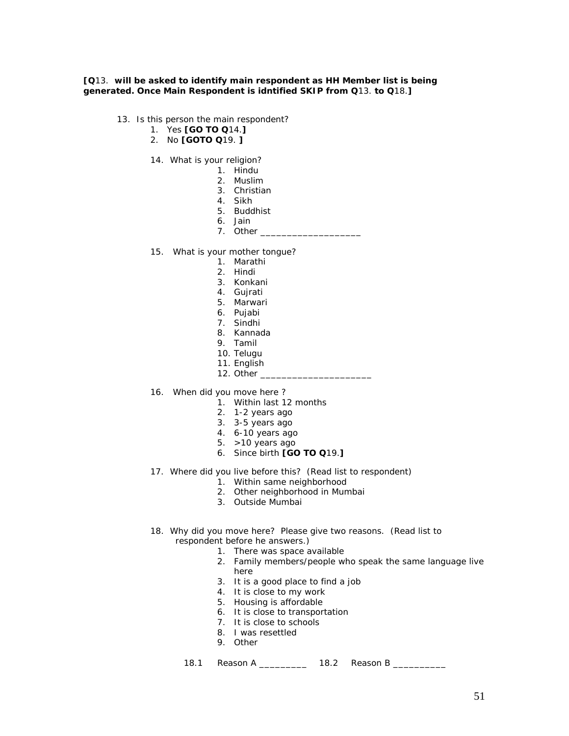**[Q**13. **will be asked to identify main respondent as HH Member list is being generated. Once Main Respondent is idntified SKIP from Q**13. **to Q**18.**]** 

- 13. Is this person the main respondent?
	- 1. Yes **[GO TO Q**14.**]**
	- 2. No **[GOTO Q**19. **]**
	- 14. What is your religion?
		- 1. Hindu
		- 2. Muslim
		- 3. Christian
		- 4. Sikh
		- 5. Buddhist
		- 6. Jain
		- 7. Other
	- 15. What is your mother tongue?
		- 1. Marathi
		- 2. Hindi
		- 3. Konkani
		- 4. Gujrati
		- 5. Marwari
		- 6. Pujabi
		- 7. Sindhi
		- 8. Kannada
		- 9. Tamil
		- 10. Telugu
		- 11. English
		- 12. Other
	- 16. When did you move here ?
		- 1. Within last 12 months
		- 2. 1-2 years ago
		- 3. 3-5 years ago
		- 4. 6-10 years ago
		- 5. >10 years ago
		- 6. Since birth **[GO TO Q**19.**]**
	- 17. Where did you live before this? (Read list to respondent)
		- 1. Within same neighborhood
		- 2. Other neighborhood in Mumbai
		- 3. Outside Mumbai
	- 18. Why did you move here? Please give two reasons. (Read list to respondent before he answers.)
		- 1. There was space available
		- 2. Family members/people who speak the same language live here
		- 3. It is a good place to find a job
		- 4. It is close to my work
		- 5. Housing is affordable
		- 6. It is close to transportation
		- 7. It is close to schools
		- 8. I was resettled
		- 9. Other

18.1 Reason A \_\_\_\_\_\_\_\_\_\_ 18.2 Reason B \_\_\_\_\_\_\_\_\_\_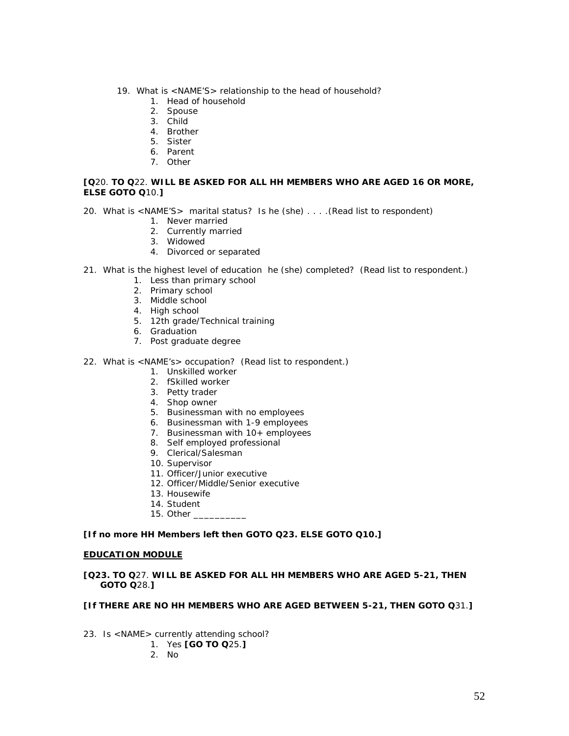- 19. What is <NAME'S> relationship to the head of household?
	- 1. Head of household
	- 2. Spouse
	- 3. Child
	- 4. Brother
	- 5. Sister
	- 6. Parent
	- 7. Other

### **[Q**20. **TO Q**22. **WILL BE ASKED FOR ALL HH MEMBERS WHO ARE AGED 16 OR MORE, ELSE GOTO Q**10.**]**

- 20. What is <NAME'S> marital status? Is he (she) . . . .(Read list to respondent)
	- 1. Never married
	- 2. Currently married
	- 3. Widowed
	- 4. Divorced or separated
- 21. What is the highest level of education he (she) completed? (Read list to respondent.)
	- 1. Less than primary school
	- 2. Primary school
	- 3. Middle school
	- 4. High school
	- 5. 12th grade/Technical training
	- 6. Graduation
	- 7. Post graduate degree
- 22. What is <NAME's> occupation? (Read list to respondent.)
	- 1. Unskilled worker
	- 2. fSkilled worker
	- 3. Petty trader
	- 4. Shop owner
	- 5. Businessman with no employees
	- 6. Businessman with 1-9 employees
	- 7. Businessman with 10+ employees
	- 8. Self employed professional
	- 9. Clerical/Salesman
	- 10. Supervisor
	- 11. Officer/Junior executive
	- 12. Officer/Middle/Senior executive
	- 13. Housewife
	- 14. Student
	- 15. Other \_\_\_\_\_\_\_\_\_\_

#### **[If no more HH Members left then GOTO Q23. ELSE GOTO Q10.]**

#### **EDUCATION MODULE**

#### **[Q23. TO Q**27. **WILL BE ASKED FOR ALL HH MEMBERS WHO ARE AGED 5-21, THEN GOTO Q**28.**]**

## **[If THERE ARE NO HH MEMBERS WHO ARE AGED BETWEEN 5-21, THEN GOTO Q**31.**]**

- 23. Is <NAME> currently attending school?
	- 1. Yes **[GO TO Q**25.**]**
	- 2. No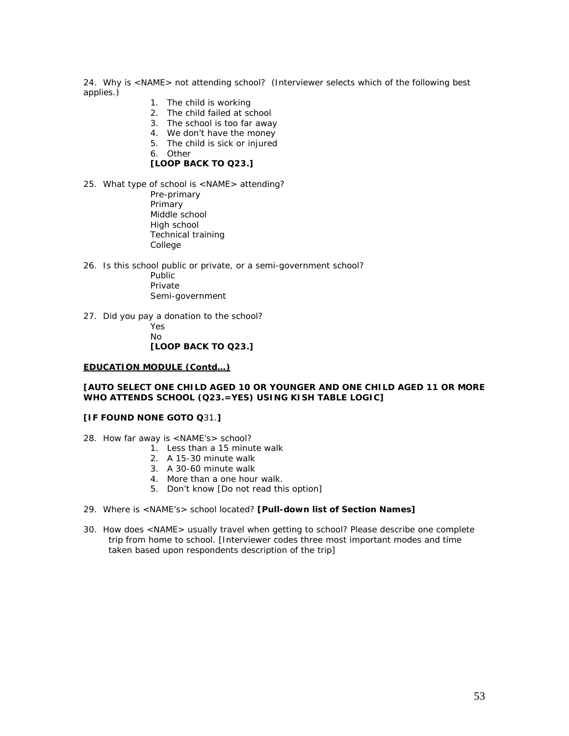24. Why is <NAME> not attending school? (Interviewer selects which of the following best applies.)

- 1. The child is working
- 2. The child failed at school
- 3. The school is too far away
- 4. We don't have the money
- 5. The child is sick or injured
- 6. Other

## **[LOOP BACK TO Q23.]**

- 25. What type of school is <NAME> attending?
	- Pre-primary Primary Middle school High school Technical training College
- 26. Is this school public or private, or a semi-government school?
	- Public Private Semi-government
- 27. Did you pay a donation to the school?
	- Yes  $N<sub>0</sub>$  **[LOOP BACK TO Q23.]**

#### **EDUCATION MODULE (Contd…)**

#### **[AUTO SELECT ONE CHILD AGED 10 OR YOUNGER AND ONE CHILD AGED 11 OR MORE WHO ATTENDS SCHOOL (Q23.=YES) USING KISH TABLE LOGIC]**

#### **[IF FOUND NONE GOTO Q**31.**]**

- 28. How far away is <NAME's> school?
	- 1. Less than a 15 minute walk
	- 2. A 15-30 minute walk
	- 3. A 30-60 minute walk
	- 4. More than a one hour walk.
	- 5. Don't know [Do not read this option]
- 29. Where is <NAME's> school located? **[Pull-down list of Section Names]**
- 30. How does <NAME> usually travel when getting to school? Please describe one complete trip from home to school. [Interviewer codes three most important modes and time taken based upon respondents description of the trip]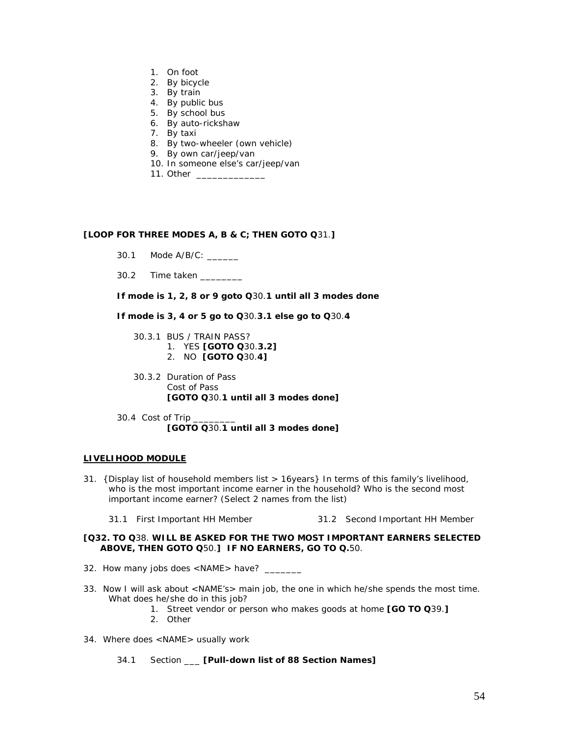- 1. On foot
- 2. By bicycle
- 3. By train
- 4. By public bus
- 5. By school bus
- 6. By auto-rickshaw
- 7. By taxi
- 8. By two-wheeler (own vehicle)
- 9. By own car/jeep/van
- 10. In someone else's car/jeep/van
- 11. Other \_

### **[LOOP FOR THREE MODES A, B & C; THEN GOTO Q**31.**]**

- 30.1 Mode A/B/C: \_\_\_\_\_\_
- 30.2 Time taken \_\_\_\_\_\_\_\_

**If mode is 1, 2, 8 or 9 goto Q**30.**1 until all 3 modes done** 

**If mode is 3, 4 or 5 go to Q**30.**3.1 else go to Q**30.**4** 

 30.3.1 BUS / TRAIN PASS? 1. YES **[GOTO Q**30.**3.2]**

- 2. NO **[GOTO Q**30.**4]**
- 30.3.2 Duration of Pass Cost of Pass **[GOTO Q**30.**1 until all 3 modes done]**
- 30.4 Cost of Trip **[GOTO Q**30.**1 until all 3 modes done]**

#### **LIVELIHOOD MODULE**

- 31. {Display list of household members list > 16years} In terms of this family's livelihood, who is the most important income earner in the household? Who is the second most important income earner? (Select 2 names from the list)
	- 31.1 First Important HH Member 31.2 Second Important HH Member

### **[Q32. TO Q**38. **WILL BE ASKED FOR THE TWO MOST IMPORTANT EARNERS SELECTED ABOVE, THEN GOTO Q**50.**] IF NO EARNERS, GO TO Q.**50.

- 32.How many jobs does <NAME> have? \_\_\_\_\_\_\_
- 33. Now I will ask about <NAME's> main job, the one in which he/she spends the most time. What does he/she do in this job?
	- 1. Street vendor or person who makes goods at home **[GO TO Q**39.**]**
	- 2. Other
- 34. Where does <NAME> usually work
	- 34.1 Section \_\_\_ **[Pull-down list of 88 Section Names]**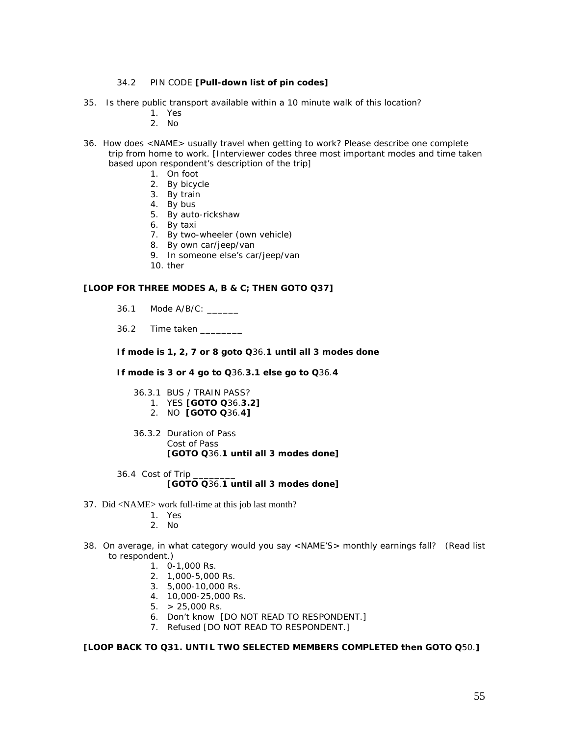### 34.2 PIN CODE **[Pull-down list of pin codes]**

- 35. Is there public transport available within a 10 minute walk of this location?
	- 1. Yes
	- 2. No
- 36. How does <NAME> usually travel when getting to work? Please describe one complete trip from home to work. [Interviewer codes three most important modes and time taken based upon respondent's description of the trip]
	- 1. On foot
	- 2. By bicycle
	- 3. By train
	- 4. By bus
	- 5. By auto-rickshaw
	- 6. By taxi
	- 7. By two-wheeler (own vehicle)
	- 8. By own car/jeep/van
	- 9. In someone else's car/jeep/van
	- 10. ther

### **[LOOP FOR THREE MODES A, B & C; THEN GOTO Q37]**

- 36.1 Mode A/B/C:
- 36.2 Time taken

**If mode is 1, 2, 7 or 8 goto Q**36.**1 until all 3 modes done** 

**If mode is 3 or 4 go to Q**36.**3.1 else go to Q**36.**4** 

- 36.3.1 BUS / TRAIN PASS?
	- 1. YES **[GOTO Q**36.**3.2]**
	- 2. NO **[GOTO Q**36.**4]**
- 36.3.2 Duration of Pass Cost of Pass **[GOTO Q**36.**1 until all 3 modes done]**
- 36.4 Cost of Trip **[GOTO Q**36.**1 until all 3 modes done]**
- 37. Did <NAME> work full-time at this job last month?
	- 1. Yes
	- 2. No
- 38. On average, in what category would you say <NAME'S> monthly earnings fall? (Read list to respondent.)
	- 1. 0-1,000 Rs.
	- 2. 1,000-5,000 Rs.
	- 3. 5,000-10,000 Rs.
	- 4. 10,000-25,000 Rs.
	- $5. > 25,000$  Rs.
	- 6. Don't know [DO NOT READ TO RESPONDENT.]
	- 7. Refused [DO NOT READ TO RESPONDENT.]

**[LOOP BACK TO Q31. UNTIL TWO SELECTED MEMBERS COMPLETED then GOTO Q**50.**]**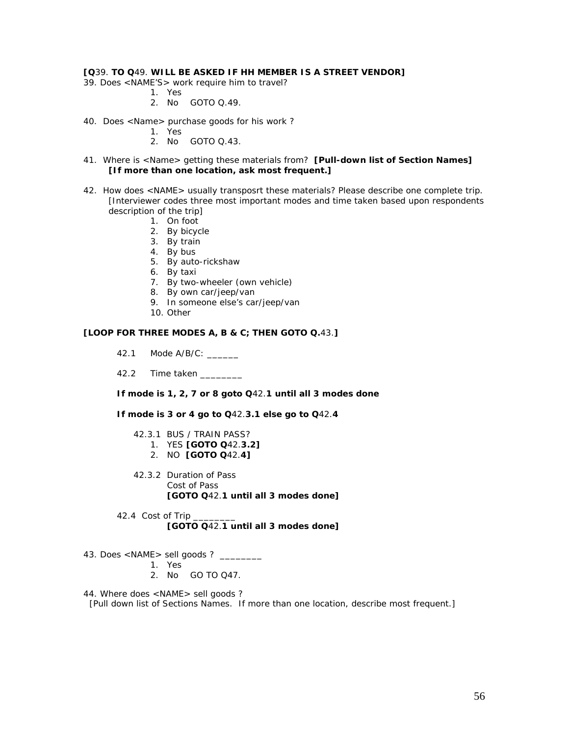### **[Q**39. **TO Q**49. **WILL BE ASKED IF HH MEMBER IS A STREET VENDOR]**

- 39. Does <NAME'S> work require him to travel?
	- 1. Yes
	- 2. No GOTO Q.49.
- 40. Does <Name> purchase goods for his work ?
	- 1. Yes
		- 2. No GOTO Q.43.
- 41. Where is <Name> getting these materials from? **[Pull-down list of Section Names] [If more than one location, ask most frequent.]**
- 42. How does <NAME> usually transposrt these materials? Please describe one complete trip. [Interviewer codes three most important modes and time taken based upon respondents description of the trip]
	- 1. On foot
	- 2. By bicycle
	- 3. By train
	- 4. By bus
	- 5. By auto-rickshaw
	- 6. By taxi
	- 7. By two-wheeler (own vehicle)
	- 8. By own car/jeep/van
	- 9. In someone else's car/jeep/van
	- 10. Other

# **[LOOP FOR THREE MODES A, B & C; THEN GOTO Q.**43.**]**

- 42.1 Mode A/B/C: \_\_\_\_\_\_
- 42.2 Time taken

**If mode is 1, 2, 7 or 8 goto Q**42.**1 until all 3 modes done** 

**If mode is 3 or 4 go to Q**42.**3.1 else go to Q**42.**4** 

- 42.3.1 BUS / TRAIN PASS? 1. YES **[GOTO Q**42.**3.2]** 2. NO **[GOTO Q**42.**4]**
- 42.3.2 Duration of Pass Cost of Pass **[GOTO Q**42.**1 until all 3 modes done]**
- 42.4 Cost of Trip **[GOTO Q**42.**1 until all 3 modes done]**
- 43. Does <NAME> sell goods ? \_\_\_\_\_\_\_\_
	- 1. Yes
	- 2. No GO TO Q47.

44. Where does <NAME> sell goods ?

[Pull down list of Sections Names. If more than one location, describe most frequent.]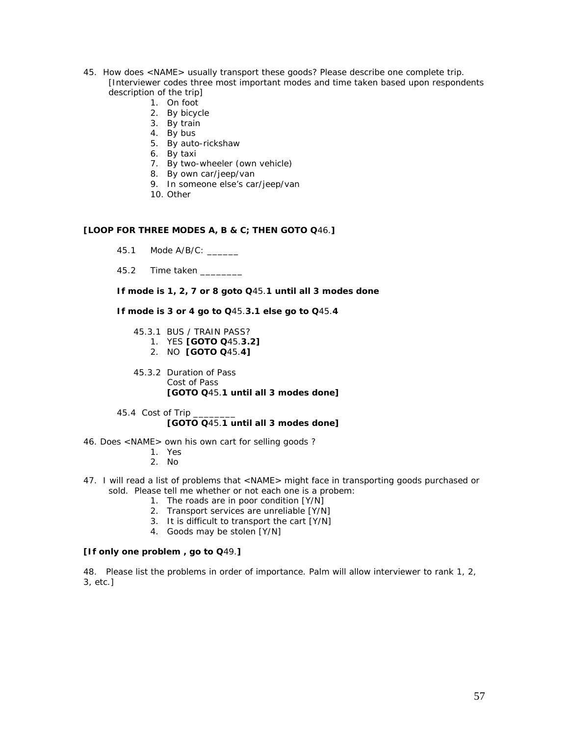- 45. How does <NAME> usually transport these goods? Please describe one complete trip. [Interviewer codes three most important modes and time taken based upon respondents description of the trip]
	- 1. On foot
	- 2. By bicycle
	- 3. By train
	- 4. By bus
	- 5. By auto-rickshaw
	- 6. By taxi
	- 7. By two-wheeler (own vehicle)
	- 8. By own car/jeep/van
	- 9. In someone else's car/jeep/van
	- 10. Other

## **[LOOP FOR THREE MODES A, B & C; THEN GOTO Q**46.**]**

- 45.1 Mode A/B/C: \_\_\_\_\_\_
- 45.2 Time taken \_\_\_\_\_\_\_\_

**If mode is 1, 2, 7 or 8 goto Q**45.**1 until all 3 modes done** 

**If mode is 3 or 4 go to Q**45.**3.1 else go to Q**45.**4** 

- 45.3.1 BUS / TRAIN PASS?
	- 1. YES **[GOTO Q**45.**3.2]**
	- 2. NO **[GOTO Q**45.**4]**
- 45.3.2 Duration of Pass Cost of Pass **[GOTO Q**45.**1 until all 3 modes done]**
- 45.4 Cost of Trip **[GOTO Q**45.**1 until all 3 modes done]**
- 46. Does <NAME> own his own cart for selling goods ?
	- 1. Yes
	- 2. No
- 47. I will read a list of problems that <NAME> might face in transporting goods purchased or sold. Please tell me whether or not each one is a probem:
	- 1. The roads are in poor condition [Y/N]
	- 2. Transport services are unreliable [Y/N]
	- 3. It is difficult to transport the cart [Y/N]
	- 4. Goods may be stolen [Y/N]

### **[If only one problem , go to Q**49.**]**

48. Please list the problems in order of importance. Palm will allow interviewer to rank 1, 2, 3, etc.]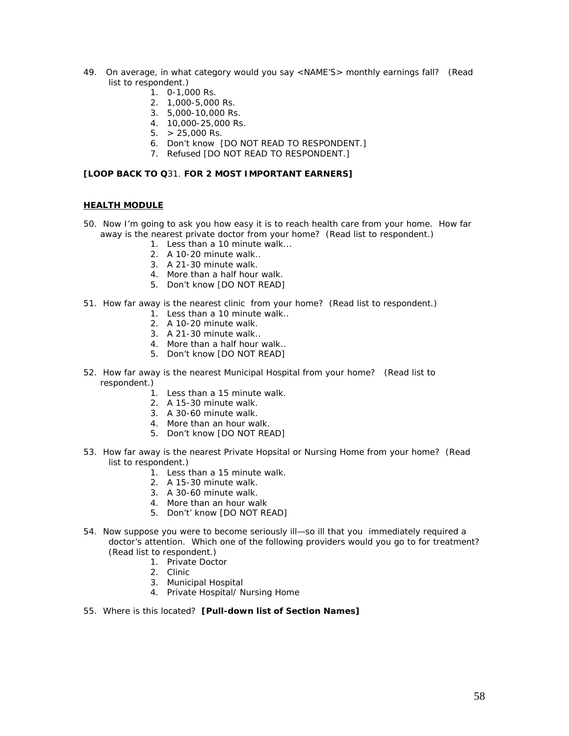- 49. On average, in what category would you say <NAME'S> monthly earnings fall? (Read list to respondent.)
	- $1.0 1,000$  Rs.
	- 2. 1,000-5,000 Rs.
	- 3. 5,000-10,000 Rs.
	- 4. 10,000-25,000 Rs.
	- $5. > 25,000$  Rs.
	- 6. Don't know [DO NOT READ TO RESPONDENT.]
	- 7. Refused [DO NOT READ TO RESPONDENT.]

### **[LOOP BACK TO Q**31. **FOR 2 MOST IMPORTANT EARNERS]**

### **HEALTH MODULE**

- 50. Now I'm going to ask you how easy it is to reach health care from your home. How far away is the nearest private doctor from your home? (Read list to respondent.)
	- 1. Less than a 10 minute walk...
	- 2. A 10-20 minute walk..
	- 3. A 21-30 minute walk.
	- 4. More than a half hour walk.
	- 5. Don't know [DO NOT READ]
- 51. How far away is the nearest clinic from your home? (Read list to respondent.)
	- 1. Less than a 10 minute walk..
	- 2. A 10-20 minute walk.
	- 3. A 21-30 minute walk..
	- 4. More than a half hour walk..
	- 5. Don't know [DO NOT READ]
- 52. How far away is the nearest Municipal Hospital from your home? (Read list to respondent.)
	- 1. Less than a 15 minute walk.
	- 2. A 15-30 minute walk.
	- 3. A 30-60 minute walk.
	- 4. More than an hour walk.
	- 5. Don't know [DO NOT READ]
- 53. How far away is the nearest Private Hopsital or Nursing Home from your home? (Read list to respondent.)
	- 1. Less than a 15 minute walk.
	- 2. A 15-30 minute walk.
	- 3. A 30-60 minute walk.
	- 4. More than an hour walk
	- 5. Don't' know [DO NOT READ]
- 54. Now suppose you were to become seriously ill—so ill that you immediately required a doctor's attention. Which one of the following providers would you go to for treatment? (Read list to respondent.)
	- 1. Private Doctor
		- 2. Clinic
		- 3. Municipal Hospital
		- 4. Private Hospital/ Nursing Home
- 55. Where is this located? **[Pull-down list of Section Names]**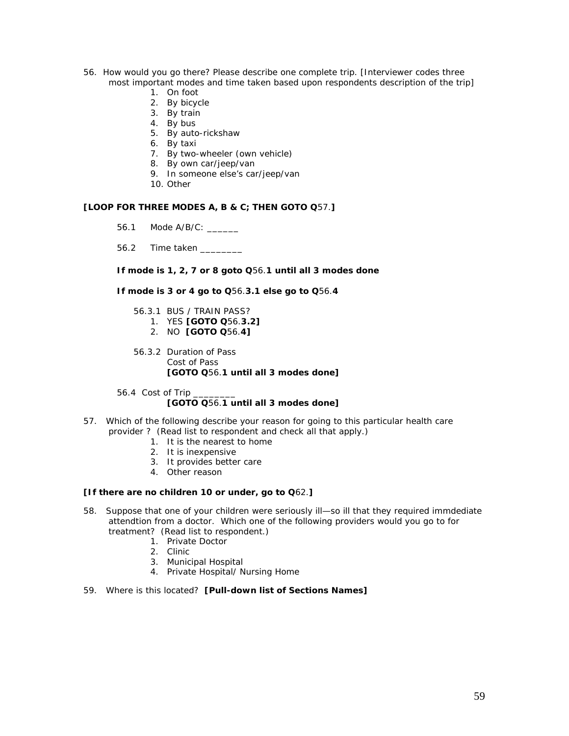- 56. How would you go there? Please describe one complete trip. [Interviewer codes three most important modes and time taken based upon respondents description of the trip]
	- 1. On foot
	- 2. By bicycle
	- 3. By train
	- 4. By bus
	- 5. By auto-rickshaw
	- 6. By taxi
	- 7. By two-wheeler (own vehicle)
	- 8. By own car/jeep/van
	- 9. In someone else's car/jeep/van
	- 10. Other

### **[LOOP FOR THREE MODES A, B & C; THEN GOTO Q**57.**]**

- 56.1 Mode A/B/C: \_\_\_\_\_\_
- 56.2 Time taken \_\_\_\_\_\_\_\_

**If mode is 1, 2, 7 or 8 goto Q**56.**1 until all 3 modes done** 

**If mode is 3 or 4 go to Q**56.**3.1 else go to Q**56.**4** 

- 56.3.1 BUS / TRAIN PASS? 1. YES **[GOTO Q**56.**3.2]**
	- 2. NO **[GOTO Q**56.**4]**
- 56.3.2 Duration of Pass Cost of Pass **[GOTO Q**56.**1 until all 3 modes done]**
- 56.4 Cost of Trip **[GOTO Q**56.**1 until all 3 modes done]**
- 57. Which of the following describe your reason for going to this particular health care provider ? (Read list to respondent and check all that apply.)
	- 1. It is the nearest to home
	- 2. It is inexpensive
	- 3. It provides better care
	- 4. Other reason

#### **[If there are no children 10 or under, go to Q**62.**]**

- 58. Suppose that one of your children were seriously ill—so ill that they required immdediate attendtion from a doctor. Which one of the following providers would you go to for treatment? (Read list to respondent.)
	- 1. Private Doctor
	- 2. Clinic
	- 3. Municipal Hospital
	- 4. Private Hospital/ Nursing Home
- 59. Where is this located? **[Pull-down list of Sections Names]**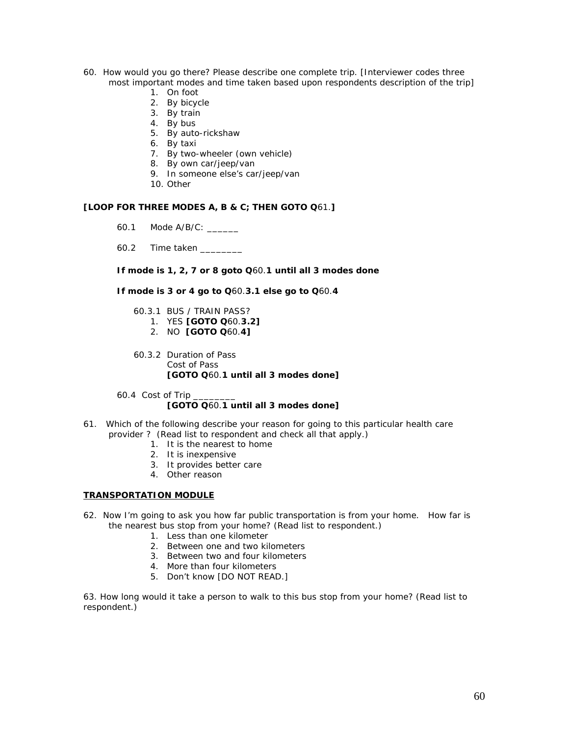- 60. How would you go there? Please describe one complete trip. [Interviewer codes three most important modes and time taken based upon respondents description of the trip]
	- 1. On foot
	- 2. By bicycle
	- 3. By train
	- 4. By bus
	- 5. By auto-rickshaw
	- 6. By taxi
	- 7. By two-wheeler (own vehicle)
	- 8. By own car/jeep/van
	- 9. In someone else's car/jeep/van
	- 10. Other

### **[LOOP FOR THREE MODES A, B & C; THEN GOTO Q**61.**]**

- 60.1 Mode A/B/C: \_\_\_\_\_\_
- 60.2 Time taken \_\_\_\_\_\_\_\_

**If mode is 1, 2, 7 or 8 goto Q**60.**1 until all 3 modes done** 

**If mode is 3 or 4 go to Q**60.**3.1 else go to Q**60.**4** 

- 60.3.1 BUS / TRAIN PASS? 1. YES **[GOTO Q**60.**3.2]**
	- 2. NO **[GOTO Q**60.**4]**
- 60.3.2 Duration of Pass Cost of Pass **[GOTO Q**60.**1 until all 3 modes done]**
- 60.4 Cost of Trip **[GOTO Q**60.**1 until all 3 modes done]**
- 61. Which of the following describe your reason for going to this particular health care provider ? (Read list to respondent and check all that apply.)
	- 1. It is the nearest to home
	- 2. It is inexpensive
	- 3. It provides better care
	- 4. Other reason

#### **TRANSPORTATION MODULE**

- 62. Now I'm going to ask you how far public transportation is from your home. How far is the nearest bus stop from your home? (Read list to respondent.)
	- 1. Less than one kilometer
	- 2. Between one and two kilometers
	- 3. Between two and four kilometers
	- 4. More than four kilometers
	- 5. Don't know [DO NOT READ.]

63. How long would it take a person to walk to this bus stop from your home? (Read list to respondent.)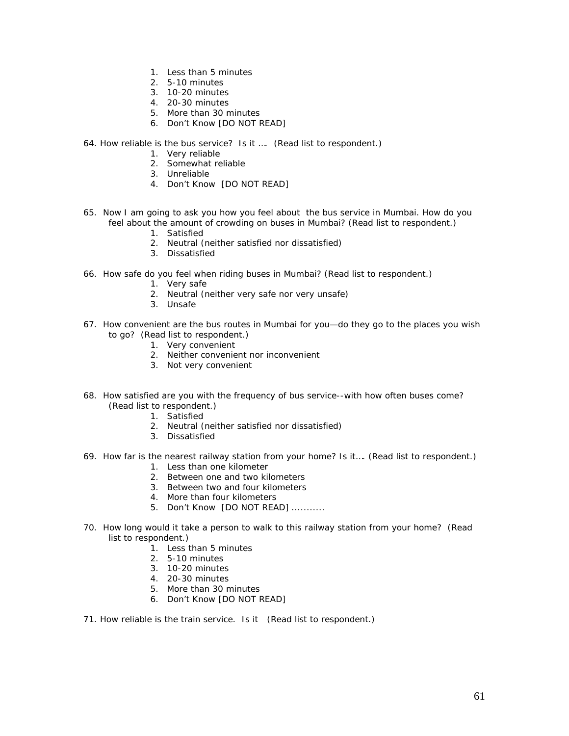- 1. Less than 5 minutes
- 2. 5-10 minutes
- 3. 10-20 minutes
- 4. 20-30 minutes
- 5. More than 30 minutes
- 6. Don't Know [DO NOT READ]
- 64. How reliable is the bus service? Is it …. (Read list to respondent.)
	- 1. Very reliable
	- 2. Somewhat reliable
	- 3. Unreliable
	- 4. Don't Know [DO NOT READ]
- 65. Now I am going to ask you how you feel about the bus service in Mumbai. How do you feel about the amount of crowding on buses in Mumbai? (Read list to respondent.)
	- 1. Satisfied
	- 2. Neutral (neither satisfied nor dissatisfied)
	- 3. Dissatisfied
- 66. How safe do you feel when riding buses in Mumbai? (Read list to respondent.)
	- 1. Very safe
	- 2. Neutral (neither very safe nor very unsafe)
	- 3. Unsafe
- 67. How convenient are the bus routes in Mumbai for you—do they go to the places you wish to go? (Read list to respondent.)
	- 1. Very convenient
		- 2. Neither convenient nor inconvenient
		- 3. Not very convenient
- 68. How satisfied are you with the frequency of bus service--with how often buses come? (Read list to respondent.)
	- 1. Satisfied
	- 2. Neutral (neither satisfied nor dissatisfied)
	- 3. Dissatisfied
- 69. How far is the nearest railway station from your home? Is it…. (Read list to respondent.)
	- 1. Less than one kilometer
	- 2. Between one and two kilometers
	- 3. Between two and four kilometers
	- 4. More than four kilometers
	- 5. Don't Know [DO NOT READ] ...........
- 70. How long would it take a person to walk to this railway station from your home? (Read list to respondent.)
	- 1. Less than 5 minutes
	- 2. 5-10 minutes
	- 3. 10-20 minutes
	- 4. 20-30 minutes
	- 5. More than 30 minutes
	- 6. Don't Know [DO NOT READ]
- 71. How reliable is the train service. Is it (Read list to respondent.)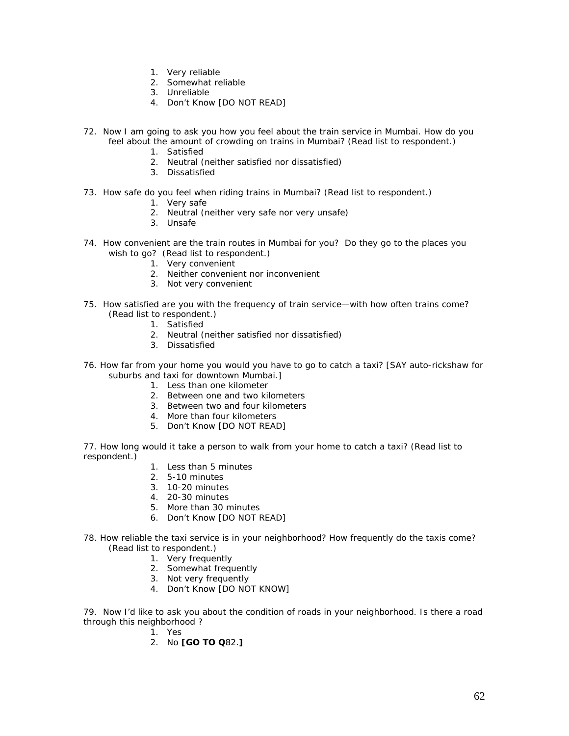- 1. Very reliable
- 2. Somewhat reliable
- 3. Unreliable
- 4. Don't Know [DO NOT READ]
- 72. Now I am going to ask you how you feel about the train service in Mumbai. How do you feel about the amount of crowding on trains in Mumbai? (Read list to respondent.)
	- 1. Satisfied
	- 2. Neutral (neither satisfied nor dissatisfied)
	- 3. Dissatisfied
- 73. How safe do you feel when riding trains in Mumbai? (Read list to respondent.)
	- 1. Very safe
	- 2. Neutral (neither very safe nor very unsafe)
	- 3. Unsafe
- 74. How convenient are the train routes in Mumbai for you? Do they go to the places you wish to go? (Read list to respondent.)
	- 1. Very convenient
	- 2. Neither convenient nor inconvenient
	- 3. Not very convenient
- 75. How satisfied are you with the frequency of train service—with how often trains come? (Read list to respondent.)
	- 1. Satisfied
	- 2. Neutral (neither satisfied nor dissatisfied)
	- 3. Dissatisfied
- 76. How far from your home you would you have to go to catch a taxi? [SAY auto-rickshaw for suburbs and taxi for downtown Mumbai.]
	- 1. Less than one kilometer
	- 2. Between one and two kilometers
	- 3. Between two and four kilometers
	- 4. More than four kilometers
	- 5. Don't Know [DO NOT READ]

77. How long would it take a person to walk from your home to catch a taxi? (Read list to respondent.)

- 1. Less than 5 minutes
- 2. 5-10 minutes
- 3. 10-20 minutes
- 4. 20-30 minutes
- 5. More than 30 minutes
- 6. Don't Know [DO NOT READ]
- 78. How reliable the taxi service is in your neighborhood? How frequently do the taxis come? (Read list to respondent.)
	- 1. Very frequently
	- 2. Somewhat frequently
	- 3. Not very frequently
	- 4. Don't Know [DO NOT KNOW]

79. Now I'd like to ask you about the condition of roads in your neighborhood. Is there a road through this neighborhood ?

- 1. Yes
- 2. No **[GO TO Q**82.**]**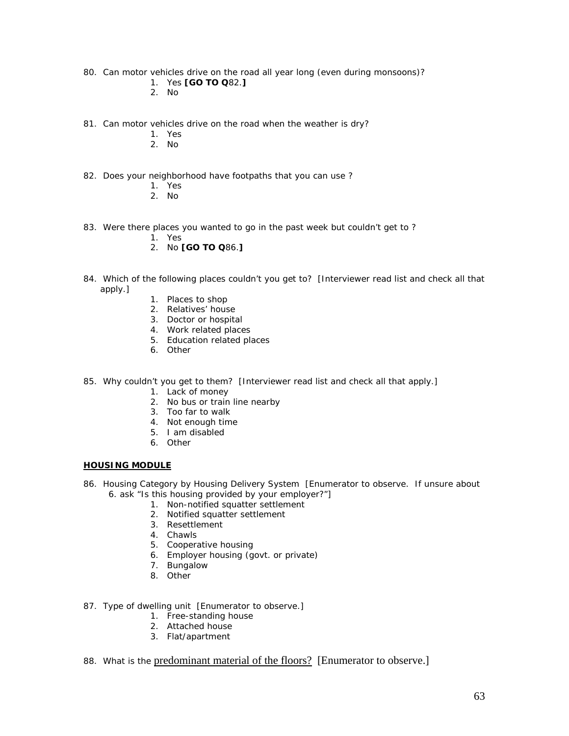- 80. Can motor vehicles drive on the road all year long (even during monsoons)?
	- 1. Yes **[GO TO Q**82.**]**
	- 2. No
- 81. Can motor vehicles drive on the road when the weather is dry?
	- 1. Yes
	- 2. No
- 82. Does your neighborhood have footpaths that you can use ?
	- 1. Yes
	- 2. No
- 83. Were there places you wanted to go in the past week but couldn't get to ?
	- 1. Yes
	- 2. No **[GO TO Q**86.**]**
- 84. Which of the following places couldn't you get to? [Interviewer read list and check all that apply.]
	- 1. Places to shop
	- 2. Relatives' house
	- 3. Doctor or hospital
	- 4. Work related places
	- 5. Education related places
	- 6. Other
- 85. Why couldn't you get to them? [Interviewer read list and check all that apply.]
	- 1. Lack of money
	- 2. No bus or train line nearby
	- 3. Too far to walk
	- 4. Not enough time
	- 5. I am disabled
	- 6. Other

### **HOUSING MODULE**

- 86. Housing Category by Housing Delivery System [Enumerator to observe. If unsure about 6. ask "Is this housing provided by your employer?"]
	- 1. Non-notified squatter settlement
	- 2. Notified squatter settlement
	- 3. Resettlement
	- 4. Chawls
	- 5. Cooperative housing
	- 6. Employer housing (govt. or private)
	- 7. Bungalow
	- 8. Other
- 87. Type of dwelling unit [Enumerator to observe.]
	- 1. Free-standing house
	- 2. Attached house
	- 3. Flat/apartment
- 88. What is the predominant material of the floors? [Enumerator to observe.]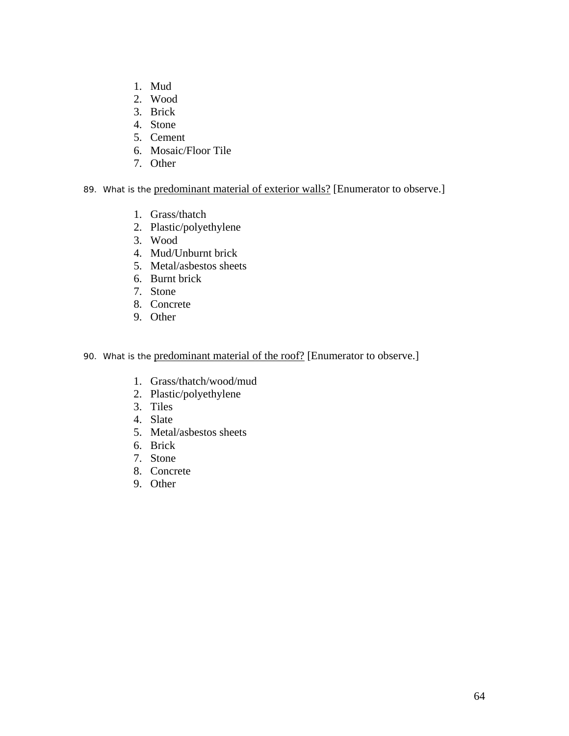- 1. Mud
- 2. Wood
- 3. Brick
- 4. Stone
- 5. Cement
- 6. Mosaic/Floor Tile
- 7. Other

# 89. What is the predominant material of exterior walls? [Enumerator to observe.]

- 1. Grass/thatch
- 2. Plastic/polyethylene
- 3. Wood
- 4. Mud/Unburnt brick
- 5. Metal/asbestos sheets
- 6. Burnt brick
- 7. Stone
- 8. Concrete
- 9. Other

# 90. What is the predominant material of the roof? [Enumerator to observe.]

- 1. Grass/thatch/wood/mud
- 2. Plastic/polyethylene
- 3. Tiles
- 4. Slate
- 5. Metal/asbestos sheets
- 6. Brick
- 7. Stone
- 8. Concrete
- 9. Other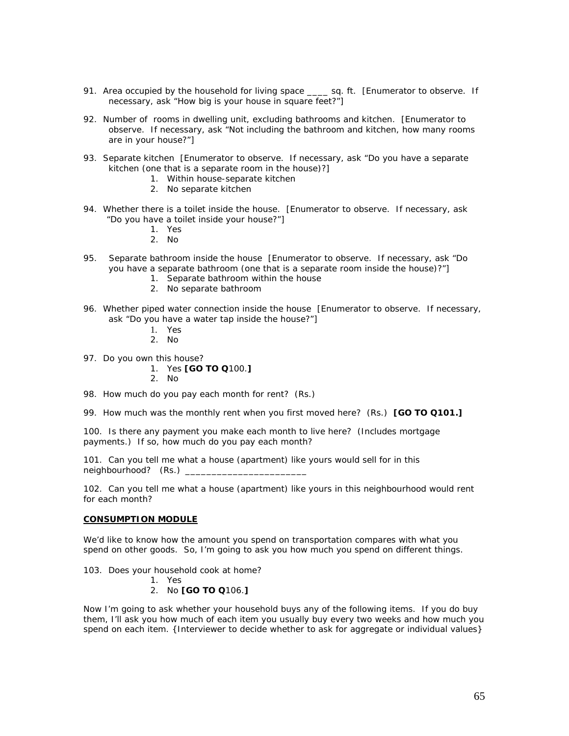- 91. Area occupied by the household for living space \_\_\_\_ sq. ft. [Enumerator to observe. If necessary, ask "How big is your house in square feet?"]
- 92. Number of rooms in dwelling unit, excluding bathrooms and kitchen. [Enumerator to observe. If necessary, ask "Not including the bathroom and kitchen, how many rooms are in your house?"]
- 93. Separate kitchen [Enumerator to observe. If necessary, ask "Do you have a separate kitchen (one that is a separate room in the house)?]
	- 1. Within house-separate kitchen
	- 2. No separate kitchen
- 94. Whether there is a toilet inside the house. [Enumerator to observe. If necessary, ask "Do you have a toilet inside your house?"]
	- 1. Yes
	- 2. No
- 95. Separate bathroom inside the house [Enumerator to observe. If necessary, ask "Do you have a separate bathroom (one that is a separate room inside the house)?"]
	- 1. Separate bathroom within the house
	- 2. No separate bathroom
- 96. Whether piped water connection inside the house [Enumerator to observe. If necessary, ask "Do you have a water tap inside the house?"]
	- 1. Yes
	- 2. No
- 97. Do you own this house?
	- 1. Yes **[GO TO Q**100.**]**
	- 2. No
- 98. How much do you pay each month for rent? (Rs.)
- 99. How much was the monthly rent when you first moved here? (Rs.) **[GO TO Q101.]**

100. Is there any payment you make each month to live here? (Includes mortgage payments.) If so, how much do you pay each month?

101. Can you tell me what a house (apartment) like yours would sell for in this neighbourhood? (Rs.) \_

102. Can you tell me what a house (apartment) like yours in this neighbourhood would rent for each month?

#### **CONSUMPTION MODULE**

We'd like to know how the amount you spend on transportation compares with what you spend on other goods. So, I'm going to ask you how much you spend on different things.

- 103. Does your household cook at home?
	- 1. Yes
	- 2. No **[GO TO Q**106.**]**

Now I'm going to ask whether your household buys any of the following items. If you do buy them, I'll ask you how much of each item you usually buy every two weeks and how much you spend on each item. {Interviewer to decide whether to ask for aggregate or individual values}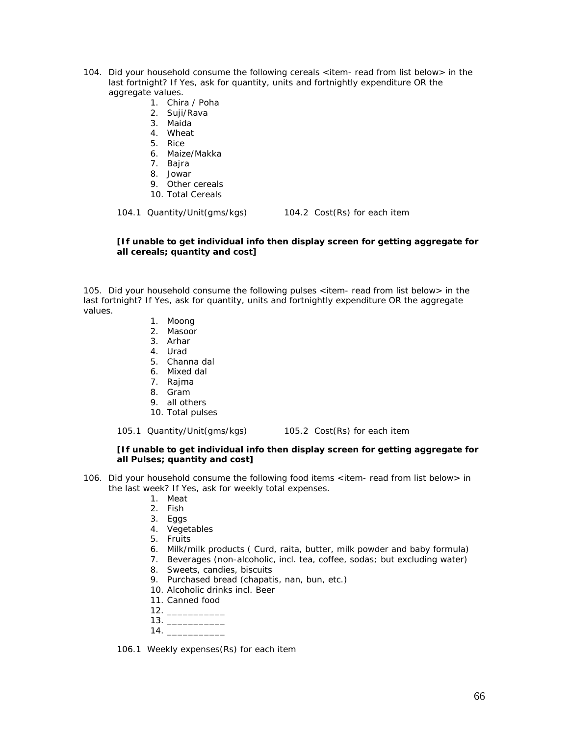- 104. Did your household consume the following cereals <item- *read from list below*> in the last fortnight? If Yes, ask for quantity, units and fortnightly expenditure OR the aggregate values.
	- 1. Chira / Poha
	- 2. Suji/Rava
	- 3. Maida
	- 4. Wheat
	- 5. Rice
	- 6. Maize/Makka
	- 7. Bajra
	- 8. Jowar
	- 9. Other cereals
	- 10. Total Cereals

104.1 Quantity/Unit(gms/kgs) 104.2 Cost(Rs) for each item

### **[If unable to get individual info then display screen for getting aggregate for all cereals; quantity and cost]**

105. Did your household consume the following pulses <item- *read from list below*> in the last fortnight? If Yes, ask for quantity, units and fortnightly expenditure OR the aggregate values.

- 1. Moong
- 2. Masoor
- 3. Arhar 4. Urad
- 
- 5. Channa dal
- 6. Mixed dal
- 7. Rajma
- 8. Gram
- 9. all others
- 10. Total pulses

105.1 Quantity/Unit(gms/kgs) 105.2 Cost(Rs) for each item

### **[If unable to get individual info then display screen for getting aggregate for all Pulses; quantity and cost]**

- 106. Did your household consume the following food items <item- *read from list below*> in the last week? If Yes, ask for weekly total expenses.
	- 1. Meat
	- 2. Fish
	- 3. Eggs
	- 4. Vegetables
	- 5. Fruits
	- 6. Milk/milk products ( Curd, raita, butter, milk powder and baby formula)
	- 7. Beverages (non-alcoholic, incl. tea, coffee, sodas; but excluding water)
	- 8. Sweets, candies, biscuits
	- 9. Purchased bread (chapatis, nan, bun, etc.)
	- 10. Alcoholic drinks incl. Beer
	- 11. Canned food
	- $12.$   $\_\_$
	- 13. \_\_\_\_\_\_\_\_\_\_\_  $14.$

106.1 Weekly expenses(Rs) for each item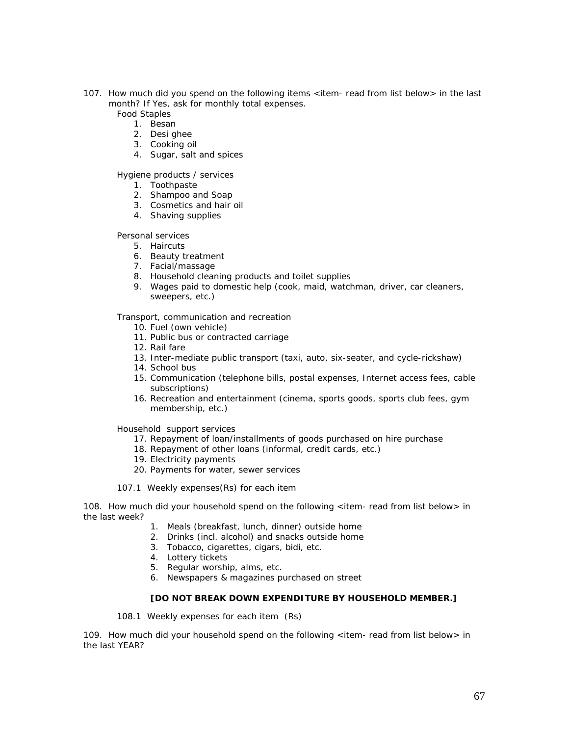- 107. How much did you spend on the following items <item- *read from list below*> in the last month? If Yes, ask for monthly total expenses.
	- *Food Staples* 
		- 1. Besan
		- 2. Desi ghee
		- 3. Cooking oil
		- 4. Sugar, salt and spices

# *Hygiene products / services*

- 1. Toothpaste
- 2. Shampoo and Soap
- 3. Cosmetics and hair oil
- 4. Shaving supplies

### *Personal services*

- 5. Haircuts
- 6. Beauty treatment
- 7. Facial/massage
- 8. Household cleaning products and toilet supplies
- 9. Wages paid to domestic help (cook, maid, watchman, driver, car cleaners, sweepers, etc.)

### *Transport, communication and recreation*

- 10. Fuel (own vehicle)
- 11. Public bus or contracted carriage
- 12. Rail fare
- 13. Inter-mediate public transport (taxi, auto, six-seater, and cycle-rickshaw)
- 14. School bus
- 15. Communication (telephone bills, postal expenses, Internet access fees, cable subscriptions)
- 16. Recreation and entertainment (cinema, sports goods, sports club fees, gym membership, etc.)

*Household support services* 

- 17. Repayment of loan/installments of goods purchased on hire purchase
- 18. Repayment of other loans (informal, credit cards, etc.)
- 19. Electricity payments
- 20. Payments for water, sewer services
- 107.1 Weekly expenses(Rs) for each item

108. How much did your household spend on the following <item- *read from list below*> in the last week?

- 1. Meals (breakfast, lunch, dinner) outside home
- 2. Drinks (incl. alcohol) and snacks outside home
- 3. Tobacco, cigarettes, cigars, bidi, etc.
- 4. Lottery tickets
- 5. Regular worship, alms, etc.
- 6. Newspapers & magazines purchased on street

# **[DO NOT BREAK DOWN EXPENDITURE BY HOUSEHOLD MEMBER.]**

108.1 Weekly expenses for each item (Rs)

109. How much did your household spend on the following <item- *read from list below*> in the last YEAR?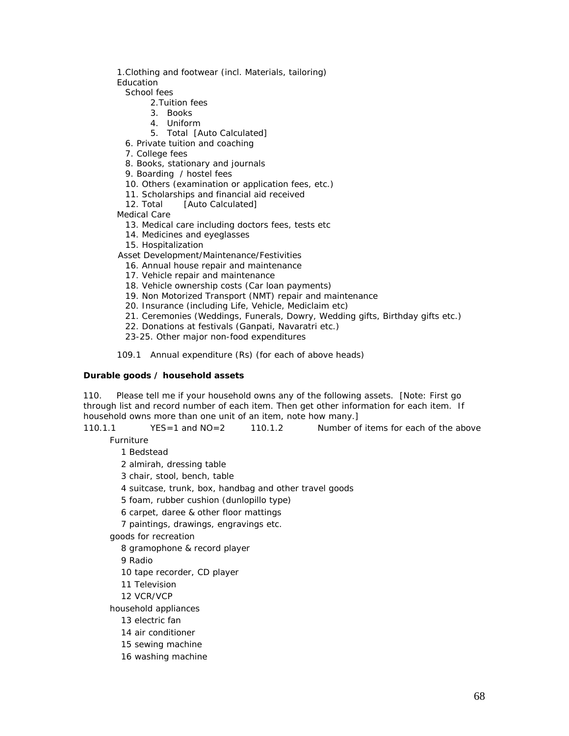1.Clothing and footwear (incl. Materials, tailoring)

Education

School fees

- 2.Tuition fees
- 3. Books
- 4. Uniform
- 5. Total [Auto Calculated]
- 6. Private tuition and coaching
- 7. College fees
- 8. Books, stationary and journals
- 9. Boarding / hostel fees
- 10. Others (examination or application fees, etc.)
- 11. Scholarships and financial aid received
- 12. Total [Auto Calculated]

Medical Care

- 13. Medical care including doctors fees, tests etc
- 14. Medicines and eyeglasses
- 15. Hospitalization

Asset Development/Maintenance/Festivities

- 16. Annual house repair and maintenance
- 17. Vehicle repair and maintenance
- 18. Vehicle ownership costs (Car loan payments)
- 19. Non Motorized Transport (NMT) repair and maintenance
- 20. Insurance (including Life, Vehicle, Mediclaim etc)
- 21. Ceremonies (Weddings, Funerals, Dowry, Wedding gifts, Birthday gifts etc.)
- 22. Donations at festivals (Ganpati, Navaratri etc.)
- 23-25. Other major non-food expenditures

109.1 Annual expenditure (Rs) (for each of above heads)

### **Durable goods / household assets**

110. Please tell me if your household owns any of the following assets. [Note: First go through list and record number of each item. Then get other information for each item. If household owns more than one unit of an item, note how many.]

110.1.1 YES=1 and NO=2 110.1.2 Number of items for each of the above

Furniture

1 Bedstead

- 2 almirah, dressing table
- 3 chair, stool, bench, table
- 4 suitcase, trunk, box, handbag and other travel goods
- 5 foam, rubber cushion (dunlopillo type)
- 6 carpet, daree & other floor mattings
- 7 paintings, drawings, engravings etc.

goods for recreation

8 gramophone & record player

9 Radio

- 10 tape recorder, CD player
- 11 Television
- 12 VCR/VCP

household appliances

- 13 electric fan
- 14 air conditioner
- 15 sewing machine
- 16 washing machine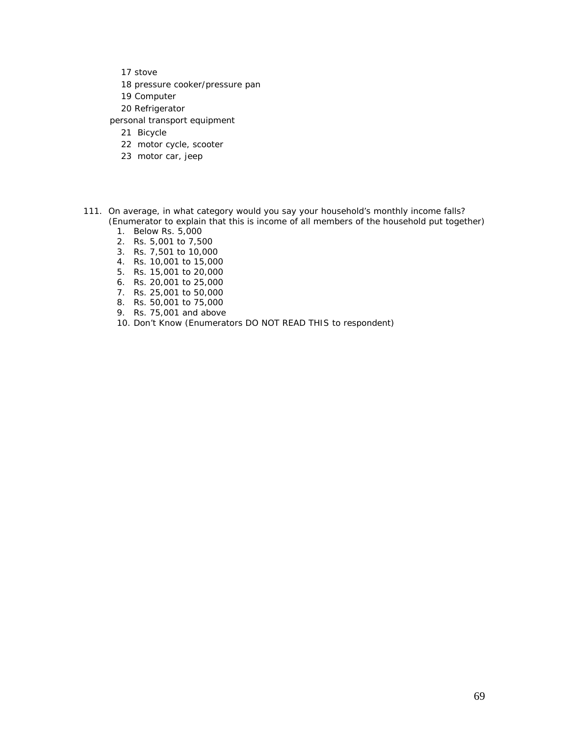- 17 stove
- 18 pressure cooker/pressure pan
- 19 Computer
- 20 Refrigerator
- personal transport equipment
	- 21 Bicycle
	- 22 motor cycle, scooter
	- 23 motor car, jeep
- 111. On average, in what category would you say your household's monthly income falls? (Enumerator to explain that this is income of all members of the household put together)
	- 1. Below Rs. 5,000
	- 2. Rs. 5,001 to 7,500
	- 3. Rs. 7,501 to 10,000
	- 4. Rs. 10,001 to 15,000
	- 5. Rs. 15,001 to 20,000
	- 6. Rs. 20,001 to 25,000
	- 7. Rs. 25,001 to 50,000
	- 8. Rs. 50,001 to 75,000
	- 9. Rs. 75,001 and above
	- 10. Don't Know (Enumerators DO NOT READ THIS to respondent)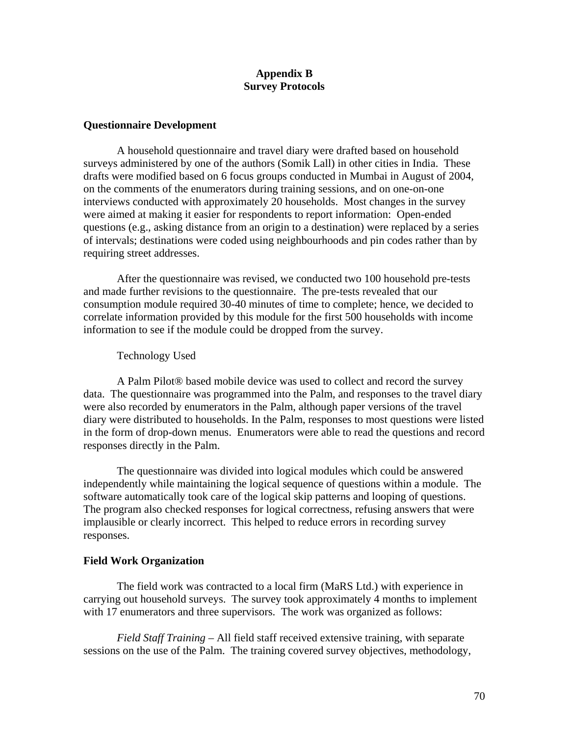# **Appendix B Survey Protocols**

# **Questionnaire Development**

 A household questionnaire and travel diary were drafted based on household surveys administered by one of the authors (Somik Lall) in other cities in India. These drafts were modified based on 6 focus groups conducted in Mumbai in August of 2004, on the comments of the enumerators during training sessions, and on one-on-one interviews conducted with approximately 20 households. Most changes in the survey were aimed at making it easier for respondents to report information: Open-ended questions (e.g., asking distance from an origin to a destination) were replaced by a series of intervals; destinations were coded using neighbourhoods and pin codes rather than by requiring street addresses.

 After the questionnaire was revised, we conducted two 100 household pre-tests and made further revisions to the questionnaire. The pre-tests revealed that our consumption module required 30-40 minutes of time to complete; hence, we decided to correlate information provided by this module for the first 500 households with income information to see if the module could be dropped from the survey.

Technology Used

A Palm Pilot® based mobile device was used to collect and record the survey data. The questionnaire was programmed into the Palm, and responses to the travel diary were also recorded by enumerators in the Palm, although paper versions of the travel diary were distributed to households. In the Palm, responses to most questions were listed in the form of drop-down menus. Enumerators were able to read the questions and record responses directly in the Palm.

The questionnaire was divided into logical modules which could be answered independently while maintaining the logical sequence of questions within a module. The software automatically took care of the logical skip patterns and looping of questions. The program also checked responses for logical correctness, refusing answers that were implausible or clearly incorrect. This helped to reduce errors in recording survey responses.

# **Field Work Organization**

The field work was contracted to a local firm (MaRS Ltd.) with experience in carrying out household surveys. The survey took approximately 4 months to implement with 17 enumerators and three supervisors. The work was organized as follows:

*Field Staff Training* – All field staff received extensive training, with separate sessions on the use of the Palm. The training covered survey objectives, methodology,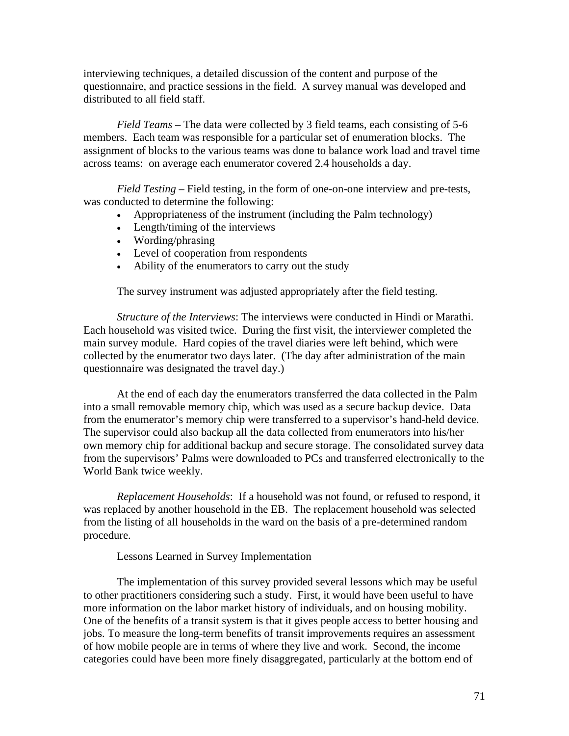interviewing techniques, a detailed discussion of the content and purpose of the questionnaire, and practice sessions in the field. A survey manual was developed and distributed to all field staff.

*Field Teams* – The data were collected by 3 field teams, each consisting of 5-6 members. Each team was responsible for a particular set of enumeration blocks. The assignment of blocks to the various teams was done to balance work load and travel time across teams: on average each enumerator covered 2.4 households a day.

*Field Testing* – Field testing, in the form of one-on-one interview and pre-tests, was conducted to determine the following:

- Appropriateness of the instrument (including the Palm technology)
- Length/timing of the interviews
- Wording/phrasing
- Level of cooperation from respondents
- Ability of the enumerators to carry out the study

The survey instrument was adjusted appropriately after the field testing.

*Structure of the Interviews*: The interviews were conducted in Hindi or Marathi. Each household was visited twice. During the first visit, the interviewer completed the main survey module. Hard copies of the travel diaries were left behind, which were collected by the enumerator two days later. (The day after administration of the main questionnaire was designated the travel day.)

At the end of each day the enumerators transferred the data collected in the Palm into a small removable memory chip, which was used as a secure backup device. Data from the enumerator's memory chip were transferred to a supervisor's hand-held device. The supervisor could also backup all the data collected from enumerators into his/her own memory chip for additional backup and secure storage. The consolidated survey data from the supervisors' Palms were downloaded to PCs and transferred electronically to the World Bank twice weekly.

*Replacement Households*: If a household was not found, or refused to respond, it was replaced by another household in the EB. The replacement household was selected from the listing of all households in the ward on the basis of a pre-determined random procedure.

Lessons Learned in Survey Implementation

The implementation of this survey provided several lessons which may be useful to other practitioners considering such a study. First, it would have been useful to have more information on the labor market history of individuals, and on housing mobility. One of the benefits of a transit system is that it gives people access to better housing and jobs. To measure the long-term benefits of transit improvements requires an assessment of how mobile people are in terms of where they live and work. Second, the income categories could have been more finely disaggregated, particularly at the bottom end of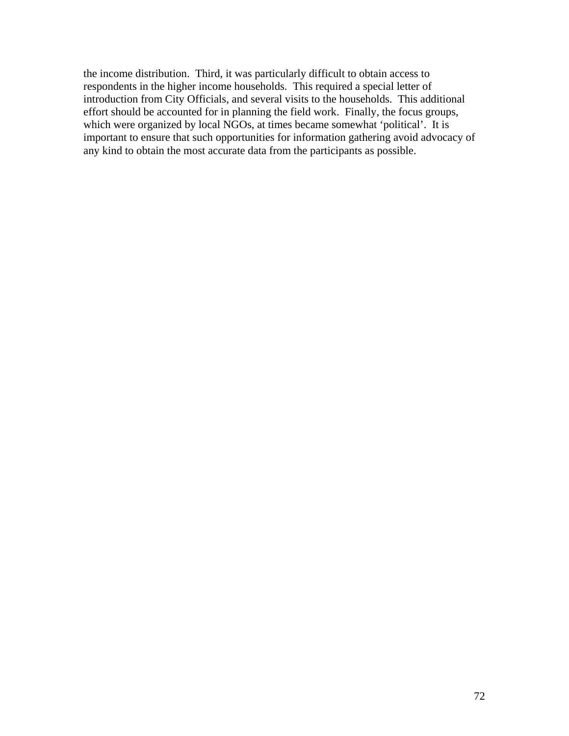the income distribution. Third, it was particularly difficult to obtain access to respondents in the higher income households. This required a special letter of introduction from City Officials, and several visits to the households. This additional effort should be accounted for in planning the field work. Finally, the focus groups, which were organized by local NGOs, at times became somewhat 'political'. It is important to ensure that such opportunities for information gathering avoid advocacy of any kind to obtain the most accurate data from the participants as possible.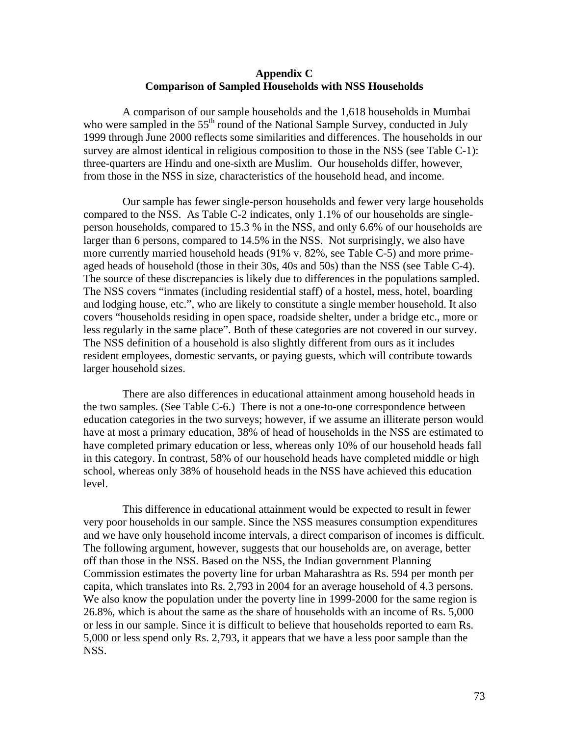#### **Appendix C Comparison of Sampled Households with NSS Households**

A comparison of our sample households and the 1,618 households in Mumbai who were sampled in the  $55<sup>th</sup>$  round of the National Sample Survey, conducted in July 1999 through June 2000 reflects some similarities and differences. The households in our survey are almost identical in religious composition to those in the NSS (see Table C-1): three-quarters are Hindu and one-sixth are Muslim. Our households differ, however, from those in the NSS in size, characteristics of the household head, and income.

Our sample has fewer single-person households and fewer very large households compared to the NSS. As Table C-2 indicates, only 1.1% of our households are singleperson households, compared to 15.3 % in the NSS, and only 6.6% of our households are larger than 6 persons, compared to 14.5% in the NSS. Not surprisingly, we also have more currently married household heads (91% v. 82%, see Table C-5) and more primeaged heads of household (those in their 30s, 40s and 50s) than the NSS (see Table C-4). The source of these discrepancies is likely due to differences in the populations sampled. The NSS covers "inmates (including residential staff) of a hostel, mess, hotel, boarding and lodging house, etc.", who are likely to constitute a single member household. It also covers "households residing in open space, roadside shelter, under a bridge etc., more or less regularly in the same place". Both of these categories are not covered in our survey. The NSS definition of a household is also slightly different from ours as it includes resident employees, domestic servants, or paying guests, which will contribute towards larger household sizes.

There are also differences in educational attainment among household heads in the two samples. (See Table C-6.) There is not a one-to-one correspondence between education categories in the two surveys; however, if we assume an illiterate person would have at most a primary education, 38% of head of households in the NSS are estimated to have completed primary education or less, whereas only 10% of our household heads fall in this category. In contrast, 58% of our household heads have completed middle or high school, whereas only 38% of household heads in the NSS have achieved this education level.

This difference in educational attainment would be expected to result in fewer very poor households in our sample. Since the NSS measures consumption expenditures and we have only household income intervals, a direct comparison of incomes is difficult. The following argument, however, suggests that our households are, on average, better off than those in the NSS. Based on the NSS, the Indian government Planning Commission estimates the poverty line for urban Maharashtra as Rs. 594 per month per capita, which translates into Rs. 2,793 in 2004 for an average household of 4.3 persons. We also know the population under the poverty line in 1999-2000 for the same region is 26.8%, which is about the same as the share of households with an income of Rs. 5,000 or less in our sample. Since it is difficult to believe that households reported to earn Rs. 5,000 or less spend only Rs. 2,793, it appears that we have a less poor sample than the NSS.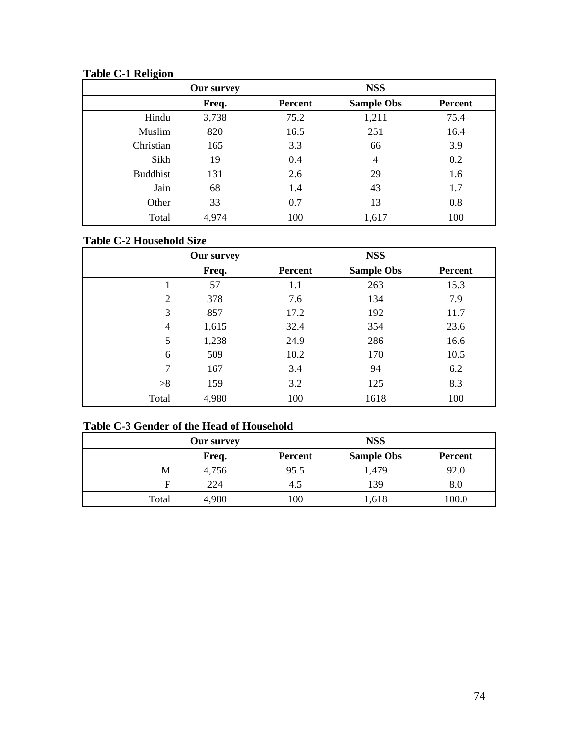**Table C-1 Religion** 

|                 | <b>Our survey</b> |                | <b>NSS</b>        |                |
|-----------------|-------------------|----------------|-------------------|----------------|
|                 | Freq.             | <b>Percent</b> | <b>Sample Obs</b> | <b>Percent</b> |
| Hindu           | 3,738             | 75.2           | 1,211             | 75.4           |
| Muslim          | 820               | 16.5           | 251               | 16.4           |
| Christian       | 165               | 3.3            | 66                | 3.9            |
| Sikh            | 19                | 0.4            | $\overline{4}$    | 0.2            |
| <b>Buddhist</b> | 131               | 2.6            | 29                | 1.6            |
| Jain            | 68                | 1.4            | 43                | 1.7            |
| Other           | 33                | 0.7            | 13                | 0.8            |
| Total           | 4,974             | 100            | 1,617             | 100            |

# **Table C-2 Household Size**

|                | <b>Our survey</b> |         | <b>NSS</b>        |                |
|----------------|-------------------|---------|-------------------|----------------|
|                | Freq.             | Percent | <b>Sample Obs</b> | <b>Percent</b> |
|                | 57                | 1.1     | 263               | 15.3           |
| $\overline{2}$ | 378               | 7.6     | 134               | 7.9            |
| 3              | 857               | 17.2    | 192               | 11.7           |
| 4              | 1,615             | 32.4    | 354               | 23.6           |
| 5              | 1,238             | 24.9    | 286               | 16.6           |
| 6              | 509               | 10.2    | 170               | 10.5           |
| $\mathbf{r}$   | 167               | 3.4     | 94                | 6.2            |
| >8             | 159               | 3.2     | 125               | 8.3            |
| Total          | 4,980             | 100     | 1618              | 100            |

# **Table C-3 Gender of the Head of Household**

|       | <b>Our survey</b> |         | <b>NSS</b>        |                |
|-------|-------------------|---------|-------------------|----------------|
|       | Freq.             | Percent | <b>Sample Obs</b> | <b>Percent</b> |
| M     | 4,756             | 95.5    | 1,479             | 92.0           |
| F     | 224               | 4.5     | 139               | 8.0            |
| Total | 4,980             | 100     | 1,618             | 100.0          |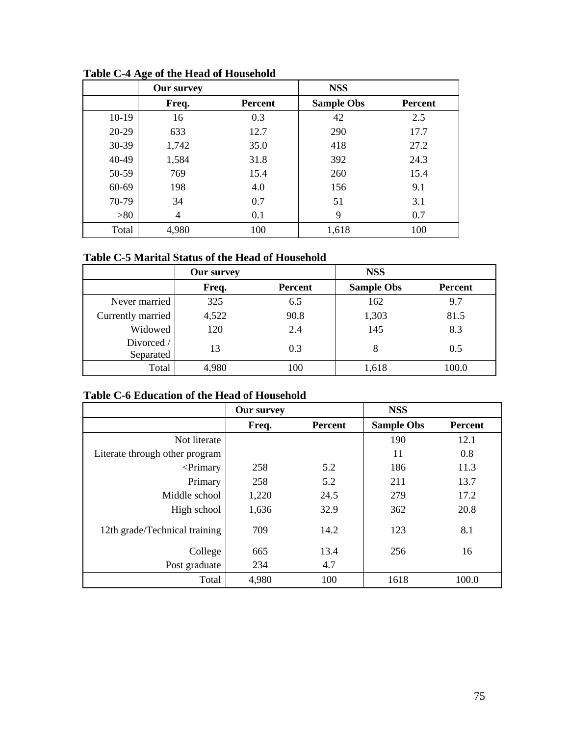|         | o<br><b>Our survey</b> |                | <b>NSS</b>        |                |
|---------|------------------------|----------------|-------------------|----------------|
|         | Freq.                  | <b>Percent</b> | <b>Sample Obs</b> | <b>Percent</b> |
| $10-19$ | 16                     | 0.3            | 42                | 2.5            |
| $20-29$ | 633                    | 12.7           | 290               | 17.7           |
| $30-39$ | 1,742                  | 35.0           | 418               | 27.2           |
| 40-49   | 1,584                  | 31.8           | 392               | 24.3           |
| 50-59   | 769                    | 15.4           | 260               | 15.4           |
| 60-69   | 198                    | 4.0            | 156               | 9.1            |
| 70-79   | 34                     | 0.7            | 51                | 3.1            |
| >80     | 4                      | 0.1            | 9                 | 0.7            |
| Total   | 4,980                  | 100            | 1,618             | 100            |

**Table C-4 Age of the Head of Household** 

## **Table C-5 Marital Status of the Head of Household**

|                         | <b>Our survey</b> |                | <b>NSS</b>        |         |
|-------------------------|-------------------|----------------|-------------------|---------|
|                         | Freq.             | <b>Percent</b> | <b>Sample Obs</b> | Percent |
| Never married           | 325               | 6.5            | 162               | 9.7     |
| Currently married       | 4,522             | 90.8           | 1,303             | 81.5    |
| Widowed                 | 120               | 2.4            | 145               | 8.3     |
| Divorced /<br>Separated | 13                | 0.3            | 8                 | 0.5     |
| Total                   | 4,980             | 100            | 1,618             | 100.0   |

# **Table C-6 Education of the Head of Household**

|                                | <b>Our survey</b> |                | <b>NSS</b>        |                |
|--------------------------------|-------------------|----------------|-------------------|----------------|
|                                | Freq.             | <b>Percent</b> | <b>Sample Obs</b> | <b>Percent</b> |
| Not literate                   |                   |                | 190               | 12.1           |
| Literate through other program |                   |                | 11                | 0.8            |
| $\leq$ Primary                 | 258               | 5.2            | 186               | 11.3           |
| Primary                        | 258               | 5.2            | 211               | 13.7           |
| Middle school                  | 1,220             | 24.5           | 279               | 17.2           |
| High school                    | 1,636             | 32.9           | 362               | 20.8           |
| 12th grade/Technical training  | 709               | 14.2           | 123               | 8.1            |
| College                        | 665               | 13.4           | 256               | 16             |
| Post graduate                  | 234               | 4.7            |                   |                |
| Total                          | 4,980             | 100            | 1618              | 100.0          |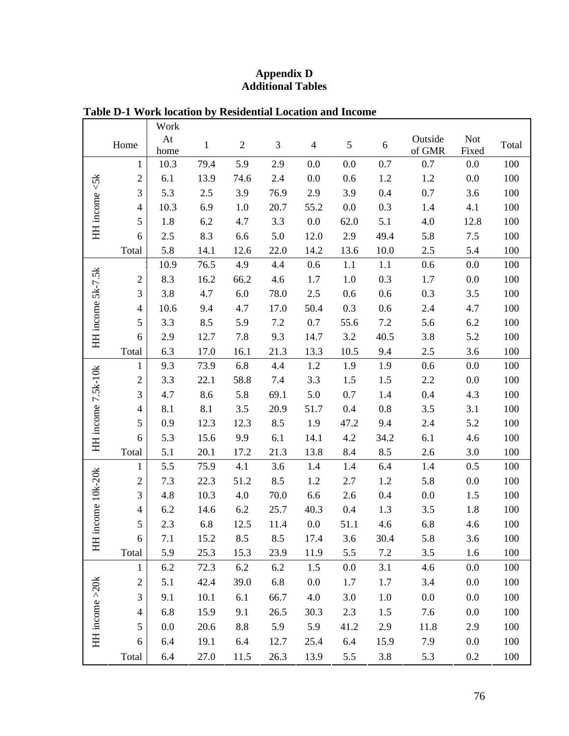### **Appendix D Additional Tables**

|                    |                | Work |              |                |      |                          |            |      |         |            |       |
|--------------------|----------------|------|--------------|----------------|------|--------------------------|------------|------|---------|------------|-------|
|                    | Home           | At   | $\mathbf{1}$ | $\mathfrak{2}$ | 3    | $\overline{\mathcal{L}}$ | $\sqrt{5}$ | 6    | Outside | <b>Not</b> | Total |
|                    |                | home |              |                |      |                          |            |      | of GMR  | Fixed      |       |
|                    | 1              | 10.3 | 79.4         | 5.9            | 2.9  | 0.0                      | 0.0        | 0.7  | 0.7     | 0.0        | 100   |
|                    | $\overline{2}$ | 6.1  | 13.9         | 74.6           | 2.4  | 0.0                      | 0.6        | 1.2  | 1.2     | 0.0        | 100   |
|                    | 3              | 5.3  | 2.5          | 3.9            | 76.9 | 2.9                      | 3.9        | 0.4  | 0.7     | 3.6        | 100   |
|                    | $\overline{4}$ | 10.3 | 6.9          | 1.0            | 20.7 | 55.2                     | 0.0        | 0.3  | 1.4     | 4.1        | 100   |
| HH income <5k      | 5              | 1.8  | 6.2          | 4.7            | 3.3  | 0.0                      | 62.0       | 5.1  | 4.0     | 12.8       | 100   |
|                    | 6              | 2.5  | 8.3          | 6.6            | 5.0  | 12.0                     | 2.9        | 49.4 | 5.8     | 7.5        | 100   |
|                    | Total          | 5.8  | 14.1         | 12.6           | 22.0 | 14.2                     | 13.6       | 10.0 | 2.5     | 5.4        | 100   |
|                    |                | 10.9 | 76.5         | 4.9            | 4.4  | 0.6                      | 1.1        | 1.1  | 0.6     | 0.0        | 100   |
|                    | $\overline{c}$ | 8.3  | 16.2         | 66.2           | 4.6  | 1.7                      | 1.0        | 0.3  | 1.7     | 0.0        | 100   |
|                    | 3              | 3.8  | 4.7          | 6.0            | 78.0 | 2.5                      | 0.6        | 0.6  | 0.3     | 3.5        | 100   |
|                    | $\overline{4}$ | 10.6 | 9.4          | 4.7            | 17.0 | 50.4                     | 0.3        | 0.6  | 2.4     | 4.7        | 100   |
|                    | 5              | 3.3  | 8.5          | 5.9            | 7.2  | 0.7                      | 55.6       | 7.2  | 5.6     | 6.2        | 100   |
| HH income 5k-7.5k  | 6              | 2.9  | 12.7         | 7.8            | 9.3  | 14.7                     | 3.2        | 40.5 | 3.8     | 5.2        | 100   |
|                    | Total          | 6.3  | 17.0         | 16.1           | 21.3 | 13.3                     | 10.5       | 9.4  | 2.5     | 3.6        | 100   |
|                    | $\mathbf{1}$   | 9.3  | 73.9         | 6.8            | 4.4  | 1.2                      | 1.9        | 1.9  | 0.6     | 0.0        | 100   |
|                    | $\mathfrak{2}$ | 3.3  | 22.1         | 58.8           | 7.4  | 3.3                      | 1.5        | 1.5  | 2.2     | 0.0        | 100   |
|                    | 3              | 4.7  | 8.6          | 5.8            | 69.1 | 5.0                      | 0.7        | 1.4  | 0.4     | 4.3        | 100   |
| HH income 7.5k-10k | $\overline{4}$ | 8.1  | 8.1          | 3.5            | 20.9 | 51.7                     | 0.4        | 0.8  | 3.5     | 3.1        | 100   |
|                    | 5              | 0.9  | 12.3         | 12.3           | 8.5  | 1.9                      | 47.2       | 9.4  | 2.4     | 5.2        | 100   |
|                    | 6              | 5.3  | 15.6         | 9.9            | 6.1  | 14.1                     | 4.2        | 34.2 | 6.1     | 4.6        | 100   |
|                    | Total          | 5.1  | 20.1         | 17.2           | 21.3 | 13.8                     | 8.4        | 8.5  | 2.6     | 3.0        | 100   |
|                    | $\mathbf{1}$   | 5.5  | 75.9         | 4.1            | 3.6  | 1.4                      | 1.4        | 6.4  | 1.4     | 0.5        | 100   |
| income 10k-20k     | $\overline{2}$ | 7.3  | 22.3         | 51.2           | 8.5  | 1.2                      | 2.7        | 1.2  | 5.8     | 0.0        | 100   |
|                    | 3              | 4.8  | 10.3         | 4.0            | 70.0 | 6.6                      | 2.6        | 0.4  | 0.0     | 1.5        | 100   |
|                    | $\overline{4}$ | 6.2  | 14.6         | 6.2            | 25.7 | 40.3                     | 0.4        | 1.3  | 3.5     | 1.8        | 100   |
|                    | 5              | 2.3  | 6.8          | 12.5           | 11.4 | 0.0                      | 51.1       | 4.6  | 6.8     | 4.6        | 100   |
|                    | $6\,$          | 7.1  | 15.2         | 8.5            | 8.5  | 17.4                     | 3.6        | 30.4 | 5.8     | 3.6        | 100   |
| ΗH                 | Total          | 5.9  | 25.3         | 15.3           | 23.9 | 11.9                     | 5.5        | 7.2  | 3.5     | 1.6        | 100   |
|                    | 1              | 6.2  | 72.3         | 6.2            | 6.2  | 1.5                      | 0.0        | 3.1  | 4.6     | 0.0        | 100   |
|                    | $\overline{c}$ | 5.1  | 42.4         | 39.0           | 6.8  | 0.0                      | 1.7        | 1.7  | 3.4     | 0.0        | 100   |
| HH income >20k     | 3              | 9.1  | 10.1         | 6.1            | 66.7 | 4.0                      | 3.0        | 1.0  | 0.0     | 0.0        | 100   |
|                    | $\overline{4}$ |      |              |                |      |                          |            |      |         |            |       |
|                    |                | 6.8  | 15.9         | 9.1            | 26.5 | 30.3                     | 2.3        | 1.5  | 7.6     | 0.0        | 100   |
|                    | 5              | 0.0  | 20.6         | 8.8            | 5.9  | 5.9                      | 41.2       | 2.9  | 11.8    | 2.9        | 100   |
|                    | 6              | 6.4  | 19.1         | 6.4            | 12.7 | 25.4                     | 6.4        | 15.9 | 7.9     | 0.0        | 100   |
|                    | Total          | 6.4  | 27.0         | 11.5           | 26.3 | 13.9                     | 5.5        | 3.8  | 5.3     | 0.2        | 100   |

# **Table D-1 Work location by Residential Location and Income**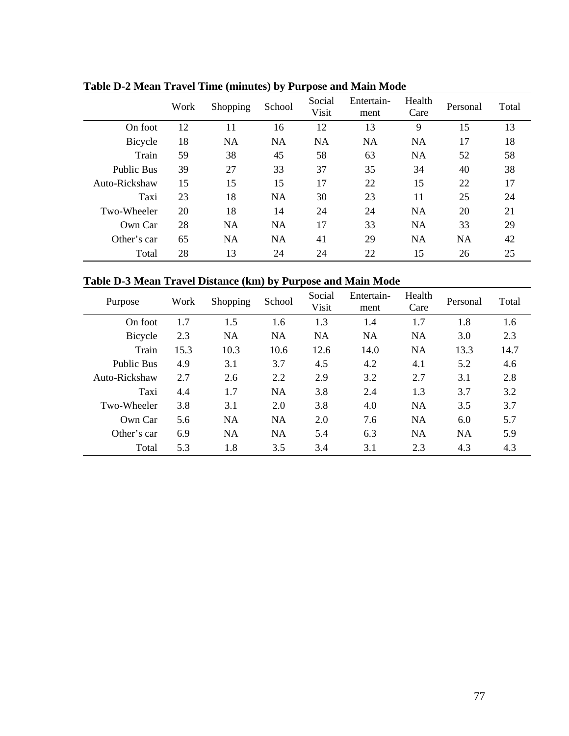|                   | Work | Shopping  | School    | Social<br>Visit | Entertain-<br>ment | Health<br>Care | Personal  | Total |
|-------------------|------|-----------|-----------|-----------------|--------------------|----------------|-----------|-------|
| On foot           | 12   | 11        | 16        | 12              | 13                 | 9              | 15        | 13    |
| Bicycle           | 18   | NA        | <b>NA</b> | NA              | <b>NA</b>          | NA             | 17        | 18    |
| Train             | 59   | 38        | 45        | 58              | 63                 | <b>NA</b>      | 52        | 58    |
| <b>Public Bus</b> | 39   | 27        | 33        | 37              | 35                 | 34             | 40        | 38    |
| Auto-Rickshaw     | 15   | 15        | 15        | 17              | 22                 | 15             | 22        | 17    |
| Taxi              | 23   | 18        | <b>NA</b> | 30              | 23                 | 11             | 25        | 24    |
| Two-Wheeler       | 20   | 18        | 14        | 24              | 24                 | <b>NA</b>      | 20        | 21    |
| Own Car           | 28   | <b>NA</b> | <b>NA</b> | 17              | 33                 | <b>NA</b>      | 33        | 29    |
| Other's car       | 65   | <b>NA</b> | <b>NA</b> | 41              | 29                 | <b>NA</b>      | <b>NA</b> | 42    |
| Total             | 28   | 13        | 24        | 24              | 22                 | 15             | 26        | 25    |

**Table D-2 Mean Travel Time (minutes) by Purpose and Main Mode** 

# **Table D-3 Mean Travel Distance (km) by Purpose and Main Mode**

| Purpose           | Work | Shopping  | School    | Social<br>Visit | Entertain-<br>ment | Health<br>Care | Personal  | Total |
|-------------------|------|-----------|-----------|-----------------|--------------------|----------------|-----------|-------|
| On foot           | 1.7  | 1.5       | 1.6       | 1.3             | 1.4                | 1.7            | 1.8       | 1.6   |
| Bicycle           | 2.3  | <b>NA</b> | <b>NA</b> | <b>NA</b>       | <b>NA</b>          | <b>NA</b>      | 3.0       | 2.3   |
| Train             | 15.3 | 10.3      | 10.6      | 12.6            | 14.0               | <b>NA</b>      | 13.3      | 14.7  |
| <b>Public Bus</b> | 4.9  | 3.1       | 3.7       | 4.5             | 4.2                | 4.1            | 5.2       | 4.6   |
| Auto-Rickshaw     | 2.7  | 2.6       | 2.2       | 2.9             | 3.2                | 2.7            | 3.1       | 2.8   |
| Taxi              | 4.4  | 1.7       | <b>NA</b> | 3.8             | 2.4                | 1.3            | 3.7       | 3.2   |
| Two-Wheeler       | 3.8  | 3.1       | 2.0       | 3.8             | 4.0                | <b>NA</b>      | 3.5       | 3.7   |
| Own Car           | 5.6  | <b>NA</b> | <b>NA</b> | 2.0             | 7.6                | <b>NA</b>      | 6.0       | 5.7   |
| Other's car       | 6.9  | <b>NA</b> | <b>NA</b> | 5.4             | 6.3                | <b>NA</b>      | <b>NA</b> | 5.9   |
| Total             | 5.3  | 1.8       | 3.5       | 3.4             | 3.1                | 2.3            | 4.3       | 4.3   |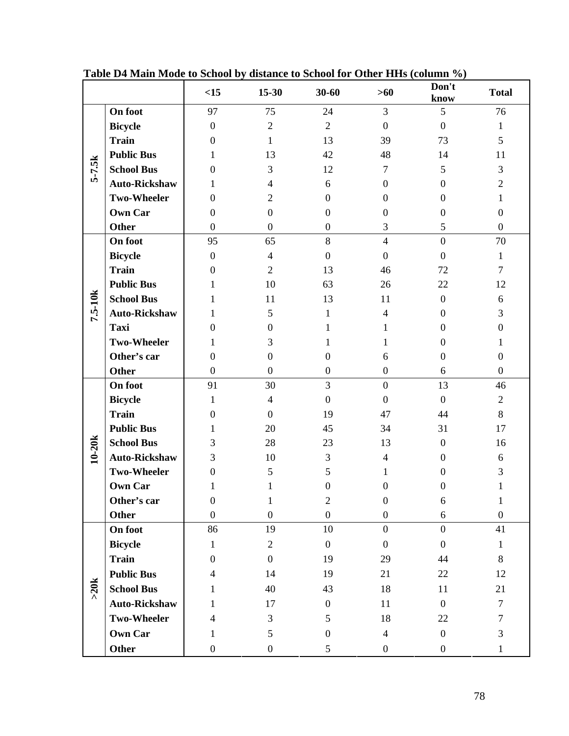|          |                      | <15              | 15-30            | 30-60            | $>60$            | Don't<br>know    | <b>Total</b>     |
|----------|----------------------|------------------|------------------|------------------|------------------|------------------|------------------|
|          | On foot              | 97               | 75               | 24               | 3                | 5                | 76               |
|          | <b>Bicycle</b>       | $\boldsymbol{0}$ | $\overline{2}$   | $\overline{2}$   | $\overline{0}$   | $\mathbf{0}$     | 1                |
|          | <b>Train</b>         | $\boldsymbol{0}$ | $\mathbf{1}$     | 13               | 39               | 73               | 5                |
|          | <b>Public Bus</b>    | 1                | 13               | 42               | 48               | 14               | 11               |
| $5-7.5k$ | <b>School Bus</b>    | $\boldsymbol{0}$ | 3                | 12               | $\tau$           | 5                | $\mathfrak{Z}$   |
|          | <b>Auto-Rickshaw</b> | 1                | $\overline{4}$   | 6                | $\boldsymbol{0}$ | $\Omega$         | $\overline{c}$   |
|          | <b>Two-Wheeler</b>   | $\boldsymbol{0}$ | $\mathbf{2}$     | $\boldsymbol{0}$ | $\boldsymbol{0}$ | $\theta$         | $\mathbf 1$      |
|          | <b>Own Car</b>       | $\boldsymbol{0}$ | $\boldsymbol{0}$ | $\boldsymbol{0}$ | $\overline{0}$   | $\boldsymbol{0}$ | $\boldsymbol{0}$ |
|          | Other                | $\boldsymbol{0}$ | $\boldsymbol{0}$ | $\boldsymbol{0}$ | 3                | 5                | $\boldsymbol{0}$ |
|          | On foot              | 95               | 65               | 8                | $\overline{4}$   | $\boldsymbol{0}$ | 70               |
|          | <b>Bicycle</b>       | $\boldsymbol{0}$ | $\overline{4}$   | $\boldsymbol{0}$ | $\overline{0}$   | $\mathbf{0}$     | $\mathbf{1}$     |
|          | <b>Train</b>         | $\boldsymbol{0}$ | $\overline{2}$   | 13               | 46               | 72               | $\tau$           |
|          | <b>Public Bus</b>    | 1                | 10               | 63               | 26               | 22               | 12               |
| 7.5-10k  | <b>School Bus</b>    | 1                | 11               | 13               | 11               | $\boldsymbol{0}$ | 6                |
|          | <b>Auto-Rickshaw</b> | 1                | 5                | 1                | $\overline{4}$   | $\mathbf{0}$     | $\mathfrak{Z}$   |
|          | <b>Taxi</b>          | $\mathbf{0}$     | $\boldsymbol{0}$ | 1                | 1                | $\Omega$         | $\boldsymbol{0}$ |
|          | <b>Two-Wheeler</b>   | 1                | 3                | 1                | 1                | 0                | 1                |
|          | Other's car          | $\boldsymbol{0}$ | $\boldsymbol{0}$ | $\overline{0}$   | 6                | $\overline{0}$   | $\boldsymbol{0}$ |
|          | <b>Other</b>         | $\boldsymbol{0}$ | $\boldsymbol{0}$ | $\boldsymbol{0}$ | $\boldsymbol{0}$ | 6                | $\boldsymbol{0}$ |
|          | On foot              | 91               | 30               | $\overline{3}$   | $\overline{0}$   | 13               | 46               |
|          | <b>Bicycle</b>       | 1                | $\overline{4}$   | $\boldsymbol{0}$ | $\overline{0}$   | $\boldsymbol{0}$ | $\mathbf{2}$     |
|          | <b>Train</b>         | $\boldsymbol{0}$ | $\boldsymbol{0}$ | 19               | 47               | 44               | $8\,$            |
|          | <b>Public Bus</b>    | 1                | 20               | 45               | 34               | 31               | 17               |
| $10-20k$ | <b>School Bus</b>    | 3                | 28               | 23               | 13               | $\boldsymbol{0}$ | 16               |
|          | <b>Auto-Rickshaw</b> | 3                | 10               | 3                | $\overline{4}$   | $\theta$         | 6                |
|          | <b>Two-Wheeler</b>   | $\mathbf{0}$     | 5                | $\mathfrak{S}$   | 1                | $\Omega$         | 3                |
|          | <b>Own Car</b>       | 1                | 1                | $\boldsymbol{0}$ | $\boldsymbol{0}$ | $\theta$         | 1                |
|          | Other's car          | $\overline{0}$   | 1                | $\overline{c}$   | $\boldsymbol{0}$ | 6                | 1                |
|          | <b>Other</b>         | $\boldsymbol{0}$ | $\boldsymbol{0}$ | $\boldsymbol{0}$ | $\boldsymbol{0}$ | 6                | $\boldsymbol{0}$ |
|          | On foot              | 86               | 19               | 10               | $\overline{0}$   | $\overline{0}$   | 41               |
|          | <b>Bicycle</b>       | $\mathbf{1}$     | $\overline{2}$   | $\boldsymbol{0}$ | $\overline{0}$   | $\boldsymbol{0}$ | $\mathbf{1}$     |
|          | <b>Train</b>         | $\boldsymbol{0}$ | $\overline{0}$   | 19               | 29               | 44               | $8\,$            |
|          | <b>Public Bus</b>    | $\overline{4}$   | 14               | 19               | 21               | 22               | 12               |
| >20k     | <b>School Bus</b>    | 1                | 40               | 43               | 18               | 11               | 21               |
|          | <b>Auto-Rickshaw</b> | 1                | 17               | $\boldsymbol{0}$ | 11               | $\overline{0}$   | $\tau$           |
|          | <b>Two-Wheeler</b>   | $\overline{4}$   | 3                | 5                | 18               | 22               | $\tau$           |
|          | <b>Own Car</b>       | 1                | 5                | $\boldsymbol{0}$ | $\overline{4}$   | $\boldsymbol{0}$ | 3                |
|          | <b>Other</b>         | $\boldsymbol{0}$ | $\boldsymbol{0}$ | 5                | $\boldsymbol{0}$ | $\boldsymbol{0}$ | $\mathbf{1}$     |

**Table D4 Main Mode to School by distance to School for Other HHs (column %)**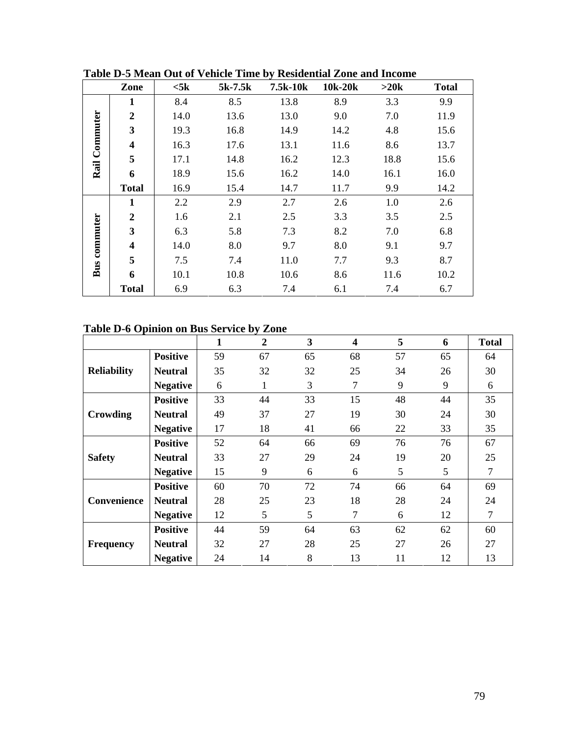|          | Zone                    | $<$ 5 $k$ | $5k-7.5k$ | 7.5k-10k | 10k-20k | $>20k$ | <b>Total</b> |
|----------|-------------------------|-----------|-----------|----------|---------|--------|--------------|
|          | 1                       | 8.4       | 8.5       | 13.8     | 8.9     | 3.3    | 9.9          |
|          | $\overline{2}$          | 14.0      | 13.6      | 13.0     | 9.0     | 7.0    | 11.9         |
|          | 3                       | 19.3      | 16.8      | 14.9     | 14.2    | 4.8    | 15.6         |
| Commuter | $\overline{\mathbf{4}}$ | 16.3      | 17.6      | 13.1     | 11.6    | 8.6    | 13.7         |
|          | 5                       | 17.1      | 14.8      | 16.2     | 12.3    | 18.8   | 15.6         |
| Rail     | 6                       | 18.9      | 15.6      | 16.2     | 14.0    | 16.1   | 16.0         |
|          | <b>Total</b>            | 16.9      | 15.4      | 14.7     | 11.7    | 9.9    | 14.2         |
|          | 1                       | 2.2       | 2.9       | 2.7      | 2.6     | 1.0    | 2.6          |
|          | $\overline{2}$          | 1.6       | 2.1       | 2.5      | 3.3     | 3.5    | 2.5          |
| commuter | $\overline{\mathbf{3}}$ | 6.3       | 5.8       | 7.3      | 8.2     | 7.0    | 6.8          |
|          | $\overline{\mathbf{4}}$ | 14.0      | 8.0       | 9.7      | 8.0     | 9.1    | 9.7          |
|          | 5                       | 7.5       | 7.4       | 11.0     | 7.7     | 9.3    | 8.7          |
| Bus      | 6                       | 10.1      | 10.8      | 10.6     | 8.6     | 11.6   | 10.2         |
|          | <b>Total</b>            | 6.9       | 6.3       | 7.4      | 6.1     | 7.4    | 6.7          |

**Table D-5 Mean Out of Vehicle Time by Residential Zone and Income** 

## **Table D-6 Opinion on Bus Service by Zone**

|                    |                 | 1  | $\boldsymbol{2}$ | 3  | $\overline{\mathbf{4}}$ | 5  | 6  | <b>Total</b>   |
|--------------------|-----------------|----|------------------|----|-------------------------|----|----|----------------|
|                    | <b>Positive</b> | 59 | 67               | 65 | 68                      | 57 | 65 | 64             |
| <b>Reliability</b> | <b>Neutral</b>  | 35 | 32               | 32 | 25                      | 34 | 26 | 30             |
|                    | <b>Negative</b> | 6  | 1                | 3  | 7                       | 9  | 9  | 6              |
|                    | <b>Positive</b> | 33 | 44               | 33 | 15                      | 48 | 44 | 35             |
| Crowding           | <b>Neutral</b>  | 49 | 37               | 27 | 19                      | 30 | 24 | 30             |
|                    | <b>Negative</b> | 17 | 18               | 41 | 66                      | 22 | 33 | 35             |
|                    | <b>Positive</b> | 52 | 64               | 66 | 69                      | 76 | 76 | 67             |
| <b>Safety</b>      | <b>Neutral</b>  | 33 | 27               | 29 | 24                      | 19 | 20 | 25             |
|                    | <b>Negative</b> | 15 | 9                | 6  | 6                       | 5  | 5  | $\overline{7}$ |
|                    | <b>Positive</b> | 60 | 70               | 72 | 74                      | 66 | 64 | 69             |
| Convenience        | <b>Neutral</b>  | 28 | 25               | 23 | 18                      | 28 | 24 | 24             |
|                    | <b>Negative</b> | 12 | 5                | 5  | 7                       | 6  | 12 | 7              |
|                    | <b>Positive</b> | 44 | 59               | 64 | 63                      | 62 | 62 | 60             |
| <b>Frequency</b>   | <b>Neutral</b>  | 32 | 27               | 28 | 25                      | 27 | 26 | 27             |
|                    | <b>Negative</b> | 24 | 14               | 8  | 13                      | 11 | 12 | 13             |